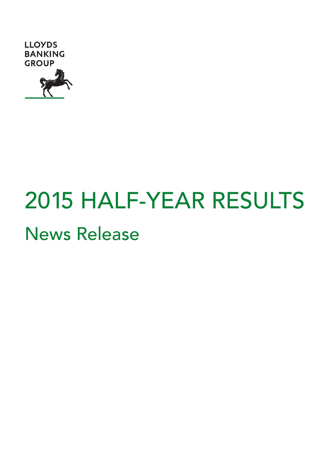

# 2015 HALF-YEAR RESULTS News Release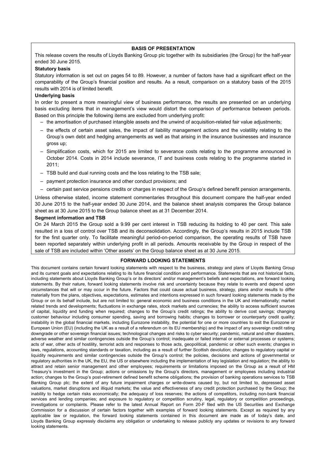## **BASIS OF PRESENTATION**

This release covers the results of Lloyds Banking Group plc together with its subsidiaries (the Group) for the half-year ended 30 June 2015.

## **Statutory basis**

Statutory information is set out on pages 54 to 89. However, a number of factors have had a significant effect on the comparability of the Group's financial position and results. As a result, comparison on a statutory basis of the 2015 results with 2014 is of limited benefit.

## **Underlying basis**

In order to present a more meaningful view of business performance, the results are presented on an underlying basis excluding items that in management's view would distort the comparison of performance between periods. Based on this principle the following items are excluded from underlying profit:

- the amortisation of purchased intangible assets and the unwind of acquisition-related fair value adjustments;
- the effects of certain asset sales, the impact of liability management actions and the volatility relating to the Group's own debt and hedging arrangements as well as that arising in the insurance businesses and insurance gross up;
- Simplification costs, which for 2015 are limited to severance costs relating to the programme announced in October 2014. Costs in 2014 include severance, IT and business costs relating to the programme started in 2011;
- TSB build and dual running costs and the loss relating to the TSB sale;
- payment protection insurance and other conduct provisions; and
- certain past service pensions credits or charges in respect of the Group's defined benefit pension arrangements.

Unless otherwise stated, income statement commentaries throughout this document compare the half-year ended 30 June 2015 to the half-year ended 30 June 2014, and the balance sheet analysis compares the Group balance sheet as at 30 June 2015 to the Group balance sheet as at 31 December 2014.

### **Segment information and TSB**

On 24 March 2015 the Group sold a 9.99 per cent interest in TSB reducing its holding to 40 per cent. This sale resulted in a loss of control over TSB and its deconsolidation. Accordingly, the Group's results in 2015 include TSB for the first quarter only. To facilitate meaningful period-on-period comparison, the operating results of TSB have been reported separately within underlying profit in all periods. Amounts receivable by the Group in respect of the sale of TSB are included within 'Other assets' on the Group balance sheet as at 30 June 2015.

## **FORWARD LOOKING STATEMENTS**

This document contains certain forward looking statements with respect to the business, strategy and plans of Lloyds Banking Group and its current goals and expectations relating to its future financial condition and performance. Statements that are not historical facts, including statements about Lloyds Banking Group's or its directors' and/or management's beliefs and expectations, are forward looking statements. By their nature, forward looking statements involve risk and uncertainty because they relate to events and depend upon circumstances that will or may occur in the future. Factors that could cause actual business, strategy, plans and/or results to differ materially from the plans, objectives, expectations, estimates and intentions expressed in such forward looking statements made by the Group or on its behalf include, but are not limited to: general economic and business conditions in the UK and internationally; market related trends and developments; fluctuations in exchange rates, stock markets and currencies; the ability to access sufficient sources of capital, liquidity and funding when required; changes to the Group's credit ratings; the ability to derive cost savings; changing customer behaviour including consumer spending, saving and borrowing habits; changes to borrower or counterparty credit quality; instability in the global financial markets, including Eurozone instability, the potential for one or more countries to exit the Eurozone or European Union (EU) (including the UK as a result of a referendum on its EU membership) and the impact of any sovereign credit rating downgrade or other sovereign financial issues; technological changes and risks to cyber security; pandemic, natural and other disasters, adverse weather and similar contingencies outside the Group's control; inadequate or failed internal or external processes or systems; acts of war, other acts of hostility, terrorist acts and responses to those acts, geopolitical, pandemic or other such events; changes in laws, regulations, accounting standards or taxation, including as a result of further Scottish devolution; changes to regulatory capital or liquidity requirements and similar contingencies outside the Group's control; the policies, decisions and actions of governmental or regulatory authorities in the UK, the EU, the US or elsewhere including the implementation of key legislation and regulation; the ability to attract and retain senior management and other employees; requirements or limitations imposed on the Group as a result of HM Treasury's investment in the Group; actions or omissions by the Group's directors, management or employees including industrial action; changes to the Group's post-retirement defined benefit scheme obligations; the provision of banking operations services to TSB Banking Group plc; the extent of any future impairment charges or write-downs caused by, but not limited to, depressed asset valuations, market disruptions and illiquid markets; the value and effectiveness of any credit protection purchased by the Group; the inability to hedge certain risks economically; the adequacy of loss reserves; the actions of competitors, including non-bank financial services and lending companies; and exposure to regulatory or competition scrutiny, legal, regulatory or competition proceedings, investigations or complaints. Please refer to the latest Annual Report on Form 20-F filed with the US Securities and Exchange Commission for a discussion of certain factors together with examples of forward looking statements. Except as required by any applicable law or regulation, the forward looking statements contained in this document are made as of today's date, and Lloyds Banking Group expressly disclaims any obligation or undertaking to release publicly any updates or revisions to any forward looking statements.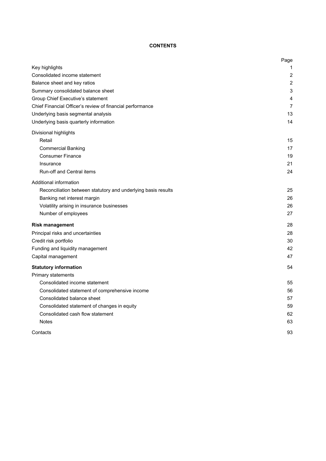# **CONTENTS**

|                                                               | Page           |
|---------------------------------------------------------------|----------------|
| Key highlights                                                | 1              |
| Consolidated income statement                                 | 2              |
| Balance sheet and key ratios                                  | $\overline{2}$ |
| Summary consolidated balance sheet                            | 3              |
| Group Chief Executive's statement                             | 4              |
| Chief Financial Officer's review of financial performance     | 7              |
| Underlying basis segmental analysis                           | 13             |
| Underlying basis quarterly information                        | 14             |
| Divisional highlights                                         |                |
| Retail                                                        | 15             |
| <b>Commercial Banking</b>                                     | 17             |
| <b>Consumer Finance</b>                                       | 19             |
| Insurance                                                     | 21             |
| <b>Run-off and Central items</b>                              | 24             |
| Additional information                                        |                |
| Reconciliation between statutory and underlying basis results | 25             |
| Banking net interest margin                                   | 26             |
| Volatility arising in insurance businesses                    | 26             |
| Number of employees                                           | 27             |
| <b>Risk management</b>                                        | 28             |
| Principal risks and uncertainties                             | 28             |
| Credit risk portfolio                                         | 30             |
| Funding and liquidity management                              | 42             |
| Capital management                                            | 47             |
| <b>Statutory information</b>                                  | 54             |
| Primary statements                                            |                |
| Consolidated income statement                                 | 55             |
| Consolidated statement of comprehensive income                | 56             |
| Consolidated balance sheet                                    | 57             |
| Consolidated statement of changes in equity                   | 59             |
| Consolidated cash flow statement                              | 62             |
| <b>Notes</b>                                                  | 63             |
| Contacts                                                      | 93             |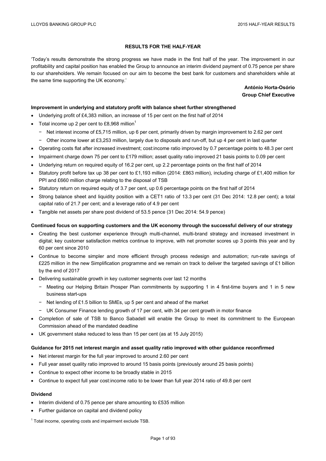## **RESULTS FOR THE HALF-YEAR**

'Today's results demonstrate the strong progress we have made in the first half of the year. The improvement in our profitability and capital position has enabled the Group to announce an interim dividend payment of 0.75 pence per share to our shareholders. We remain focused on our aim to become the best bank for customers and shareholders while at the same time supporting the UK economy.'

> **António Horta-Osório Group Chief Executive**

## **Improvement in underlying and statutory profit with balance sheet further strengthened**

- Underlying profit of £4,383 million, an increase of 15 per cent on the first half of 2014
- Total income up 2 per cent to £8,968 million<sup>1</sup>
	- − Net interest income of £5,715 million, up 6 per cent, primarily driven by margin improvement to 2.62 per cent
	- − Other income lower at £3,253 million, largely due to disposals and run-off, but up 4 per cent in last quarter
- Operating costs flat after increased investment; cost:income ratio improved by 0.7 percentage points to 48.3 per cent
- Impairment charge down 75 per cent to £179 million; asset quality ratio improved 21 basis points to 0.09 per cent
- Underlying return on required equity of 16.2 per cent, up 2.2 percentage points on the first half of 2014
- Statutory profit before tax up 38 per cent to £1,193 million (2014: £863 million), including charge of £1,400 million for PPI and £660 million charge relating to the disposal of TSB
- Statutory return on required equity of 3.7 per cent, up 0.6 percentage points on the first half of 2014
- Strong balance sheet and liquidity position with a CET1 ratio of 13.3 per cent (31 Dec 2014: 12.8 per cent); a total capital ratio of 21.7 per cent; and a leverage ratio of 4.9 per cent
- Tangible net assets per share post dividend of 53.5 pence (31 Dec 2014: 54.9 pence)

## **Continued focus on supporting customers and the UK economy through the successful delivery of our strategy**

- Creating the best customer experience through multi-channel, multi-brand strategy and increased investment in digital; key customer satisfaction metrics continue to improve, with net promoter scores up 3 points this year and by 60 per cent since 2010
- Continue to become simpler and more efficient through process redesign and automation; run-rate savings of £225 million in the new Simplification programme and we remain on track to deliver the targeted savings of £1 billion by the end of 2017
- Delivering sustainable growth in key customer segments over last 12 months
	- − Meeting our Helping Britain Prosper Plan commitments by supporting 1 in 4 first-time buyers and 1 in 5 new business start-ups
	- − Net lending of £1.5 billion to SMEs, up 5 per cent and ahead of the market
	- − UK Consumer Finance lending growth of 17 per cent, with 34 per cent growth in motor finance
- Completion of sale of TSB to Banco Sabadell will enable the Group to meet its commitment to the European Commission ahead of the mandated deadline
- UK government stake reduced to less than 15 per cent (as at 15 July 2015)

## **Guidance for 2015 net interest margin and asset quality ratio improved with other guidance reconfirmed**

- Net interest margin for the full year improved to around 2.60 per cent
- Full year asset quality ratio improved to around 15 basis points (previously around 25 basis points)
- Continue to expect other income to be broadly stable in 2015
- Continue to expect full year cost:income ratio to be lower than full year 2014 ratio of 49.8 per cent

## **Dividend**

- Interim dividend of 0.75 pence per share amounting to £535 million
- Further guidance on capital and dividend policy
- $1$  Total income, operating costs and impairment exclude TSB.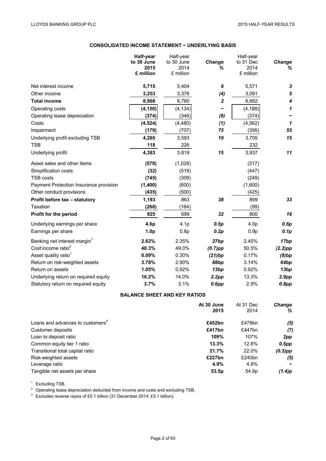# **CONSOLIDATED INCOME STATEMENT − UNDERLYING BASIS**

|                                          | Half-year        | Half-year        |                  | Half-year        |              |
|------------------------------------------|------------------|------------------|------------------|------------------|--------------|
|                                          | to 30 June       | to 30 June       | Change           | to 31 Dec        | Change       |
|                                          | 2015             | 2014             | ℅                | 2014             | %            |
|                                          | £ million        | £ million        |                  | £ million        |              |
| Net interest income                      | 5,715            | 5,404            | 6                | 5,571            | 3            |
| Other income                             | 3,253            | 3,376            | (4)              | 3,091            | 5            |
| <b>Total income</b>                      | 8,968            | 8,780            | $\boldsymbol{2}$ | 8,662            | 4            |
| Operating costs                          | (4, 150)         | (4, 134)         |                  | (4, 188)         | 1            |
| Operating lease depreciation             | (374)            | (346)            | (8)              | (374)            |              |
| Costs                                    | (4, 524)         | (4, 480)         | (1)              | (4, 562)         | $\mathbf{1}$ |
| Impairment                               | (179)            | (707)            | 75               | (395)            | 55           |
| Underlying profit excluding TSB          | 4,265            | 3,593            | 19               | 3,705            | 15           |
| <b>TSB</b>                               | 118              | 226              |                  | 232              |              |
| Underlying profit                        | 4,383            | 3,819            | 15               | 3,937            | 11           |
| Asset sales and other items              | (578)            | (1,028)          |                  | (317)            |              |
| Simplification costs                     | (32)             | (519)            |                  | (447)            |              |
| <b>TSB costs</b>                         | (745)            | (309)            |                  | (249)            |              |
| Payment Protection Insurance provision   | (1,400)          | (600)            |                  | (1,600)          |              |
| Other conduct provisions                 | (435)            | (500)            |                  | (425)            |              |
| Profit before tax - statutory            | 1,193            | 863              | 38               | 899              | 33           |
| Taxation                                 | (268)            | (164)            |                  | (99)             |              |
| Profit for the period                    | 925              | 699              | 32               | 800              | 16           |
| Underlying earnings per share            | 4.6p             | 4.1 <sub>p</sub> | 0.5p             | 4.0 <sub>p</sub> | 0.6p         |
| Earnings per share                       | 1.0 <sub>p</sub> | 0.8p             | 0.2p             | 0.9 <sub>p</sub> | 0.1p         |
| Banking net interest margin <sup>1</sup> | 2.62%            | 2.35%            | 27bp             | 2.45%            | 17bp         |
| Cost:income ratio <sup>2</sup>           | 48.3%            | 49.0%            | $(0.7)$ pp       | 50.5%            | $(2.2)$ pp   |
| Asset quality ratio <sup>1</sup>         | 0.09%            | 0.30%            | (21)bp           | 0.17%            | (8)bp        |
| Return on risk-weighted assets           | 3.78%            | 2.90%            | 88bp             | 3.14%            | 64bp         |
| Return on assets                         | 1.05%            | 0.92%            | 13bp             | 0.92%            | 13bp         |
| Underlying return on required equity     | 16.2%            | 14.0%            | 2.2pp            | 13.3%            | 2.9pp        |
| Statutory return on required equity      | 3.7%             | 3.1%             | $0.6$ pp         | 2.9%             | 0.8pp        |

# **BALANCE SHEET AND KEY RATIOS**

|                                              | At 30 June | At 31 Dec | <b>Change</b> |  |
|----------------------------------------------|------------|-----------|---------------|--|
|                                              | 2015       | 2014      | ℅             |  |
| Loans and advances to customers <sup>3</sup> | £452bn     | £478bn    | (5)           |  |
| Customer deposits                            | £417bn     | £447bn    | (7)           |  |
| Loan to deposit ratio                        | 109%       | 107%      | 2pp           |  |
| Common equity tier 1 ratio                   | 13.3%      | 12.8%     | $0.5$ pp      |  |
| Transitional total capital ratio             | 21.7%      | 22.0%     | $(0.3)$ pp    |  |
| Risk-weighted assets                         | £227bn     | £240bn    | (5)           |  |
| Leverage ratio                               | 4.9%       | 4.9%      |               |  |
| Tangible net assets per share                | 53.5p      | 54.9p     | (1.4)p        |  |

<sup>1</sup> Excluding TSB.<br><sup>2</sup> Operating lease depreciation deducted from income and costs and excluding TSB.<br><sup>3</sup> Excludes reverse repos of £0.1 billion (31 December 2014: £5.1 billion).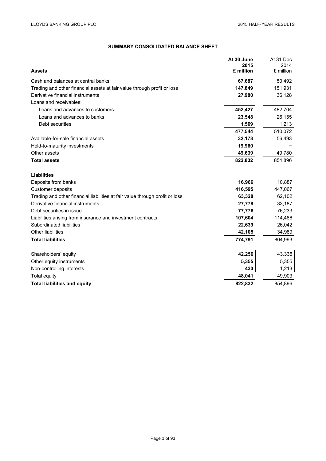# **SUMMARY CONSOLIDATED BALANCE SHEET**

|                                                                              | At 30 June<br>2015 | At 31 Dec<br>2014 |
|------------------------------------------------------------------------------|--------------------|-------------------|
| <b>Assets</b>                                                                | £ million          | £ million         |
| Cash and balances at central banks                                           | 67,687             | 50,492            |
| Trading and other financial assets at fair value through profit or loss      | 147,849            | 151,931           |
| Derivative financial instruments                                             | 27,980             | 36,128            |
| Loans and receivables:                                                       |                    |                   |
| Loans and advances to customers                                              | 452,427            | 482,704           |
| Loans and advances to banks                                                  | 23,548             | 26,155            |
| Debt securities                                                              | 1,569              | 1,213             |
|                                                                              | 477,544            | 510,072           |
| Available-for-sale financial assets                                          | 32,173             | 56,493            |
| Held-to-maturity investments                                                 | 19,960             |                   |
| Other assets                                                                 | 49,639             | 49,780            |
| <b>Total assets</b>                                                          | 822,832            | 854,896           |
|                                                                              |                    |                   |
| <b>Liabilities</b>                                                           |                    |                   |
| Deposits from banks                                                          | 16,966             | 10,887            |
| <b>Customer deposits</b>                                                     | 416,595            | 447,067           |
| Trading and other financial liabilities at fair value through profit or loss | 63,328             | 62,102            |
| Derivative financial instruments                                             | 27,778             | 33,187            |
| Debt securities in issue                                                     | 77,776             | 76,233            |
| Liabilities arising from insurance and investment contracts                  | 107,604            | 114,486           |
| Subordinated liabilities                                                     | 22,639             | 26,042            |
| Other liabilities                                                            | 42,105             | 34,989            |
| <b>Total liabilities</b>                                                     | 774,791            | 804,993           |
| Shareholders' equity                                                         | 42,256             | 43,335            |
| Other equity instruments                                                     | 5,355              | 5,355             |
| Non-controlling interests                                                    | 430                | 1,213             |
| Total equity                                                                 | 48,041             | 49,903            |
| <b>Total liabilities and equity</b>                                          | 822,832            | 854,896           |
|                                                                              |                    |                   |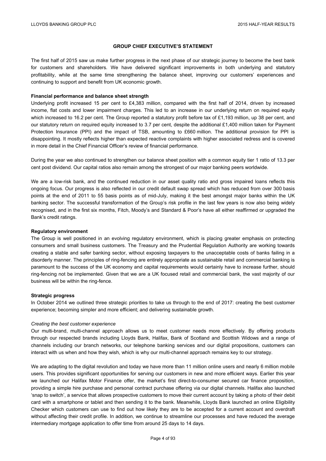## **GROUP CHIEF EXECUTIVE'S STATEMENT**

The first half of 2015 saw us make further progress in the next phase of our strategic journey to become the best bank for customers and shareholders. We have delivered significant improvements in both underlying and statutory profitability, while at the same time strengthening the balance sheet, improving our customers' experiences and continuing to support and benefit from UK economic growth.

# **Financial performance and balance sheet strength**

Underlying profit increased 15 per cent to £4,383 million, compared with the first half of 2014, driven by increased income, flat costs and lower impairment charges. This led to an increase in our underlying return on required equity which increased to 16.2 per cent. The Group reported a statutory profit before tax of £1,193 million, up 38 per cent, and our statutory return on required equity increased to 3.7 per cent, despite the additional £1,400 million taken for Payment Protection Insurance (PPI) and the impact of TSB, amounting to £660 million. The additional provision for PPI is disappointing. It mostly reflects higher than expected reactive complaints with higher associated redress and is covered in more detail in the Chief Financial Officer's review of financial performance.

During the year we also continued to strengthen our balance sheet position with a common equity tier 1 ratio of 13.3 per cent post dividend. Our capital ratios also remain among the strongest of our major banking peers worldwide.

We are a low-risk bank, and the continued reduction in our asset quality ratio and gross impaired loans reflects this ongoing focus. Our progress is also reflected in our credit default swap spread which has reduced from over 300 basis points at the end of 2011 to 55 basis points as of mid-July, making it the best amongst major banks within the UK banking sector. The successful transformation of the Group's risk profile in the last few years is now also being widely recognised, and in the first six months, Fitch, Moody's and Standard & Poor's have all either reaffirmed or upgraded the Bank's credit ratings.

## **Regulatory environment**

The Group is well positioned in an evolving regulatory environment, which is placing greater emphasis on protecting consumers and small business customers. The Treasury and the Prudential Regulation Authority are working towards creating a stable and safer banking sector, without exposing taxpayers to the unacceptable costs of banks failing in a disorderly manner. The principles of ring-fencing are entirely appropriate as sustainable retail and commercial banking is paramount to the success of the UK economy and capital requirements would certainly have to increase further, should ring-fencing not be implemented. Given that we are a UK focused retail and commercial bank, the vast majority of our business will be within the ring-fence.

## **Strategic progress**

In October 2014 we outlined three strategic priorities to take us through to the end of 2017: creating the best customer experience; becoming simpler and more efficient; and delivering sustainable growth.

## *Creating the best customer experience*

Our multi-brand, multi-channel approach allows us to meet customer needs more effectively. By offering products through our respected brands including Lloyds Bank, Halifax, Bank of Scotland and Scottish Widows and a range of channels including our branch networks, our telephone banking services and our digital propositions, customers can interact with us when and how they wish, which is why our multi-channel approach remains key to our strategy.

We are adapting to the digital revolution and today we have more than 11 million online users and nearly 6 million mobile users. This provides significant opportunities for serving our customers in new and more efficient ways. Earlier this year we launched our Halifax Motor Finance offer, the market's first direct-to-consumer secured car finance proposition, providing a simple hire purchase and personal contract purchase offering via our digital channels. Halifax also launched 'snap to switch', a service that allows prospective customers to move their current account by taking a photo of their debit card with a smartphone or tablet and then sending it to the bank. Meanwhile, Lloyds Bank launched an online Eligibility Checker which customers can use to find out how likely they are to be accepted for a current account and overdraft without affecting their credit profile. In addition, we continue to streamline our processes and have reduced the average intermediary mortgage application to offer time from around 25 days to 14 days.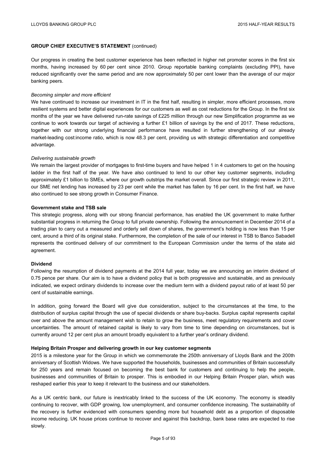# **GROUP CHIEF EXECUTIVE'S STATEMENT** (continued)

Our progress in creating the best customer experience has been reflected in higher net promoter scores in the first six months, having increased by 60 per cent since 2010. Group reportable banking complaints (excluding PPI), have reduced significantly over the same period and are now approximately 50 per cent lower than the average of our major banking peers.

## *Becoming simpler and more efficient*

We have continued to increase our investment in IT in the first half, resulting in simpler, more efficient processes, more resilient systems and better digital experiences for our customers as well as cost reductions for the Group. In the first six months of the year we have delivered run-rate savings of £225 million through our new Simplification programme as we continue to work towards our target of achieving a further £1 billion of savings by the end of 2017. These reductions, together with our strong underlying financial performance have resulted in further strengthening of our already market-leading cost:income ratio, which is now 48.3 per cent, providing us with strategic differentiation and competitive advantage.

## *Delivering sustainable growth*

We remain the largest provider of mortgages to first-time buyers and have helped 1 in 4 customers to get on the housing ladder in the first half of the year. We have also continued to lend to our other key customer segments, including approximately £1 billion to SMEs, where our growth outstrips the market overall. Since our first strategic review in 2011, our SME net lending has increased by 23 per cent while the market has fallen by 16 per cent. In the first half, we have also continued to see strong growth in Consumer Finance.

## **Government stake and TSB sale**

This strategic progress, along with our strong financial performance, has enabled the UK government to make further substantial progress in returning the Group to full private ownership. Following the announcement in December 2014 of a trading plan to carry out a measured and orderly sell down of shares, the government's holding is now less than 15 per cent, around a third of its original stake. Furthermore, the completion of the sale of our interest in TSB to Banco Sabadell represents the continued delivery of our commitment to the European Commission under the terms of the state aid agreement.

## **Dividend**

Following the resumption of dividend payments at the 2014 full year, today we are announcing an interim dividend of 0.75 pence per share. Our aim is to have a dividend policy that is both progressive and sustainable, and as previously indicated, we expect ordinary dividends to increase over the medium term with a dividend payout ratio of at least 50 per cent of sustainable earnings.

In addition, going forward the Board will give due consideration, subject to the circumstances at the time, to the distribution of surplus capital through the use of special dividends or share buy-backs. Surplus capital represents capital over and above the amount management wish to retain to grow the business, meet regulatory requirements and cover uncertainties. The amount of retained capital is likely to vary from time to time depending on circumstances, but is currently around 12 per cent plus an amount broadly equivalent to a further year's ordinary dividend.

## **Helping Britain Prosper and delivering growth in our key customer segments**

2015 is a milestone year for the Group in which we commemorate the 250th anniversary of Lloyds Bank and the 200th anniversary of Scottish Widows. We have supported the households, businesses and communities of Britain successfully for 250 years and remain focused on becoming the best bank for customers and continuing to help the people, businesses and communities of Britain to prosper. This is embodied in our Helping Britain Prosper plan, which was reshaped earlier this year to keep it relevant to the business and our stakeholders.

As a UK centric bank, our future is inextricably linked to the success of the UK economy. The economy is steadily continuing to recover, with GDP growing, low unemployment, and consumer confidence increasing. The sustainability of the recovery is further evidenced with consumers spending more but household debt as a proportion of disposable income reducing. UK house prices continue to recover and against this backdrop, bank base rates are expected to rise slowly.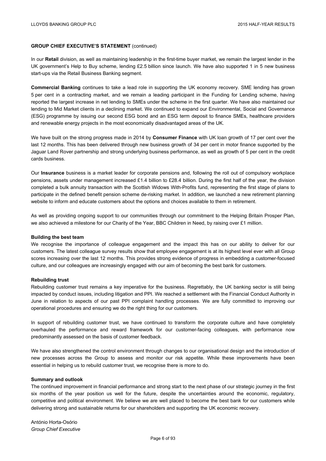## **GROUP CHIEF EXECUTIVE'S STATEMENT** (continued)

In our **Retail** division, as well as maintaining leadership in the first-time buyer market, we remain the largest lender in the UK government's Help to Buy scheme, lending £2.5 billion since launch. We have also supported 1 in 5 new business start-ups via the Retail Business Banking segment.

**Commercial Banking** continues to take a lead role in supporting the UK economy recovery. SME lending has grown 5 per cent in a contracting market, and we remain a leading participant in the Funding for Lending scheme, having reported the largest increase in net lending to SMEs under the scheme in the first quarter. We have also maintained our lending to Mid Market clients in a declining market. We continued to expand our Environmental, Social and Governance (ESG) programme by issuing our second ESG bond and an ESG term deposit to finance SMEs, healthcare providers and renewable energy projects in the most economically disadvantaged areas of the UK.

We have built on the strong progress made in 2014 by **Consumer Finance** with UK loan growth of 17 per cent over the last 12 months. This has been delivered through new business growth of 34 per cent in motor finance supported by the Jaguar Land Rover partnership and strong underlying business performance, as well as growth of 5 per cent in the credit cards business.

Our **Insurance** business is a market leader for corporate pensions and, following the roll out of compulsory workplace pensions, assets under management increased £1.4 billion to £28.4 billion. During the first half of the year, the division completed a bulk annuity transaction with the Scottish Widows With-Profits fund, representing the first stage of plans to participate in the defined benefit pension scheme de-risking market. In addition, we launched a new retirement planning website to inform and educate customers about the options and choices available to them in retirement.

As well as providing ongoing support to our communities through our commitment to the Helping Britain Prosper Plan, we also achieved a milestone for our Charity of the Year, BBC Children in Need, by raising over £1 million.

#### **Building the best team**

We recognise the importance of colleague engagement and the impact this has on our ability to deliver for our customers. The latest colleague survey results show that employee engagement is at its highest level ever with all Group scores increasing over the last 12 months. This provides strong evidence of progress in embedding a customer-focused culture, and our colleagues are increasingly engaged with our aim of becoming the best bank for customers.

### **Rebuilding trust**

Rebuilding customer trust remains a key imperative for the business. Regrettably, the UK banking sector is still being impacted by conduct issues, including litigation and PPI. We reached a settlement with the Financial Conduct Authority in June in relation to aspects of our past PPI complaint handling processes. We are fully committed to improving our operational procedures and ensuring we do the right thing for our customers.

In support of rebuilding customer trust, we have continued to transform the corporate culture and have completely overhauled the performance and reward framework for our customer-facing colleagues, with performance now predominantly assessed on the basis of customer feedback.

We have also strengthened the control environment through changes to our organisational design and the introduction of new processes across the Group to assess and monitor our risk appetite. While these improvements have been essential in helping us to rebuild customer trust, we recognise there is more to do.

## **Summary and outlook**

The continued improvement in financial performance and strong start to the next phase of our strategic journey in the first six months of the year position us well for the future, despite the uncertainties around the economic, regulatory, competitive and political environment. We believe we are well placed to become the best bank for our customers while delivering strong and sustainable returns for our shareholders and supporting the UK economic recovery.

António Horta-Osório *Group Chief Executive*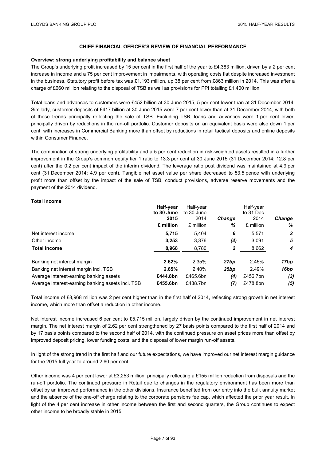## **Overview: strong underlying profitability and balance sheet**

The Group's underlying profit increased by 15 per cent in the first half of the year to £4,383 million, driven by a 2 per cent increase in income and a 75 per cent improvement in impairments, with operating costs flat despite increased investment in the business. Statutory profit before tax was £1,193 million, up 38 per cent from £863 million in 2014. This was after a charge of £660 million relating to the disposal of TSB as well as provisions for PPI totalling £1,400 million.

Total loans and advances to customers were £452 billion at 30 June 2015, 5 per cent lower than at 31 December 2014. Similarly, customer deposits of £417 billion at 30 June 2015 were 7 per cent lower than at 31 December 2014, with both of these trends principally reflecting the sale of TSB. Excluding TSB, loans and advances were 1 per cent lower, principally driven by reductions in the run-off portfolio. Customer deposits on an equivalent basis were also down 1 per cent, with increases in Commercial Banking more than offset by reductions in retail tactical deposits and online deposits within Consumer Finance.

The combination of strong underlying profitability and a 5 per cent reduction in risk-weighted assets resulted in a further improvement in the Group's common equity tier 1 ratio to 13.3 per cent at 30 June 2015 (31 December 2014: 12.8 per cent) after the 0.2 per cent impact of the interim dividend. The leverage ratio post dividend was maintained at 4.9 per cent (31 December 2014: 4.9 per cent). Tangible net asset value per share decreased to 53.5 pence with underlying profit more than offset by the impact of the sale of TSB, conduct provisions, adverse reserve movements and the payment of the 2014 dividend.

## **Total income**

|                                                   | Half-year<br>to 30 June<br>2015<br>£ million | Half-year<br>to 30 June<br>2014<br>£ million | <b>Change</b><br>% | Half-year<br>to 31 Dec<br>2014<br>£ million | <b>Change</b><br>% |
|---------------------------------------------------|----------------------------------------------|----------------------------------------------|--------------------|---------------------------------------------|--------------------|
| Net interest income                               | 5.715                                        | 5.404                                        | 6                  | 5.571                                       | 3                  |
| Other income                                      | 3,253                                        | 3,376                                        | (4)                | 3,091                                       | 5                  |
| <b>Total income</b>                               | 8,968                                        | 8,780                                        | 2                  | 8,662                                       | 4                  |
| Banking net interest margin                       | 2.62%                                        | 2.35%                                        | 27bp               | 2.45%                                       | 17bp               |
| Banking net interest margin incl. TSB             | 2.65%                                        | 2.40%                                        | 25 <sub>bp</sub>   | 2.49%                                       | 16bp               |
| Average interest-earning banking assets           | £444.8bn                                     | £465.6bn                                     | (4)                | £456.7bn                                    | (3)                |
| Average interest-earning banking assets incl. TSB | £455.6bn                                     | £488.7bn                                     | (7)                | £478.8bn                                    | (5)                |

Total income of £8,968 million was 2 per cent higher than in the first half of 2014, reflecting strong growth in net interest income, which more than offset a reduction in other income.

Net interest income increased 6 per cent to £5,715 million, largely driven by the continued improvement in net interest margin. The net interest margin of 2.62 per cent strengthened by 27 basis points compared to the first half of 2014 and by 17 basis points compared to the second half of 2014, with the continued pressure on asset prices more than offset by improved deposit pricing, lower funding costs, and the disposal of lower margin run-off assets.

In light of the strong trend in the first half and our future expectations, we have improved our net interest margin guidance for the 2015 full year to around 2.60 per cent.

Other income was 4 per cent lower at £3,253 million, principally reflecting a £155 million reduction from disposals and the run-off portfolio. The continued pressure in Retail due to changes in the regulatory environment has been more than offset by an improved performance in the other divisions. Insurance benefited from our entry into the bulk annuity market and the absence of the one-off charge relating to the corporate pensions fee cap, which affected the prior year result. In light of the 4 per cent increase in other income between the first and second quarters, the Group continues to expect other income to be broadly stable in 2015.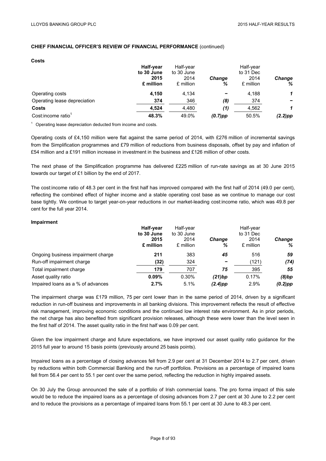| <b>Costs</b>                 |            |            |               |           |               |
|------------------------------|------------|------------|---------------|-----------|---------------|
|                              | Half-year  | Half-year  |               | Half-year |               |
|                              | to 30 June | to 30 June |               | to 31 Dec |               |
|                              | 2015       | 2014       | <b>Change</b> | 2014      | <b>Change</b> |
|                              | £ million  | £ million  | %             | £ million | %             |
| Operating costs              | 4.150      | 4.134      |               | 4,188     | 1             |
| Operating lease depreciation | 374        | 346        | (8)           | 374       |               |
| Costs                        | 4,524      | 4,480      | (1)           | 4,562     | 1             |
| Cost:income ratio            | 48.3%      | 49.0%      | $(0.7)$ pp    | 50.5%     | $(2.2)$ pp    |

 $1$  Operating lease depreciation deducted from income and costs.

Operating costs of £4,150 million were flat against the same period of 2014, with £276 million of incremental savings from the Simplification programmes and £79 million of reductions from business disposals, offset by pay and inflation of £54 million and a £191 million increase in investment in the business and £126 million of other costs.

The next phase of the Simplification programme has delivered £225 million of run-rate savings as at 30 June 2015 towards our target of £1 billion by the end of 2017.

The cost:income ratio of 48.3 per cent in the first half has improved compared with the first half of 2014 (49.0 per cent), reflecting the combined effect of higher income and a stable operating cost base as we continue to manage our cost base tightly. We continue to target year-on-year reductions in our market-leading cost:income ratio, which was 49.8 per cent for the full year 2014.

## **Impairment**

|                                    | Half-year  | Half-year  |               | Half-year |               |
|------------------------------------|------------|------------|---------------|-----------|---------------|
|                                    | to 30 June | to 30 June |               | to 31 Dec |               |
|                                    | 2015       | 2014       | <b>Change</b> | 2014      | <b>Change</b> |
|                                    | £ million  | £ million  | %             | £ million | ℅             |
| Ongoing business impairment charge | 211        | 383        | 45            | 516       | 59            |
| Run-off impairment charge          | (32)       | 324        | -             | (121)     | (74)          |
| Total impairment charge            | 179        | 707        | 75            | 395       | 55            |
| Asset quality ratio                | 0.09%      | 0.30%      | (21)bp        | 0.17%     | (8)bp         |
| Impaired loans as a % of advances  | 2.7%       | 5.1%       | $(2.4)$ pp    | 2.9%      | $(0.2)$ pp    |

The impairment charge was £179 million, 75 per cent lower than in the same period of 2014, driven by a significant reduction in run-off business and improvements in all banking divisions. This improvement reflects the result of effective risk management, improving economic conditions and the continued low interest rate environment. As in prior periods, the net charge has also benefited from significant provision releases, although these were lower than the level seen in the first half of 2014. The asset quality ratio in the first half was 0.09 per cent.

Given the low impairment charge and future expectations, we have improved our asset quality ratio guidance for the 2015 full year to around 15 basis points (previously around 25 basis points).

Impaired loans as a percentage of closing advances fell from 2.9 per cent at 31 December 2014 to 2.7 per cent, driven by reductions within both Commercial Banking and the run-off portfolios. Provisions as a percentage of impaired loans fell from 56.4 per cent to 55.1 per cent over the same period, reflecting the reduction in highly impaired assets.

On 30 July the Group announced the sale of a portfolio of Irish commercial loans. The pro forma impact of this sale would be to reduce the impaired loans as a percentage of closing advances from 2.7 per cent at 30 June to 2.2 per cent and to reduce the provisions as a percentage of impaired loans from 55.1 per cent at 30 June to 48.3 per cent.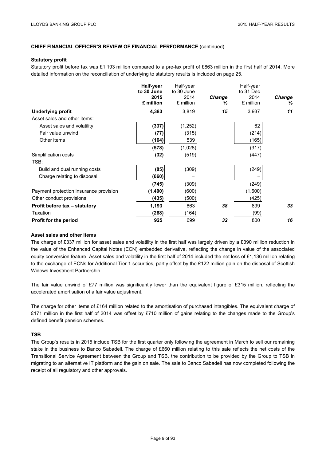## **Statutory profit**

Statutory profit before tax was £1,193 million compared to a pre-tax profit of £863 million in the first half of 2014. More detailed information on the reconciliation of underlying to statutory results is included on page 25.

|                                        | Half-year<br>to 30 June<br>2015<br>£ million | Half-year<br>to 30 June<br>2014<br>£ million | <b>Change</b><br>℅ | Half-year<br>to 31 Dec<br>2014<br>£ million | <b>Change</b><br>℅ |
|----------------------------------------|----------------------------------------------|----------------------------------------------|--------------------|---------------------------------------------|--------------------|
| <b>Underlying profit</b>               | 4,383                                        | 3,819                                        | 15                 | 3,937                                       | 11                 |
| Asset sales and other items:           |                                              |                                              |                    |                                             |                    |
| Asset sales and volatility             | (337)                                        | (1, 252)                                     |                    | 62                                          |                    |
| Fair value unwind                      | (77)                                         | (315)                                        |                    | (214)                                       |                    |
| Other items                            | (164)                                        | 539                                          |                    | (165)                                       |                    |
|                                        | (578)                                        | (1,028)                                      |                    | (317)                                       |                    |
| Simplification costs                   | (32)                                         | (519)                                        |                    | (447)                                       |                    |
| TSB:                                   |                                              |                                              |                    |                                             |                    |
| Build and dual running costs           | (85)                                         | (309)                                        |                    | (249)                                       |                    |
| Charge relating to disposal            | (660)                                        |                                              |                    |                                             |                    |
|                                        | (745)                                        | (309)                                        |                    | (249)                                       |                    |
| Payment protection insurance provision | (1,400)                                      | (600)                                        |                    | (1,600)                                     |                    |
| Other conduct provisions               | (435)                                        | (500)                                        |                    | (425)                                       |                    |
| Profit before tax - statutory          | 1,193                                        | 863                                          | 38                 | 899                                         | 33                 |
| Taxation                               | (268)                                        | (164)                                        |                    | (99)                                        |                    |
| Profit for the period                  | 925                                          | 699                                          | 32                 | 800                                         | 16                 |
|                                        |                                              |                                              |                    |                                             |                    |

## **Asset sales and other items**

The charge of £337 million for asset sales and volatility in the first half was largely driven by a £390 million reduction in the value of the Enhanced Capital Notes (ECN) embedded derivative, reflecting the change in value of the associated equity conversion feature. Asset sales and volatility in the first half of 2014 included the net loss of £1,136 million relating to the exchange of ECNs for Additional Tier 1 securities, partly offset by the £122 million gain on the disposal of Scottish Widows Investment Partnership.

The fair value unwind of £77 million was significantly lower than the equivalent figure of £315 million, reflecting the accelerated amortisation of a fair value adjustment.

The charge for other items of £164 million related to the amortisation of purchased intangibles. The equivalent charge of £171 million in the first half of 2014 was offset by £710 million of gains relating to the changes made to the Group's defined benefit pension schemes.

# **TSB**

The Group's results in 2015 include TSB for the first quarter only following the agreement in March to sell our remaining stake in the business to Banco Sabadell. The charge of £660 million relating to this sale reflects the net costs of the Transitional Service Agreement between the Group and TSB, the contribution to be provided by the Group to TSB in migrating to an alternative IT platform and the gain on sale. The sale to Banco Sabadell has now completed following the receipt of all regulatory and other approvals.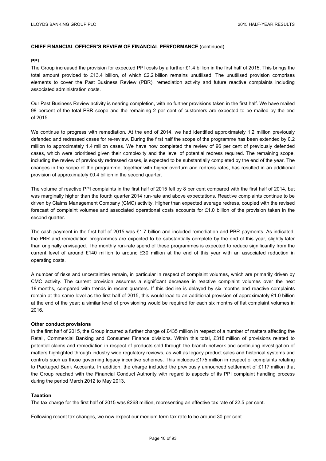## **PPI**

The Group increased the provision for expected PPI costs by a further £1.4 billion in the first half of 2015. This brings the total amount provided to £13.4 billion, of which £2.2 billion remains unutilised. The unutilised provision comprises elements to cover the Past Business Review (PBR), remediation activity and future reactive complaints including associated administration costs.

Our Past Business Review activity is nearing completion, with no further provisions taken in the first half. We have mailed 98 percent of the total PBR scope and the remaining 2 per cent of customers are expected to be mailed by the end of 2015.

We continue to progress with remediation. At the end of 2014, we had identified approximately 1.2 million previously defended and redressed cases for re-review. During the first half the scope of the programme has been extended by 0.2 million to approximately 1.4 million cases. We have now completed the review of 96 per cent of previously defended cases, which were prioritised given their complexity and the level of potential redress required. The remaining scope, including the review of previously redressed cases, is expected to be substantially completed by the end of the year. The changes in the scope of the programme, together with higher overturn and redress rates, has resulted in an additional provision of approximately £0.4 billion in the second quarter.

The volume of reactive PPI complaints in the first half of 2015 fell by 8 per cent compared with the first half of 2014, but was marginally higher than the fourth quarter 2014 run-rate and above expectations. Reactive complaints continue to be driven by Claims Management Company (CMC) activity. Higher than expected average redress, coupled with the revised forecast of complaint volumes and associated operational costs accounts for £1.0 billion of the provision taken in the second quarter.

The cash payment in the first half of 2015 was £1.7 billion and included remediation and PBR payments. As indicated, the PBR and remediation programmes are expected to be substantially complete by the end of this year, slightly later than originally envisaged. The monthly run-rate spend of these programmes is expected to reduce significantly from the current level of around £140 million to around £30 million at the end of this year with an associated reduction in operating costs.

A number of risks and uncertainties remain, in particular in respect of complaint volumes, which are primarily driven by CMC activity. The current provision assumes a significant decrease in reactive complaint volumes over the next 18 months, compared with trends in recent quarters. If this decline is delayed by six months and reactive complaints remain at the same level as the first half of 2015, this would lead to an additional provision of approximately £1.0 billion at the end of the year; a similar level of provisioning would be required for each six months of flat complaint volumes in 2016.

## **Other conduct provisions**

In the first half of 2015, the Group incurred a further charge of £435 million in respect of a number of matters affecting the Retail, Commercial Banking and Consumer Finance divisions. Within this total, £318 million of provisions related to potential claims and remediation in respect of products sold through the branch network and continuing investigation of matters highlighted through industry wide regulatory reviews, as well as legacy product sales and historical systems and controls such as those governing legacy incentive schemes. This includes £175 million in respect of complaints relating to Packaged Bank Accounts. In addition, the charge included the previously announced settlement of £117 million that the Group reached with the Financial Conduct Authority with regard to aspects of its PPI complaint handling process during the period March 2012 to May 2013.

## **Taxation**

The tax charge for the first half of 2015 was £268 million, representing an effective tax rate of 22.5 per cent.

Following recent tax changes, we now expect our medium term tax rate to be around 30 per cent.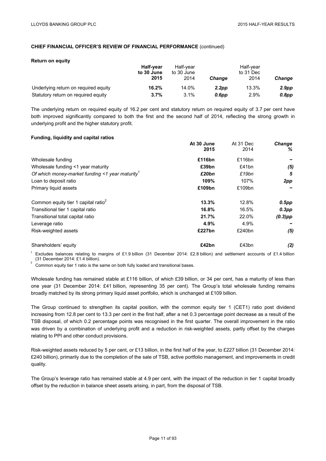#### **Return on equity**

|                                      | <b>Half-vear</b><br>to 30 June | Half-vear<br>to 30 June |                   |       |               |
|--------------------------------------|--------------------------------|-------------------------|-------------------|-------|---------------|
|                                      | 2015                           | 2014                    | <b>Change</b>     | 2014  | <b>Change</b> |
| Underlying return on required equity | 16.2%                          | 14.0%                   | 2.2 <sub>pp</sub> | 13.3% | 2.9pp         |
| Statutory return on required equity  | 3.7%                           | 3.1%                    | 0.6pp             | 2.9%  | $0.8$ pp      |

The underlying return on required equity of 16.2 per cent and statutory return on required equity of 3.7 per cent have both improved significantly compared to both the first and the second half of 2014, reflecting the strong growth in underlying profit and the higher statutory profit.

## **Funding, liquidity and capital ratios**

|                                                      | At 30 June | At 31 Dec | <b>Change</b> |
|------------------------------------------------------|------------|-----------|---------------|
|                                                      | 2015       | 2014      | %             |
| Wholesale funding                                    | £116bn     | £116bn    |               |
| Wholesale funding <1 year maturity                   | £39bn      | £41bn     | (5)           |
| Of which money-market funding $\leq$ 1 year maturity | £20bn      | £19bn     | 5             |
| Loan to deposit ratio                                | 109%       | 107%      | 2pp           |
| Primary liquid assets                                | £109bn     | £109bn    |               |
| Common equity tier 1 capital ratio <sup>2</sup>      | 13.3%      | 12.8%     | $0.5$ pp      |
| Transitional tier 1 capital ratio                    | 16.8%      | 16.5%     | $0.3$ pp      |
| Transitional total capital ratio                     | 21.7%      | 22.0%     | $(0.3)$ pp    |
| Leverage ratio                                       | 4.9%       | 4.9%      |               |
| Risk-weighted assets                                 | £227bn     | £240bn    | (5)           |
| Shareholders' equity                                 | £42bn      | £43bn     | (2)           |

Excludes balances relating to margins of £1.9 billion (31 December 2014: £2.8 billion) and settlement accounts of £1.4 billion (31 December 2014: £1.4 billion). 2

Common equity tier 1 ratio is the same on both fully loaded and transitional bases.

Wholesale funding has remained stable at £116 billion, of which £39 billion, or 34 per cent, has a maturity of less than one year (31 December 2014: £41 billion, representing 35 per cent). The Group's total wholesale funding remains broadly matched by its strong primary liquid asset portfolio, which is unchanged at £109 billion.

The Group continued to strengthen its capital position, with the common equity tier 1 (CET1) ratio post dividend increasing from 12.8 per cent to 13.3 per cent in the first half, after a net 0.3 percentage point decrease as a result of the TSB disposal, of which 0.2 percentage points was recognised in the first quarter. The overall improvement in the ratio was driven by a combination of underlying profit and a reduction in risk-weighted assets, partly offset by the charges relating to PPI and other conduct provisions.

Risk-weighted assets reduced by 5 per cent, or £13 billion, in the first half of the year, to £227 billion (31 December 2014: £240 billion), primarily due to the completion of the sale of TSB, active portfolio management, and improvements in credit quality.

The Group's leverage ratio has remained stable at 4.9 per cent, with the impact of the reduction in tier 1 capital broadly offset by the reduction in balance sheet assets arising, in part, from the disposal of TSB.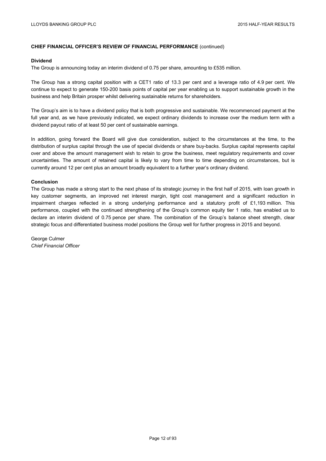### **Dividend**

The Group is announcing today an interim dividend of 0.75 per share, amounting to £535 million.

The Group has a strong capital position with a CET1 ratio of 13.3 per cent and a leverage ratio of 4.9 per cent. We continue to expect to generate 150-200 basis points of capital per year enabling us to support sustainable growth in the business and help Britain prosper whilst delivering sustainable returns for shareholders.

The Group's aim is to have a dividend policy that is both progressive and sustainable. We recommenced payment at the full year and, as we have previously indicated, we expect ordinary dividends to increase over the medium term with a dividend payout ratio of at least 50 per cent of sustainable earnings.

In addition, going forward the Board will give due consideration, subject to the circumstances at the time, to the distribution of surplus capital through the use of special dividends or share buy-backs. Surplus capital represents capital over and above the amount management wish to retain to grow the business, meet regulatory requirements and cover uncertainties. The amount of retained capital is likely to vary from time to time depending on circumstances, but is currently around 12 per cent plus an amount broadly equivalent to a further year's ordinary dividend.

## **Conclusion**

The Group has made a strong start to the next phase of its strategic journey in the first half of 2015, with loan growth in key customer segments, an improved net interest margin, tight cost management and a significant reduction in impairment charges reflected in a strong underlying performance and a statutory profit of £1,193 million. This performance, coupled with the continued strengthening of the Group's common equity tier 1 ratio, has enabled us to declare an interim dividend of 0.75 pence per share. The combination of the Group's balance sheet strength, clear strategic focus and differentiated business model positions the Group well for further progress in 2015 and beyond.

George Culmer *Chief Financial Officer*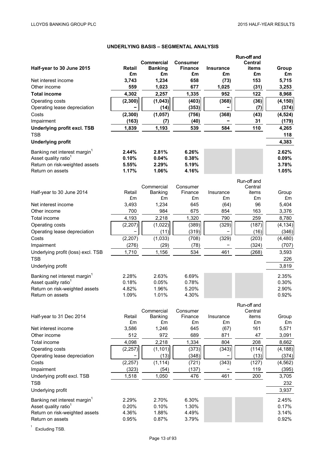# **UNDERLYING BASIS – SEGMENTAL ANALYSIS**

| Half-year to 30 June 2015                | Retail<br>£m | <b>Commercial</b><br><b>Banking</b><br>£m | <b>Consumer</b><br><b>Finance</b><br>£m | <b>Insurance</b><br>£m | Run-off and<br><b>Central</b><br>items<br>£m | Group<br>£m |
|------------------------------------------|--------------|-------------------------------------------|-----------------------------------------|------------------------|----------------------------------------------|-------------|
| Net interest income                      | 3,743        | 1,234                                     | 658                                     | (73)                   | 153                                          | 5,715       |
| Other income                             | 559          | 1,023                                     | 677                                     | 1,025                  | (31)                                         | 3,253       |
| <b>Total income</b>                      | 4,302        | 2,257                                     | 1,335                                   | 952                    | 122                                          | 8,968       |
| Operating costs                          | (2, 300)     | (1, 043)                                  | (403)                                   | (368)                  | (36)                                         | (4, 150)    |
| Operating lease depreciation             |              | (14)                                      | (353)                                   |                        | (7)                                          | (374)       |
| Costs                                    | (2, 300)     | (1,057)                                   | (756)                                   | (368)                  | (43)                                         | (4, 524)    |
| Impairment                               | (163)        | (7)                                       | (40)                                    |                        | 31                                           | (179)       |
| <b>Underlying profit excl. TSB</b>       | 1,839        | 1,193                                     | 539                                     | 584                    | 110                                          | 4,265       |
| <b>TSB</b>                               |              |                                           |                                         |                        |                                              | 118         |
| <b>Underlying profit</b>                 |              |                                           |                                         |                        |                                              | 4,383       |
| Banking net interest margin <sup>1</sup> | 2.44%        | 2.81%                                     | 6.26%                                   |                        |                                              | 2.62%       |
| Asset quality ratio <sup>1</sup>         | 0.10%        | 0.04%                                     | 0.38%                                   |                        |                                              | 0.09%       |
| Return on risk-weighted assets           | 5.55%        | 2.29%                                     | 5.19%                                   |                        |                                              | 3.78%       |
| Return on assets                         | 1.17%        | 1.06%                                     | 4.16%                                   |                        |                                              | 1.05%       |
|                                          |              |                                           |                                         |                        | Run-off and                                  |             |
|                                          |              | Commercial                                | Consumer                                |                        | Central                                      |             |
| Half-year to 30 June 2014                | Retail<br>£m | Banking<br>£m                             | Finance                                 | Insurance              | items                                        | Group<br>£m |
| Net interest income                      | 3,493        | 1,234                                     | £m<br>645                               | £m<br>(64)             | £m<br>96                                     | 5,404       |
| Other income                             | 700          | 984                                       | 675                                     | 854                    | 163                                          | 3,376       |
| Total income                             | 4,193        | 2,218                                     | 1,320                                   | 790                    | 259                                          | 8,780       |
| Operating costs                          | (2, 207)     | (1,022)                                   | (389)                                   | (329)                  | (187)                                        | (4, 134)    |
| Operating lease depreciation             |              | (11)                                      | (319)                                   |                        | (16)                                         | (346)       |
| Costs                                    | (2, 207)     | (1,033)                                   | (708)                                   | (329)                  | (203)                                        | (4, 480)    |
| Impairment                               | (276)        | (29)                                      | (78)                                    |                        | (324)                                        | (707)       |
| Underlying profit (loss) excl. TSB       | 1,710        | 1,156                                     | 534                                     | 461                    | (268)                                        | 3,593       |
| <b>TSB</b>                               |              |                                           |                                         |                        |                                              | 226         |
| Underlying profit                        |              |                                           |                                         |                        |                                              | 3,819       |
| Banking net interest margin <sup>1</sup> | 2.28%        | 2.63%                                     | 6.69%                                   |                        |                                              | 2.35%       |
| Asset quality ratio <sup>1</sup>         | 0.18%        | 0.05%                                     | 0.78%                                   |                        |                                              | 0.30%       |
| Return on risk-weighted assets           | 4.82%        | 1.96%                                     | 5.20%                                   |                        |                                              | 2.90%       |
| Return on assets                         | 1.09%        | 1.01%                                     | 4.30%                                   |                        |                                              | 0.92%       |
|                                          |              |                                           |                                         |                        | Run-off and                                  |             |
|                                          |              | Commercial                                | Consumer                                |                        | Central                                      |             |
| Half-year to 31 Dec 2014                 | Retail       | Banking                                   | Finance                                 | Insurance              | items                                        | Group       |
| Net interest income                      | £m<br>3,586  | £m<br>1,246                               | £m<br>645                               | £m<br>(67)             | £m<br>161                                    | £m<br>5,571 |
| Other income                             | 512          | 972                                       | 689                                     | 871                    | 47                                           | 3,091       |
| Total income                             | 4,098        | 2,218                                     | 1,334                                   | 804                    | 208                                          | 8,662       |
| Operating costs                          | (2, 257)     | (1, 101)                                  | (373)                                   | (343)                  | (114)                                        | (4, 188)    |
| Operating lease depreciation             |              | (13)                                      | (348)                                   |                        | (13)                                         | (374)       |
| Costs                                    | (2, 257)     | (1, 114)                                  | (721)                                   | (343)                  | (127)                                        | (4, 562)    |
| Impairment                               | (323)        | (54)                                      | (137)                                   |                        | 119                                          | (395)       |
| Underlying profit excl. TSB              | 1,518        | 1,050                                     | 476                                     | 461                    | 200                                          | 3,705       |
| <b>TSB</b>                               |              |                                           |                                         |                        |                                              | 232         |
| Underlying profit                        |              |                                           |                                         |                        |                                              | 3,937       |
| Banking net interest margin <sup>1</sup> | 2.29%        | 2.70%                                     | 6.30%                                   |                        |                                              | 2.45%       |
| Asset quality ratio <sup>1</sup>         | 0.20%        | 0.10%                                     | 1.30%                                   |                        |                                              | 0.17%       |
| Return on risk-weighted assets           | 4.36%        | 1.88%                                     | 4.49%                                   |                        |                                              | 3.14%       |
| Return on assets                         | 0.95%        | 0.87%                                     | 3.79%                                   |                        |                                              | 0.92%       |
|                                          |              |                                           |                                         |                        |                                              |             |

 $1$  Excluding TSB.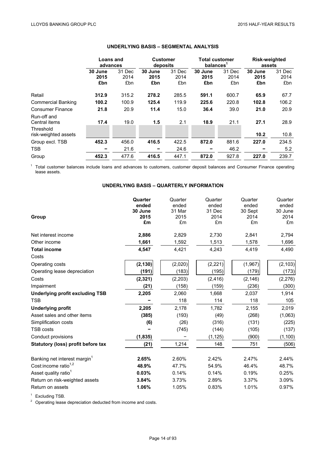|                                           | <b>Loans and</b><br>advances |                       | <b>Customer</b><br>deposits |                       | <b>Total customer</b><br>balances <sup>1</sup> |                       | <b>Risk-weighted</b><br>assets |                       |
|-------------------------------------------|------------------------------|-----------------------|-----------------------------|-----------------------|------------------------------------------------|-----------------------|--------------------------------|-----------------------|
|                                           | 30 June<br>2015<br>£bn       | 31 Dec<br>2014<br>£bn | 30 June<br>2015<br>£bn      | 31 Dec<br>2014<br>£bn | 30 June<br>2015<br>£bn                         | 31 Dec<br>2014<br>£bn | 30 June<br>2015<br>£bn         | 31 Dec<br>2014<br>£bn |
| Retail                                    | 312.9                        | 315.2                 | 278.2                       | 285.5                 | 591.1                                          | 600.7                 | 65.9                           | 67.7                  |
| <b>Commercial Banking</b>                 | 100.2                        | 100.9                 | 125.4                       | 119.9                 | 225.6                                          | 220.8                 | 102.8                          | 106.2                 |
| <b>Consumer Finance</b>                   | 21.8                         | 20.9                  | 11.4                        | 15.0                  | 36.4                                           | 39.0                  | 21.0                           | 20.9                  |
| Run-off and<br>Central items<br>Threshold | 17.4                         | 19.0                  | 1.5                         | 2.1                   | 18.9                                           | 21.1                  | 27.1                           | 28.9                  |
| risk-weighted assets                      |                              |                       |                             |                       |                                                |                       | 10.2                           | 10.8                  |
| Group excl. TSB                           | 452.3                        | 456.0                 | 416.5                       | 422.5                 | 872.0                                          | 881.6                 | 227.0                          | 234.5                 |
| <b>TSB</b>                                |                              | 21.6                  |                             | 24.6                  |                                                | 46.2                  |                                | 5.2                   |
| Group                                     | 452.3                        | 477.6                 | 416.5                       | 447.1                 | 872.0                                          | 927.8                 | 227.0                          | 239.7                 |

# **UNDERLYING BASIS – SEGMENTAL ANALYSIS**

<sup>1</sup> Total customer balances include loans and advances to customers, customer deposit balances and Consumer Finance operating lease assets.

# **UNDERLYING BASIS – QUARTERLY INFORMATION**

| Group                                    | Quarter<br>ended<br>30 June<br>2015<br>£m | Quarter<br>ended<br>31 Mar<br>2015<br>£m | Quarter<br>ended<br>31 Dec<br>2014<br>£m | Quarter<br>ended<br>30 Sept<br>2014<br>£m | Quarter<br>ended<br>30 June<br>2014<br>£m |
|------------------------------------------|-------------------------------------------|------------------------------------------|------------------------------------------|-------------------------------------------|-------------------------------------------|
| Net interest income                      | 2,886                                     | 2,829                                    | 2,730                                    | 2,841                                     | 2,794                                     |
| Other income                             | 1,661                                     | 1,592                                    | 1,513                                    | 1,578                                     | 1,696                                     |
| <b>Total income</b>                      | 4,547                                     | 4,421                                    | 4,243                                    | 4,419                                     | 4,490                                     |
| Costs                                    |                                           |                                          |                                          |                                           |                                           |
| Operating costs                          | (2, 130)                                  | (2,020)                                  | (2, 221)                                 | (1,967)                                   | (2, 103)                                  |
| Operating lease depreciation             | (191)                                     | (183)                                    | (195)                                    | (179)                                     | (173)                                     |
| Costs                                    | (2, 321)                                  | (2, 203)                                 | (2, 416)                                 | (2, 146)                                  | (2, 276)                                  |
| Impairment                               | (21)                                      | (158)                                    | (159)                                    | (236)                                     | (300)                                     |
| <b>Underlying profit excluding TSB</b>   | 2,205                                     | 2,060                                    | 1,668                                    | 2,037                                     | 1,914                                     |
| <b>TSB</b>                               |                                           | 118                                      | 114                                      | 118                                       | 105                                       |
| <b>Underlying profit</b>                 | 2,205                                     | 2,178                                    | 1,782                                    | 2,155                                     | 2,019                                     |
| Asset sales and other items              | (385)                                     | (193)                                    | (49)                                     | (268)                                     | (1,063)                                   |
| Simplification costs                     | (6)                                       | (26)                                     | (316)                                    | (131)                                     | (225)                                     |
| <b>TSB costs</b>                         |                                           | (745)                                    | (144)                                    | (105)                                     | (137)                                     |
| Conduct provisions                       | (1, 835)                                  |                                          | (1, 125)                                 | (900)                                     | (1, 100)                                  |
| Statutory (loss) profit before tax       | (21)                                      | 1,214                                    | 148                                      | 751                                       | (506)                                     |
| Banking net interest margin <sup>1</sup> | 2.65%                                     | 2.60%                                    | 2.42%                                    | 2.47%                                     | 2.44%                                     |
| Cost:income ratio <sup>1,2</sup>         | 48.9%                                     | 47.7%                                    | 54.9%                                    | 46.4%                                     | 48.7%                                     |
| Asset quality ratio <sup>1</sup>         | 0.03%                                     | 0.14%                                    | 0.14%                                    | 0.19%                                     | 0.25%                                     |
| Return on risk-weighted assets           | 3.84%                                     | 3.73%                                    | 2.89%                                    | 3.37%                                     | 3.09%                                     |
| Return on assets                         | 1.06%                                     | 1.05%                                    | 0.83%                                    | 1.01%                                     | 0.97%                                     |

<sup>1</sup> Excluding TSB.<br><sup>2</sup> Operating lease depreciation deducted from income and costs.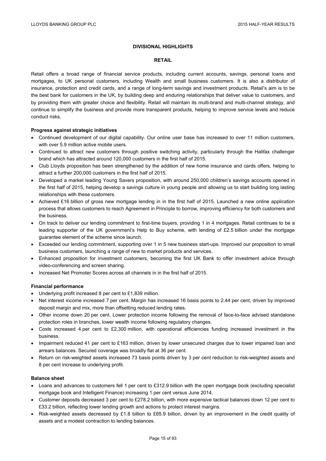# **DIVISIONAL HIGHLIGHTS**

## **RETAIL**

Retail offers a broad range of financial service products, including current accounts, savings, personal loans and mortgages, to UK personal customers, including Wealth and small business customers. It is also a distributor of insurance, protection and credit cards, and a range of long-term savings and investment products. Retail's aim is to be the best bank for customers in the UK, by building deep and enduring relationships that deliver value to customers, and by providing them with greater choice and flexibility. Retail will maintain its multi-brand and multi-channel strategy, and continue to simplify the business and provide more transparent products, helping to improve service levels and reduce conduct risks.

## **Progress against strategic initiatives**

- Continued development of our digital capability. Our online user base has increased to over 11 million customers, with over 5.9 million active mobile users.
- Continued to attract new customers through positive switching activity, particularly through the Halifax challenger brand which has attracted around 120,000 customers in the first half of 2015.
- Club Lloyds proposition has been strengthened by the addition of new home insurance and cards offers, helping to attract a further 200,000 customers in the first half of 2015.
- Developed a market leading Young Savers proposition, with around 250,000 children's savings accounts opened in the first half of 2015, helping develop a savings culture in young people and allowing us to start building long lasting relationships with these customers.
- Achieved £16 billion of gross new mortgage lending in in the first half of 2015. Launched a new online application process that allows customers to reach Agreement in Principle to borrow, improving efficiency for both customers and the business.
- On track to deliver our lending commitment to first-time buyers, providing 1 in 4 mortgages. Retail continues to be a leading supporter of the UK government's Help to Buy scheme, with lending of £2.5 billion under the mortgage guarantee element of the scheme since launch.
- Exceeded our lending commitment, supporting over 1 in 5 new business start-ups. Improved our proposition to small business customers, launching a range of new to market products and services.
- Enhanced proposition for investment customers, becoming the first UK Bank to offer investment advice through video-conferencing and screen sharing.
- Increased Net Promoter Scores across all channels in in the first half of 2015.

# **Financial performance**

- Underlying profit increased 8 per cent to £1,839 million.
- Net interest income increased 7 per cent. Margin has increased 16 basis points to 2.44 per cent, driven by improved deposit margin and mix, more than offsetting reduced lending rates.
- Other income down 20 per cent. Lower protection income following the removal of face-to-face advised standalone protection roles in branches, lower wealth income following regulatory changes.
- Costs increased 4 per cent to £2,300 million, with operational efficiencies funding increased investment in the business.
- Impairment reduced 41 per cent to £163 million, driven by lower unsecured charges due to lower impaired loan and arrears balances. Secured coverage was broadly flat at 36 per cent.
- Return on risk-weighted assets increased 73 basis points driven by 3 per cent reduction to risk-weighted assets and 8 per cent increase to underlying profit.

## **Balance sheet**

- Loans and advances to customers fell 1 per cent to £312.9 billion with the open mortgage book (excluding specialist mortgage book and Intelligent Finance) increasing 1 per cent versus June 2014.
- Customer deposits decreased 3 per cent to £278.2 billion, with more expensive tactical balances down 12 per cent to £33.2 billion, reflecting lower lending growth and actions to protect interest margins.
- Risk-weighted assets decreased by £1.8 billion to £65.9 billion, driven by an improvement in the credit quality of assets and a modest contraction to lending balances.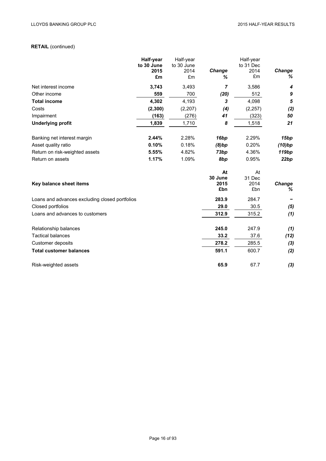# **RETAIL** (continued)

|                                                | Half-year<br>to 30 June | Half-year<br>to 30 June |                           | Half-year<br>to 31 Dec |                   |
|------------------------------------------------|-------------------------|-------------------------|---------------------------|------------------------|-------------------|
|                                                | 2015                    | 2014                    | Change                    | 2014                   | Change            |
|                                                | £m                      | £m                      | ℅                         | £m                     | ℅                 |
| Net interest income                            | 3,743                   | 3,493                   | 7                         | 3,586                  | 4                 |
| Other income                                   | 559                     | 700                     | (20)                      | 512                    | $\boldsymbol{9}$  |
| <b>Total income</b>                            | 4,302                   | 4,193                   | $\boldsymbol{\mathsf{3}}$ | 4,098                  | 5                 |
| Costs                                          | (2, 300)                | (2, 207)                | (4)                       | (2, 257)               | (2)               |
| Impairment                                     | (163)                   | (276)                   | 41                        | (323)                  | 50                |
| <b>Underlying profit</b>                       | 1,839                   | 1,710                   | 8                         | 1,518                  | 21                |
| Banking net interest margin                    | 2.44%                   | 2.28%                   | 16bp                      | 2.29%                  | 15bp              |
| Asset quality ratio                            | 0.10%                   | 0.18%                   | (8)bp                     | 0.20%                  | (10)bp            |
| Return on risk-weighted assets                 | 5.55%                   | 4.82%                   | 73bp                      | 4.36%                  | 119 <sub>bp</sub> |
| Return on assets                               | 1.17%                   | 1.09%                   | 8bp                       | 0.95%                  | 22bp              |
|                                                |                         |                         | At                        | At                     |                   |
|                                                |                         |                         | 30 June                   | 31 Dec                 |                   |
| Key balance sheet items                        |                         |                         | 2015<br>£bn               | 2014<br>£bn            | Change<br>℅       |
| Loans and advances excluding closed portfolios |                         |                         | 283.9                     | 284.7                  |                   |
| Closed portfolios                              |                         |                         | 29.0                      | 30.5                   | (5)               |
| Loans and advances to customers                |                         |                         | 312.9                     | 315.2                  | (1)               |
| Relationship balances                          |                         |                         | 245.0                     | 247.9                  | (1)               |
| <b>Tactical balances</b>                       |                         |                         | 33.2                      | 37.6                   | (12)              |
| Customer deposits                              |                         |                         | 278.2                     | 285.5                  | (3)               |
| <b>Total customer balances</b>                 |                         |                         | 591.1                     | 600.7                  | (2)               |

Risk-weighted assets **65.9** 67.7 *(3)*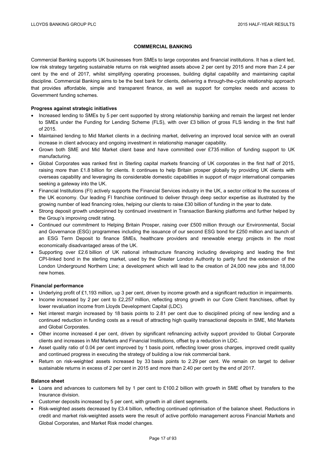# **COMMERCIAL BANKING**

Commercial Banking supports UK businesses from SMEs to large corporates and financial institutions. It has a client led, low risk strategy targeting sustainable returns on risk weighted assets above 2 per cent by 2015 and more than 2.4 per cent by the end of 2017, whilst simplifying operating processes, building digital capability and maintaining capital discipline. Commercial Banking aims to be the best bank for clients, delivering a through-the-cycle relationship approach that provides affordable, simple and transparent finance, as well as support for complex needs and access to Government funding schemes.

# **Progress against strategic initiatives**

- Increased lending to SMEs by 5 per cent supported by strong relationship banking and remain the largest net lender to SMEs under the Funding for Lending Scheme (FLS), with over £3 billion of gross FLS lending in the first half of 2015.
- Maintained lending to Mid Market clients in a declining market, delivering an improved local service with an overall increase in client advocacy and ongoing investment in relationship manager capability.
- Grown both SME and Mid Market client base and have committed over £735 million of funding support to UK manufacturing.
- Global Corporates was ranked first in Sterling capital markets financing of UK corporates in the first half of 2015, raising more than £1.8 billion for clients. It continues to help Britain prosper globally by providing UK clients with overseas capability and leveraging its considerable domestic capabilities in support of major international companies seeking a gateway into the UK.
- Financial Institutions (FI) actively supports the Financial Services industry in the UK, a sector critical to the success of the UK economy. Our leading FI franchise continued to deliver through deep sector expertise as illustrated by the growing number of lead financing roles, helping our clients to raise £30 billion of funding in the year to date.
- Strong deposit growth underpinned by continued investment in Transaction Banking platforms and further helped by the Group's improving credit rating.
- Continued our commitment to Helping Britain Prosper, raising over £500 million through our Environmental, Social and Governance (ESG) programmes including the issuance of our second ESG bond for £250 million and launch of an ESG Term Deposit to finance SMEs, healthcare providers and renewable energy projects in the most economically disadvantaged areas of the UK.
- Supporting over £2.6 billion of UK national infrastructure financing including developing and leading the first CPI-linked bond in the sterling market, used by the Greater London Authority to partly fund the extension of the London Underground Northern Line; a development which will lead to the creation of 24,000 new jobs and 18,000 new homes.

## **Financial performance**

- Underlying profit of £1,193 million, up 3 per cent, driven by income growth and a significant reduction in impairments.
- Income increased by 2 per cent to £2,257 million, reflecting strong growth in our Core Client franchises, offset by lower revaluation income from Lloyds Development Capital (LDC).
- Net interest margin increased by 18 basis points to 2.81 per cent due to disciplined pricing of new lending and a continued reduction in funding costs as a result of attracting high quality transactional deposits in SME, Mid Markets and Global Corporates.
- Other income increased 4 per cent, driven by significant refinancing activity support provided to Global Corporate clients and increases in Mid Markets and Financial Institutions, offset by a reduction in LDC.
- Asset quality ratio of 0.04 per cent improved by 1 basis point, reflecting lower gross charges, improved credit quality and continued progress in executing the strategy of building a low risk commercial bank.
- Return on risk-weighted assets increased by 33 basis points to 2.29 per cent. We remain on target to deliver sustainable returns in excess of 2 per cent in 2015 and more than 2.40 per cent by the end of 2017.

## **Balance sheet**

- Loans and advances to customers fell by 1 per cent to £100.2 billion with growth in SME offset by transfers to the Insurance division.
- Customer deposits increased by 5 per cent, with growth in all client segments.
- Risk-weighted assets decreased by £3.4 billion, reflecting continued optimisation of the balance sheet. Reductions in credit and market risk-weighted assets were the result of active portfolio management across Financial Markets and Global Corporates, and Market Risk model changes.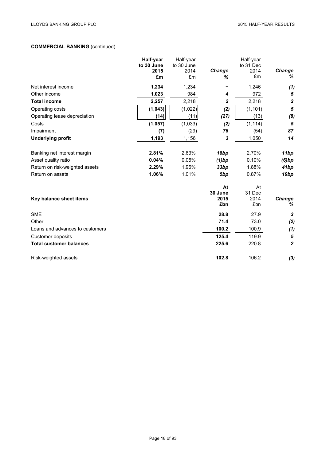# **COMMERCIAL BANKING** (continued)

|                                 | Half-year<br>to 30 June | Half-year<br>to 30 June |                 | Half-year<br>to 31 Dec |                  |
|---------------------------------|-------------------------|-------------------------|-----------------|------------------------|------------------|
|                                 | 2015                    | 2014                    | Change          | 2014                   | Change           |
|                                 | £m                      | £m                      | ℅               | £m                     | %                |
| Net interest income             | 1,234                   | 1,234                   |                 | 1,246                  | (1)              |
| Other income                    | 1,023                   | 984                     | 4               | 972                    | $\bf 5$          |
| <b>Total income</b>             | 2,257                   | 2,218                   | $\mathbf{2}$    | 2,218                  | $\boldsymbol{2}$ |
| Operating costs                 | (1, 043)                | (1,022)                 | (2)             | (1, 101)               | $\sqrt{5}$       |
| Operating lease depreciation    | (14)                    | (11)                    | (27)            | (13)                   | (8)              |
| Costs                           | (1,057)                 | (1,033)                 | (2)             | (1, 114)               | $\sqrt{5}$       |
| Impairment                      | (7)                     | (29)                    | 76              | (54)                   | 87               |
| <b>Underlying profit</b>        | 1,193                   | 1,156                   | 3               | 1,050                  | 14               |
| Banking net interest margin     | 2.81%                   | 2.63%                   | 18bp            | 2.70%                  | 11bp             |
| Asset quality ratio             | 0.04%                   | 0.05%                   | (1)bp           | 0.10%                  | (6)bp            |
| Return on risk-weighted assets  | 2.29%                   | 1.96%                   | 33bp            | 1.88%                  | 41bp             |
| Return on assets                | 1.06%                   | 1.01%                   | 5bp             | 0.87%                  | 19bp             |
|                                 |                         |                         | At              | At                     |                  |
| Key balance sheet items         |                         |                         | 30 June<br>2015 | 31 Dec<br>2014         | <b>Change</b>    |
|                                 |                         |                         | £bn             | £bn                    | %                |
| <b>SME</b>                      |                         |                         | 28.8            | 27.9                   | 3                |
| Other                           |                         |                         | 71.4            | 73.0                   | (2)              |
| Loans and advances to customers |                         |                         | 100.2           | 100.9                  | (1)              |
| Customer deposits               |                         |                         | 125.4           | 119.9                  | $\sqrt{5}$       |
| <b>Total customer balances</b>  |                         |                         | 225.6           | 220.8                  | $\boldsymbol{2}$ |
| Risk-weighted assets            |                         |                         | 102.8           | 106.2                  | $(3)$            |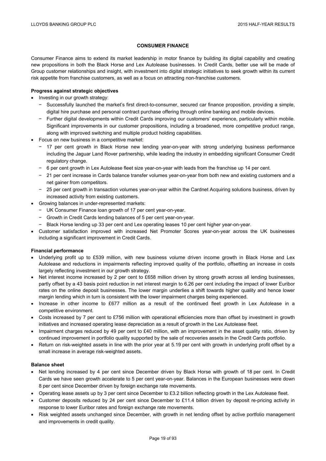## **CONSUMER FINANCE**

Consumer Finance aims to extend its market leadership in motor finance by building its digital capability and creating new propositions in both the Black Horse and Lex Autolease businesses. In Credit Cards, better use will be made of Group customer relationships and insight, with investment into digital strategic initiatives to seek growth within its current risk appetite from franchise customers, as well as a focus on attracting non-franchise customers.

## **Progress against strategic objectives**

- Investing in our growth strategy:
	- − Successfully launched the market's first direct-to-consumer, secured car finance proposition, providing a simple, digital hire purchase and personal contract purchase offering through online banking and mobile devices.
	- − Further digital developments within Credit Cards improving our customers' experience, particularly within mobile. Significant improvements in our customer propositions, including a broadened, more competitive product range, along with improved switching and multiple product holding capabilities.
- Focus on new business in a competitive market:
	- − 17 per cent growth in Black Horse new lending year-on-year with strong underlying business performance including the Jaguar Land Rover partnership, while leading the industry in embedding significant Consumer Credit regulatory change.
	- − 6 per cent growth in Lex Autolease fleet size year-on-year with leads from the franchise up 14 per cent.
	- − 21 per cent increase in Cards balance transfer volumes year-on-year from both new and existing customers and a net gainer from competitors.
	- − 25 per cent growth in transaction volumes year-on-year within the Cardnet Acquiring solutions business, driven by increased activity from existing customers.
- Growing balances in under-represented markets:
	- − UK Consumer Finance loan growth of 17 per cent year-on-year.
	- − Growth in Credit Cards lending balances of 5 per cent year-on-year.
	- − Black Horse lending up 33 per cent and Lex operating leases 10 per cent higher year-on-year.
- Customer satisfaction improved with increased Net Promoter Scores year-on-year across the UK businesses including a significant improvement in Credit Cards.

## **Financial performance**

- Underlying profit up to £539 million, with new business volume driven income growth in Black Horse and Lex Autolease and reductions in impairments reflecting improved quality of the portfolio, offsetting an increase in costs largely reflecting investment in our growth strategy.
- Net interest income increased by 2 per cent to £658 million driven by strong growth across all lending businesses, partly offset by a 43 basis point reduction in net interest margin to 6.26 per cent including the impact of lower Euribor rates on the online deposit businesses. The lower margin underlies a shift towards higher quality and hence lower margin lending which in turn is consistent with the lower impairment charges being experienced.
- Increase in other income to £677 million as a result of the continued fleet growth in Lex Autolease in a competitive environment.
- Costs increased by 7 per cent to £756 million with operational efficiencies more than offset by investment in growth initiatives and increased operating lease depreciation as a result of growth in the Lex Autolease fleet.
- Impairment charges reduced by 49 per cent to £40 million, with an improvement in the asset quality ratio, driven by continued improvement in portfolio quality supported by the sale of recoveries assets in the Credit Cards portfolio.
- Return on risk-weighted assets in line with the prior year at 5.19 per cent with growth in underlying profit offset by a small increase in average risk-weighted assets.

## **Balance sheet**

- Net lending increased by 4 per cent since December driven by Black Horse with growth of 18 per cent. In Credit Cards we have seen growth accelerate to 5 per cent year-on-year. Balances in the European businesses were down 8 per cent since December driven by foreign exchange rate movements.
- $\bullet$  Operating lease assets up by 3 per cent since December to £3.2 billion reflecting growth in the Lex Autolease fleet.
- Customer deposits reduced by 24 per cent since December to £11.4 billion driven by deposit re-pricing activity in response to lower Euribor rates and foreign exchange rate movements.
- Risk weighted assets unchanged since December, with growth in net lending offset by active portfolio management and improvements in credit quality.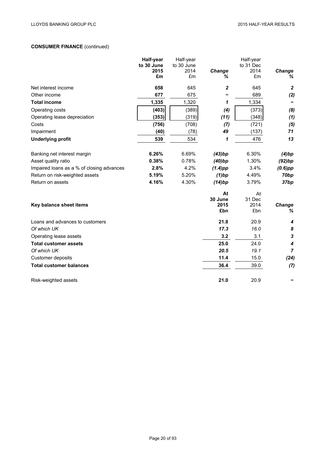# **CONSUMER FINANCE** (continued)

|                                           | Half-year          | Half-year          |               | Half-year         |                           |
|-------------------------------------------|--------------------|--------------------|---------------|-------------------|---------------------------|
|                                           | to 30 June<br>2015 | to 30 June<br>2014 | Change        | to 31 Dec<br>2014 | Change                    |
|                                           | £m                 | £m                 | ℅             | £m                | ℅                         |
| Net interest income                       | 658                | 645                | 2             | 645               | $\boldsymbol{2}$          |
| Other income                              | 677                | 675                |               | 689               | (2)                       |
| <b>Total income</b>                       | 1,335              | 1,320              | 1             | 1,334             |                           |
| Operating costs                           | (403)              | (389)              | (4)           | (373)             | (8)                       |
| Operating lease depreciation              | (353)              | (319)              | (11)          | (348)             | (1)                       |
| Costs                                     | (756)              | (708)              | (7)           | (721)             | (5)                       |
| Impairment                                | (40)               | (78)               | 49            | (137)             | 71                        |
| <b>Underlying profit</b>                  | 539                | 534                | 1             | 476               | 13                        |
| Banking net interest margin               | 6.26%              | 6.69%              | (43)bp        | 6.30%             | (4)bp                     |
| Asset quality ratio                       | 0.38%              | 0.78%              | (40)bp        | 1.30%             | (92)bp                    |
| Impaired loans as a % of closing advances | 2.8%               | 4.2%               | $(1.4)$ pp    | 3.4%              | $(0.6)$ pp                |
| Return on risk-weighted assets            | 5.19%              | 5.20%              | $(1)$ bp      | 4.49%             | 70 <sub>bp</sub>          |
| Return on assets                          | 4.16%              | 4.30%              | (14)bp        | 3.79%             | 37bp                      |
|                                           |                    |                    | At<br>30 June | At<br>31 Dec      |                           |
| Key balance sheet items                   |                    |                    | 2015          | 2014              | Change                    |
|                                           |                    |                    | £bn           | £bn               | %                         |
| Loans and advances to customers           |                    |                    | 21.8          | 20.9              | 4                         |
| Of which UK                               |                    |                    | 17.3          | 16.0              | 8                         |
| Operating lease assets                    |                    |                    | 3.2           | 3.1               | $\boldsymbol{\mathsf{3}}$ |
| <b>Total customer assets</b>              |                    |                    | 25.0          | 24.0              | 4                         |
| Of which UK                               |                    |                    | 20.5          | 19.1              | $\overline{7}$            |
| Customer deposits                         |                    |                    | 11.4          | 15.0              | (24)                      |
| <b>Total customer balances</b>            |                    |                    | 36.4          | 39.0              | (7)                       |
| Risk-weighted assets                      |                    |                    | 21.0          | 20.9              |                           |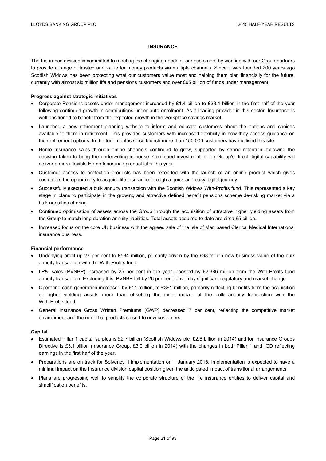## **INSURANCE**

The Insurance division is committed to meeting the changing needs of our customers by working with our Group partners to provide a range of trusted and value for money products via multiple channels. Since it was founded 200 years ago Scottish Widows has been protecting what our customers value most and helping them plan financially for the future, currently with almost six million life and pensions customers and over £95 billion of funds under management.

## **Progress against strategic initiatives**

- Corporate Pensions assets under management increased by £1.4 billion to £28.4 billion in the first half of the year following continued growth in contributions under auto enrolment. As a leading provider in this sector, Insurance is well positioned to benefit from the expected growth in the workplace savings market.
- Launched a new retirement planning website to inform and educate customers about the options and choices available to them in retirement. This provides customers with increased flexibility in how they access guidance on their retirement options. In the four months since launch more than 150,000 customers have utilised this site.
- Home Insurance sales through online channels continued to grow, supported by strong retention, following the decision taken to bring the underwriting in house. Continued investment in the Group's direct digital capability will deliver a more flexible Home Insurance product later this year.
- Customer access to protection products has been extended with the launch of an online product which gives customers the opportunity to acquire life insurance through a quick and easy digital journey.
- Successfully executed a bulk annuity transaction with the Scottish Widows With-Profits fund. This represented a key stage in plans to participate in the growing and attractive defined benefit pensions scheme de-risking market via a bulk annuities offering.
- Continued optimisation of assets across the Group through the acquisition of attractive higher yielding assets from the Group to match long duration annuity liabilities. Total assets acquired to date are circa £5 billion.
- Increased focus on the core UK business with the agreed sale of the Isle of Man based Clerical Medical International insurance business.

## **Financial performance**

- Underlying profit up 27 per cent to £584 million, primarily driven by the £98 million new business value of the bulk annuity transaction with the With-Profits fund.
- LP&I sales (PVNBP) increased by 25 per cent in the year, boosted by £2,386 million from the With-Profits fund annuity transaction. Excluding this, PVNBP fell by 26 per cent, driven by significant regulatory and market change.
- Operating cash generation increased by £11 million, to £391 million, primarily reflecting benefits from the acquisition of higher yielding assets more than offsetting the initial impact of the bulk annuity transaction with the With-Profits fund.
- General Insurance Gross Written Premiums (GWP) decreased 7 per cent, reflecting the competitive market environment and the run off of products closed to new customers.

## **Capital**

- Estimated Pillar 1 capital surplus is £2.7 billion (Scottish Widows plc, £2.6 billion in 2014) and for Insurance Groups Directive is £3.1 billion (Insurance Group, £3.0 billion in 2014) with the changes in both Pillar 1 and IGD reflecting earnings in the first half of the year.
- Preparations are on track for Solvency II implementation on 1 January 2016. Implementation is expected to have a minimal impact on the Insurance division capital position given the anticipated impact of transitional arrangements.
- Plans are progressing well to simplify the corporate structure of the life insurance entities to deliver capital and simplification benefits.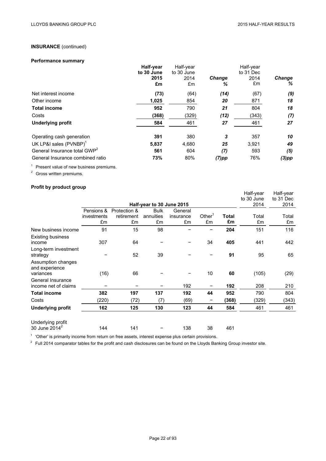# **INSURANCE** (continued)

# **Performance summary**

|                                          | Half-year  | Half-year  |               | Half-year |               |
|------------------------------------------|------------|------------|---------------|-----------|---------------|
|                                          | to 30 June | to 30 June |               | to 31 Dec |               |
|                                          | 2015       | 2014       | <b>Change</b> | 2014      | <b>Change</b> |
|                                          | £m         | £m         | ℅             | £m        | %             |
| Net interest income                      | (73)       | (64)       | (14)          | (67)      | (9)           |
| Other income                             | 1,025      | 854        | 20            | 871       | 18            |
| <b>Total income</b>                      | 952        | 790        | 21            | 804       | 18            |
| Costs                                    | (368)      | (329)      | (12)          | (343)     | (7)           |
| <b>Underlying profit</b>                 | 584        | 461        | 27            | 461       | 27            |
| Operating cash generation                | 391        | 380        | 3             | 357       | 10            |
| UK LP&I sales (PVNBP) <sup>1</sup>       | 5,837      | 4,680      | 25            | 3,921     | 49            |
| General Insurance total GWP <sup>2</sup> | 561        | 604        | (7)           | 593       | (5)           |
| General Insurance combined ratio         | 73%        | 80%        | $(7)$ pp      | 76%       | $(3)$ pp      |

<sup>1</sup> Present value of new business premiums.

<sup>2</sup> Gross written premiums.

# **Profit by product group**

|                                                   |             |              |                           |           |           |              | Half-year  | Half-year |
|---------------------------------------------------|-------------|--------------|---------------------------|-----------|-----------|--------------|------------|-----------|
|                                                   |             |              |                           |           |           |              | to 30 June | to 31 Dec |
|                                                   |             |              | Half-year to 30 June 2015 |           |           |              | 2014       | 2014      |
|                                                   | Pensions &  | Protection & | <b>Bulk</b>               | General   |           |              |            |           |
|                                                   | investments | retirement   | annuities                 | insurance | Other $1$ | <b>Total</b> | Total      | Total     |
|                                                   | £m          | £m           | £m                        | £m        | £m        | £m           | £m         | £m        |
| New business income                               | 91          | 15           | 98                        |           |           | 204          | 151        | 116       |
| <b>Existing business</b><br>income                | 307         | 64           |                           |           | 34        | 405          | 441        | 442       |
| Long-term investment<br>strategy                  |             | 52           | 39                        |           |           | 91           | 95         | 65        |
| Assumption changes<br>and experience<br>variances | (16)        | 66           |                           |           | 10        | 60           | (105)      | (29)      |
| General Insurance<br>income net of claims         |             |              |                           | 192       |           | 192          | 208        | 210       |
| <b>Total income</b>                               | 382         | 197          | 137                       | 192       | 44        | 952          | 790        | 804       |
| Costs                                             | (220)       | (72)         | (7)                       | (69)      |           | (368)        | (329)      | (343)     |
| <b>Underlying profit</b>                          | 162         | 125          | 130                       | 123       | 44        | 584          | 461        | 461       |
| Underlying profit<br>30 June 2014 <sup>2</sup>    | 144         | 141          |                           | 138       | 38        | 461          |            |           |

<sup>1</sup> 'Other' is primarily income from return on free assets, interest expense plus certain provisions.

 $2$  Full 2014 comparator tables for the profit and cash disclosures can be found on the Lloyds Banking Group investor site.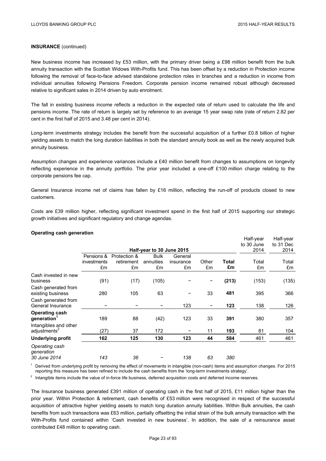# **INSURANCE** (continued)

New business income has increased by £53 million, with the primary driver being a £98 million benefit from the bulk annuity transaction with the Scottish Widows With-Profits fund. This has been offset by a reduction in Protection income following the removal of face-to-face advised standalone protection roles in branches and a reduction in income from individual annuities following Pensions Freedom. Corporate pension income remained robust although decreased relative to significant sales in 2014 driven by auto enrolment.

The fall in existing business income reflects a reduction in the expected rate of return used to calculate the life and pensions income. The rate of return is largely set by reference to an average 15 year swap rate (rate of return 2.82 per cent in the first half of 2015 and 3.48 per cent in 2014).

Long-term investments strategy includes the benefit from the successful acquisition of a further £0.8 billion of higher yielding assets to match the long duration liabilities in both the standard annuity book as well as the newly acquired bulk annuity business.

Assumption changes and experience variances include a £40 million benefit from changes to assumptions on longevity reflecting experience in the annuity portfolio. The prior year included a one-off £100 million charge relating to the corporate pensions fee cap.

General Insurance income net of claims has fallen by £16 million, reflecting the run-off of products closed to new customers.

Costs are £39 million higher, reflecting significant investment spend in the first half of 2015 supporting our strategic growth initiatives and significant regulatory and change agendas.

|                                                   |             |              |                           |           |       |       | Half-year<br>to 30 June | Half-year<br>to 31 Dec |
|---------------------------------------------------|-------------|--------------|---------------------------|-----------|-------|-------|-------------------------|------------------------|
|                                                   |             |              | Half-year to 30 June 2015 |           |       |       | 2014                    | 2014                   |
|                                                   | Pensions &  | Protection & | <b>Bulk</b>               | General   |       |       |                         |                        |
|                                                   | investments | retirement   | annuities                 | insurance | Other | Total | Total                   | Total                  |
|                                                   | £m          | £m           | £m                        | £m        | £m    | £m    | £m                      | £m                     |
| Cash invested in new                              |             |              |                           |           |       |       |                         |                        |
| business                                          | (91)        | (17)         | (105)                     |           |       | (213) | (153)                   | (135)                  |
| Cash generated from<br>existing business          | 280         | 105          | 63                        |           | 33    | 481   | 395                     | 366                    |
| Cash generated from<br>General Insurance          |             |              |                           | 123       |       | 123   | 138                     | 126                    |
| <b>Operating cash</b><br>generation <sup>1</sup>  | 189         | 88           | (42)                      | 123       | 33    | 391   | 380                     | 357                    |
| Intangibles and other<br>adjustments <sup>2</sup> | (27)        | 37           | 172                       |           | 11    | 193   | 81                      | 104                    |
| <b>Underlying profit</b>                          | 162         | 125          | 130                       | 123       | 44    | 584   | 461                     | 461                    |
| Operating cash<br>generation                      |             |              |                           |           |       |       |                         |                        |
| 30 June 2014                                      | 143         | 36           |                           | 138       | 63    | 380   |                         |                        |

 $1$  Derived from underlying profit by removing the effect of movements in intangible (non-cash) items and assumption changes. For 2015 reporting this measure has been refined to include the cash benefits from the 'long-term investments strategy'.

 $2$  Intangible items include the value of in-force life business, deferred acquisition costs and deferred income reserves.

The Insurance business generated £391 million of operating cash in the first half of 2015, £11 million higher than the prior year. Within Protection & retirement, cash benefits of £53 million were recognised in respect of the successful acquisition of attractive higher yielding assets to match long duration annuity liabilities. Within Bulk annuities, the cash benefits from such transactions was £63 million, partially offsetting the initial strain of the bulk annuity transaction with the With-Profits fund contained within 'Cash invested in new business'. In addition, the sale of a reinsurance asset contributed £48 million to operating cash.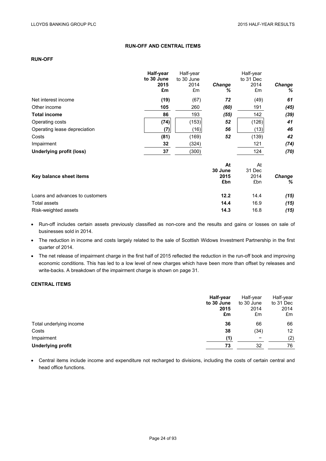# **RUN-OFF AND CENTRAL ITEMS**

# **RUN-OFF**

|                                 | Half-year<br>to 30 June<br>2015<br>£m | Half-year<br>to 30 June<br>2014<br>£m | <b>Change</b><br>℅ | Half-year<br>to 31 Dec<br>2014<br>£m | Change<br>% |
|---------------------------------|---------------------------------------|---------------------------------------|--------------------|--------------------------------------|-------------|
| Net interest income             | (19)                                  | (67)                                  | 72                 | (49)                                 | 61          |
| Other income                    | 105                                   | 260                                   | (60)               | 191                                  | (45)        |
| <b>Total income</b>             | 86                                    | 193                                   | (55)               | 142                                  | (39)        |
| Operating costs                 | (74)                                  | (153)                                 | 52                 | (126)                                | 41          |
| Operating lease depreciation    | (7)                                   | (16)                                  | 56                 | (13)                                 | 46          |
| Costs                           | (81)                                  | (169)                                 | 52                 | (139)                                | 42          |
| Impairment                      | 32                                    | (324)                                 |                    | 121                                  | (74)        |
| <b>Underlying profit (loss)</b> | 37                                    | (300)                                 |                    | 124                                  | (70)        |
|                                 |                                       |                                       | At                 | At                                   |             |
| Key balance sheet items         |                                       |                                       | 30 June<br>2015    | 31 Dec<br>2014                       | Change      |
|                                 |                                       |                                       | £bn                | £bn                                  | %           |
| Loans and advances to customers |                                       |                                       | 12.2               | 14.4                                 | (15)        |
| <b>Total assets</b>             |                                       |                                       | 14.4               | 16.9                                 | (15)        |
| Risk-weighted assets            |                                       |                                       | 14.3               | 16.8                                 | (15)        |

 Run-off includes certain assets previously classified as non-core and the results and gains or losses on sale of businesses sold in 2014.

 The reduction in income and costs largely related to the sale of Scottish Widows Investment Partnership in the first quarter of 2014.

• The net release of impairment charge in the first half of 2015 reflected the reduction in the run-off book and improving economic conditions. This has led to a low level of new charges which have been more than offset by releases and write-backs. A breakdown of the impairment charge is shown on page 31.

# **CENTRAL ITEMS**

|                          | Half-year  | Half-year  | Half-year |
|--------------------------|------------|------------|-----------|
|                          | to 30 June | to 30 June | to 31 Dec |
|                          | 2015       | 2014       | 2014      |
|                          | £m         | £m         | £m        |
| Total underlying income  | 36         | 66         | 66        |
| Costs                    | 38         | (34)       | 12        |
| Impairment               | (1)        | -          | (2)       |
| <b>Underlying profit</b> | 73         | 32         | 76        |

 Central items include income and expenditure not recharged to divisions, including the costs of certain central and head office functions.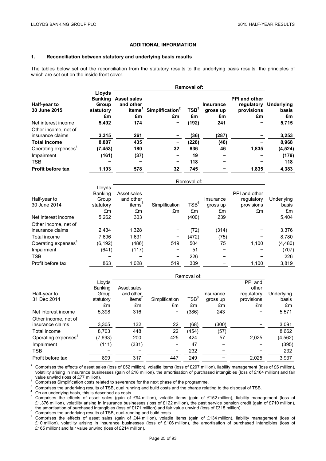## **ADDITIONAL INFORMATION**

## **1. Reconciliation between statutory and underlying basis results**

The tables below set out the reconciliation from the statutory results to the underlying basis results, the principles of which are set out on the inside front cover.

|                                          | Removal of:                                          |                                                             |                                   |                        |                                    |                                                        |                                  |  |
|------------------------------------------|------------------------------------------------------|-------------------------------------------------------------|-----------------------------------|------------------------|------------------------------------|--------------------------------------------------------|----------------------------------|--|
| Half-year to<br>30 June 2015             | Lloyds<br><b>Banking</b><br>Group<br>statutory<br>£m | <b>Asset sales</b><br>and other<br>items <sup>1</sup><br>£m | Simplification <sup>2</sup><br>£m | TSB <sup>3</sup><br>£m | <b>Insurance</b><br>gross up<br>£m | <b>PPI and other</b><br>regulatory<br>provisions<br>£m | <b>Underlying</b><br>basis<br>£m |  |
| Net interest income                      | 5,492                                                | 174                                                         |                                   | (192)                  | 241                                |                                                        | 5,715                            |  |
| Other income, net of<br>insurance claims | 3,315                                                | 261                                                         |                                   | (36)                   | (287)                              |                                                        | 3,253                            |  |
| <b>Total income</b>                      | 8,807                                                | 435                                                         | -                                 | (228)                  | (46)                               |                                                        | 8,968                            |  |
| Operating expenses <sup>4</sup>          | (7, 453)                                             | 180                                                         | 32                                | 836                    | 46                                 | 1,835                                                  | (4, 524)                         |  |
| Impairment                               | (161)                                                | (37)                                                        |                                   | 19                     |                                    |                                                        | (179)                            |  |
| <b>TSB</b>                               |                                                      |                                                             |                                   | 118                    |                                    |                                                        | 118                              |  |
| <b>Profit before tax</b>                 | 1,193                                                | 578                                                         | 32                                | 745                    |                                    | 1,835                                                  | 4,383                            |  |
|                                          |                                                      |                                                             |                                   | Removal of:            |                                    |                                                        |                                  |  |
|                                          | Lloyds<br><b>Banking</b>                             | Asset sales                                                 |                                   |                        |                                    | PPI and other                                          |                                  |  |
| Half-year to                             | Group                                                | and other                                                   |                                   |                        | Insurance                          | regulatory                                             | Underlying                       |  |
| 30 June 2014                             | statutory                                            | items <sup>5</sup>                                          | Simplification                    | TSB <sup>6</sup>       | gross up                           | provisions                                             | basis                            |  |
|                                          | £m                                                   | £m                                                          | £m                                | £m                     | £m                                 | £m                                                     | £m                               |  |
| Net interest income                      | 5,262                                                | 303                                                         |                                   | (400)                  | 239                                |                                                        | 5,404                            |  |
| Other income, net of<br>insurance claims | 2,434                                                | 1,328                                                       |                                   | (72)                   | (314)                              |                                                        | 3,376                            |  |
| Total income                             | 7,696                                                | 1.631                                                       |                                   | (472)                  | (75)                               |                                                        | 8,780                            |  |
| Operating expenses <sup>4</sup>          | (6, 192)                                             | (486)                                                       | 519                               | 504                    | 75                                 | 1,100                                                  | (4, 480)                         |  |
| Impairment                               | (641)                                                | (117)                                                       |                                   | 51                     |                                    |                                                        | (707)                            |  |
| <b>TSB</b>                               |                                                      |                                                             |                                   | 226                    |                                    |                                                        | 226                              |  |
| Profit before tax                        | 863                                                  | 1,028                                                       | 519                               | 309                    |                                    | 1,100                                                  | 3,819                            |  |

|                                 |                | Removal of: |                |                  |           |            |            |  |  |
|---------------------------------|----------------|-------------|----------------|------------------|-----------|------------|------------|--|--|
|                                 | Lloyds         |             |                |                  |           | PPI and    |            |  |  |
|                                 | <b>Banking</b> | Asset sales |                |                  |           | other      |            |  |  |
| Half-year to                    | Group          | and other   |                |                  | Insurance | regulatory | Underlying |  |  |
| 31 Dec 2014                     | statutory      | items'      | Simplification | TSB <sup>6</sup> | gross up  | provisions | basis      |  |  |
|                                 | £m             | £m          | £m             | £m               | £m        | £m         | £m         |  |  |
| Net interest income             | 5.398          | 316         |                | (386)            | 243       |            | 5,571      |  |  |
| Other income, net of            |                |             |                |                  |           |            |            |  |  |
| insurance claims                | 3,305          | 132         | 22             | (68)             | (300)     |            | 3,091      |  |  |
| Total income                    | 8.703          | 448         | 22             | (454)            | (57)      |            | 8,662      |  |  |
| Operating expenses <sup>4</sup> | (7,693)        | 200         | 425            | 424              | 57        | 2,025      | (4, 562)   |  |  |
| Impairment                      | (111)          | (331)       |                | 47               |           |            | (395)      |  |  |
| <b>TSB</b>                      |                |             |                | 232              |           |            | 232        |  |  |
| Profit before tax               | 899            | 317         | 447            | 249              |           | 2.025      | 3,937      |  |  |

<sup>1</sup> Comprises the effects of asset sales (loss of £52 million), volatile items (loss of £297 million), liability management (loss of £6 million), volatility arising in insurance businesses (gain of £18 million), the amortisation of purchased intangibles (loss of £164 million) and fair

value unwind (loss of £77 million).<br>
<sup>2</sup> Comprises Simplification costs related to severance for the next phase of the programme.<br>
<sup>3</sup> Comprises the underlying results of TSB, dual running and build costs and the charge r £1,376 million), volatility arising in insurance businesses (loss of £122 million), the past service pension credit (gain of £710 million), the amortisation of purchased intangibles (loss of £171 million) and fair value un

<sup>6</sup> Comprises the underlying results of TSB, dual-running and build costs.<br><sup>7</sup> Comprises the underlying results of TSB, dual-running and build costs.<br><sup>7</sup> Comprises the effects of asset sales (gain of £44 million), volatile £10 million), volatility arising in insurance businesses (loss of £106 million), the amortisation of purchased intangibles (loss of £165 million) and fair value unwind (loss of £214 million).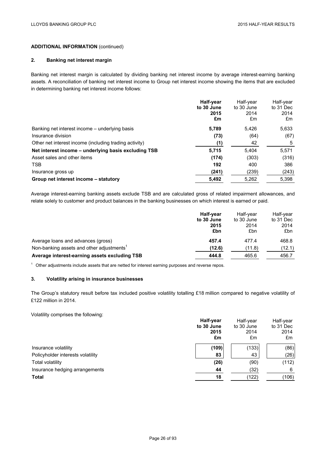# **ADDITIONAL INFORMATION** (continued)

# **2. Banking net interest margin**

Banking net interest margin is calculated by dividing banking net interest income by average interest-earning banking assets. A reconciliation of banking net interest income to Group net interest income showing the items that are excluded in determining banking net interest income follows:

|                                                        | Half-year<br>to 30 June<br>2015<br>£m | Half-year<br>to 30 June<br>2014<br>£m | Half-year<br>to 31 Dec<br>2014<br>£m |
|--------------------------------------------------------|---------------------------------------|---------------------------------------|--------------------------------------|
| Banking net interest income - underlying basis         | 5.789                                 | 5.426                                 | 5,633                                |
| Insurance division                                     | (73)                                  | (64)                                  | (67)                                 |
| Other net interest income (including trading activity) | (1)                                   | 42                                    | 5                                    |
| Net interest income - underlying basis excluding TSB   | 5,715                                 | 5.404                                 | 5,571                                |
| Asset sales and other items                            | (174)                                 | (303)                                 | (316)                                |
| <b>TSB</b>                                             | 192                                   | 400                                   | 386                                  |
| Insurance gross up                                     | (241)                                 | (239)                                 | (243)                                |
| Group net interest income – statutory                  | 5,492                                 | 5,262                                 | 5,398                                |

Average interest-earning banking assets exclude TSB and are calculated gross of related impairment allowances, and relate solely to customer and product balances in the banking businesses on which interest is earned or paid.

|                                                       | Half-year<br>to 30 June<br>2015<br>£bn | Half-vear<br>to 30 June<br>2014<br>£bn | Half-year<br>to 31 Dec<br>2014<br>£bn |
|-------------------------------------------------------|----------------------------------------|----------------------------------------|---------------------------------------|
| Average loans and advances (gross)                    | 457.4                                  | 477.4                                  | 468.8                                 |
| Non-banking assets and other adjustments <sup>1</sup> | (12.6)                                 | (11.8)                                 | (12.1)                                |
| Average interest-earning assets excluding TSB         | 444.8                                  | 465.6                                  | 456.7                                 |

 $1$  Other adjustments include assets that are netted for interest earning purposes and reverse repos.

# **3. Volatility arising in insurance businesses**

The Group's statutory result before tax included positive volatility totalling £18 million compared to negative volatility of £122 million in 2014.

Volatility comprises the following:

|                                   | Half-year<br>to 30 June | Half-year<br>to 30 June | Half-year<br>to 31 Dec |
|-----------------------------------|-------------------------|-------------------------|------------------------|
|                                   | 2015<br>£m              | 2014<br>£m              | 2014<br>£m             |
| Insurance volatility              | (109)                   | (133)                   | (86)                   |
| Policyholder interests volatility | 83                      | 43                      | (26)                   |
| Total volatility                  | (26)                    | (90)                    | (112)                  |
| Insurance hedging arrangements    | 44                      | (32)                    | 6                      |
| <b>Total</b>                      | 18                      | (122)                   | (106)                  |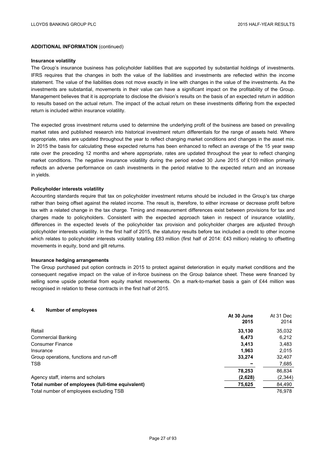**At 30 June** 

At 31 Dec

## **ADDITIONAL INFORMATION** (continued)

#### **Insurance volatility**

The Group's insurance business has policyholder liabilities that are supported by substantial holdings of investments. IFRS requires that the changes in both the value of the liabilities and investments are reflected within the income statement. The value of the liabilities does not move exactly in line with changes in the value of the investments. As the investments are substantial, movements in their value can have a significant impact on the profitability of the Group. Management believes that it is appropriate to disclose the division's results on the basis of an expected return in addition to results based on the actual return. The impact of the actual return on these investments differing from the expected return is included within insurance volatility.

The expected gross investment returns used to determine the underlying profit of the business are based on prevailing market rates and published research into historical investment return differentials for the range of assets held. Where appropriate, rates are updated throughout the year to reflect changing market conditions and changes in the asset mix. In 2015 the basis for calculating these expected returns has been enhanced to reflect an average of the 15 year swap rate over the preceding 12 months and where appropriate, rates are updated throughout the year to reflect changing market conditions. The negative insurance volatility during the period ended 30 June 2015 of £109 million primarily reflects an adverse performance on cash investments in the period relative to the expected return and an increase in yields.

## **Policyholder interests volatility**

Accounting standards require that tax on policyholder investment returns should be included in the Group's tax charge rather than being offset against the related income. The result is, therefore, to either increase or decrease profit before tax with a related change in the tax charge. Timing and measurement differences exist between provisions for tax and charges made to policyholders. Consistent with the expected approach taken in respect of insurance volatility, differences in the expected levels of the policyholder tax provision and policyholder charges are adjusted through policyholder interests volatility. In the first half of 2015, the statutory results before tax included a credit to other income which relates to policyholder interests volatility totalling £83 million (first half of 2014: £43 million) relating to offsetting movements in equity, bond and gilt returns.

#### **Insurance hedging arrangements**

The Group purchased put option contracts in 2015 to protect against deterioration in equity market conditions and the consequent negative impact on the value of in-force business on the Group balance sheet. These were financed by selling some upside potential from equity market movements. On a mark-to-market basis a gain of £44 million was recognised in relation to these contracts in the first half of 2015.

### **4. Number of employees**

|                                                  | 2015    | , ,, , , , , , ,<br>2014 |
|--------------------------------------------------|---------|--------------------------|
| Retail                                           | 33,130  | 35,032                   |
| <b>Commercial Banking</b>                        | 6.473   | 6,212                    |
| <b>Consumer Finance</b>                          | 3.413   | 3,483                    |
| Insurance                                        | 1.963   | 2.015                    |
| Group operations, functions and run-off          | 33,274  | 32,407                   |
| <b>TSB</b>                                       |         | 7,685                    |
|                                                  | 78.253  | 86,834                   |
| Agency staff, interns and scholars               | (2,628) | (2,344)                  |
| Total number of employees (full-time equivalent) | 75,625  | 84,490                   |
| Total number of employees excluding TSB          |         | 76.978                   |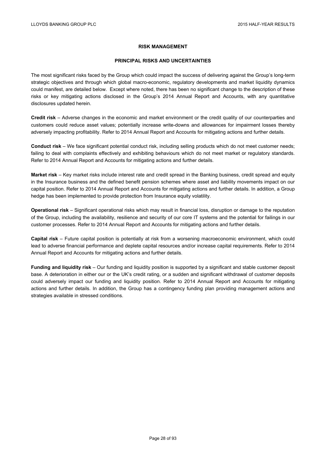## **RISK MANAGEMENT**

## **PRINCIPAL RISKS AND UNCERTAINTIES**

The most significant risks faced by the Group which could impact the success of delivering against the Group's long-term strategic objectives and through which global macro-economic, regulatory developments and market liquidity dynamics could manifest, are detailed below. Except where noted, there has been no significant change to the description of these risks or key mitigating actions disclosed in the Group's 2014 Annual Report and Accounts, with any quantitative disclosures updated herein.

**Credit risk** – Adverse changes in the economic and market environment or the credit quality of our counterparties and customers could reduce asset values; potentially increase write-downs and allowances for impairment losses thereby adversely impacting profitability. Refer to 2014 Annual Report and Accounts for mitigating actions and further details.

**Conduct risk** – We face significant potential conduct risk, including selling products which do not meet customer needs; failing to deal with complaints effectively and exhibiting behaviours which do not meet market or regulatory standards. Refer to 2014 Annual Report and Accounts for mitigating actions and further details.

**Market risk** – Key market risks include interest rate and credit spread in the Banking business, credit spread and equity in the Insurance business and the defined benefit pension schemes where asset and liability movements impact on our capital position. Refer to 2014 Annual Report and Accounts for mitigating actions and further details. In addition, a Group hedge has been implemented to provide protection from Insurance equity volatility.

**Operational risk** – Significant operational risks which may result in financial loss, disruption or damage to the reputation of the Group, including the availability, resilience and security of our core IT systems and the potential for failings in our customer processes. Refer to 2014 Annual Report and Accounts for mitigating actions and further details.

**Capital risk** – Future capital position is potentially at risk from a worsening macroeconomic environment, which could lead to adverse financial performance and deplete capital resources and/or increase capital requirements. Refer to 2014 Annual Report and Accounts for mitigating actions and further details.

**Funding and liquidity risk** – Our funding and liquidity position is supported by a significant and stable customer deposit base. A deterioration in either our or the UK's credit rating, or a sudden and significant withdrawal of customer deposits could adversely impact our funding and liquidity position. Refer to 2014 Annual Report and Accounts for mitigating actions and further details. In addition, the Group has a contingency funding plan providing management actions and strategies available in stressed conditions.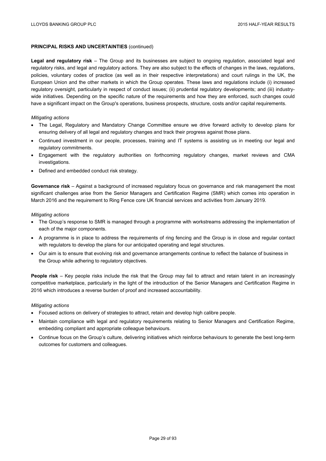# **PRINCIPAL RISKS AND UNCERTAINTIES** (continued)

**Legal and regulatory risk** – The Group and its businesses are subject to ongoing regulation, associated legal and regulatory risks, and legal and regulatory actions. They are also subject to the effects of changes in the laws, regulations, policies, voluntary codes of practice (as well as in their respective interpretations) and court rulings in the UK, the European Union and the other markets in which the Group operates. These laws and regulations include (i) increased regulatory oversight, particularly in respect of conduct issues; (ii) prudential regulatory developments; and (iii) industrywide initiatives. Depending on the specific nature of the requirements and how they are enforced, such changes could have a significant impact on the Group's operations, business prospects, structure, costs and/or capital requirements.

## *Mitigating actions*

- The Legal, Regulatory and Mandatory Change Committee ensure we drive forward activity to develop plans for ensuring delivery of all legal and regulatory changes and track their progress against those plans.
- Continued investment in our people, processes, training and IT systems is assisting us in meeting our legal and regulatory commitments.
- Engagement with the regulatory authorities on forthcoming regulatory changes, market reviews and CMA investigations.
- Defined and embedded conduct risk strategy.

**Governance risk** – Against a background of increased regulatory focus on governance and risk management the most significant challenges arise from the Senior Managers and Certification Regime (SMR) which comes into operation in March 2016 and the requirement to Ring Fence core UK financial services and activities from January 2019.

## *Mitigating actions*

- The Group's response to SMR is managed through a programme with workstreams addressing the implementation of each of the major components.
- A programme is in place to address the requirements of ring fencing and the Group is in close and regular contact with regulators to develop the plans for our anticipated operating and legal structures.
- Our aim is to ensure that evolving risk and governance arrangements continue to reflect the balance of business in the Group while adhering to regulatory objectives.

**People risk** – Key people risks include the risk that the Group may fail to attract and retain talent in an increasingly competitive marketplace, particularly in the light of the introduction of the Senior Managers and Certification Regime in 2016 which introduces a reverse burden of proof and increased accountability.

## *Mitigating actions*

- Focused actions on delivery of strategies to attract, retain and develop high calibre people.
- Maintain compliance with legal and regulatory requirements relating to Senior Managers and Certification Regime, embedding compliant and appropriate colleague behaviours.
- Continue focus on the Group's culture, delivering initiatives which reinforce behaviours to generate the best long-term outcomes for customers and colleagues.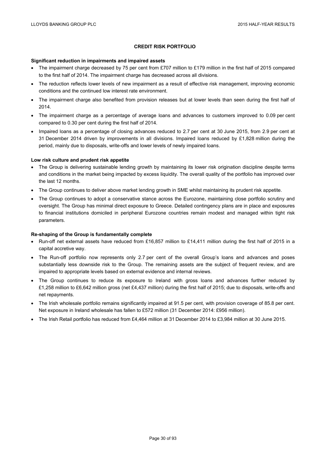# **CREDIT RISK PORTFOLIO**

## **Significant reduction in impairments and impaired assets**

- The impairment charge decreased by 75 per cent from £707 million to £179 million in the first half of 2015 compared to the first half of 2014. The impairment charge has decreased across all divisions.
- The reduction reflects lower levels of new impairment as a result of effective risk management, improving economic conditions and the continued low interest rate environment.
- The impairment charge also benefited from provision releases but at lower levels than seen during the first half of 2014.
- The impairment charge as a percentage of average loans and advances to customers improved to 0.09 per cent compared to 0.30 per cent during the first half of 2014.
- Impaired loans as a percentage of closing advances reduced to 2.7 per cent at 30 June 2015, from 2.9 per cent at 31 December 2014 driven by improvements in all divisions. Impaired loans reduced by £1,828 million during the period, mainly due to disposals, write-offs and lower levels of newly impaired loans.

## **Low risk culture and prudent risk appetite**

- The Group is delivering sustainable lending growth by maintaining its lower risk origination discipline despite terms and conditions in the market being impacted by excess liquidity. The overall quality of the portfolio has improved over the last 12 months.
- The Group continues to deliver above market lending growth in SME whilst maintaining its prudent risk appetite.
- The Group continues to adopt a conservative stance across the Eurozone, maintaining close portfolio scrutiny and oversight. The Group has minimal direct exposure to Greece. Detailed contingency plans are in place and exposures to financial institutions domiciled in peripheral Eurozone countries remain modest and managed within tight risk parameters.

#### **Re-shaping of the Group is fundamentally complete**

- Run-off net external assets have reduced from £16,857 million to £14,411 million during the first half of 2015 in a capital accretive way.
- The Run-off portfolio now represents only 2.7 per cent of the overall Group's loans and advances and poses substantially less downside risk to the Group. The remaining assets are the subject of frequent review, and are impaired to appropriate levels based on external evidence and internal reviews.
- The Group continues to reduce its exposure to Ireland with gross loans and advances further reduced by £1,258 million to £6,642 million gross (net £4,437 million) during the first half of 2015; due to disposals, write-offs and net repayments.
- The Irish wholesale portfolio remains significantly impaired at 91.5 per cent, with provision coverage of 85.8 per cent. Net exposure in Ireland wholesale has fallen to £572 million (31 December 2014: £956 million).
- The Irish Retail portfolio has reduced from £4,464 million at 31 December 2014 to £3,984 million at 30 June 2015.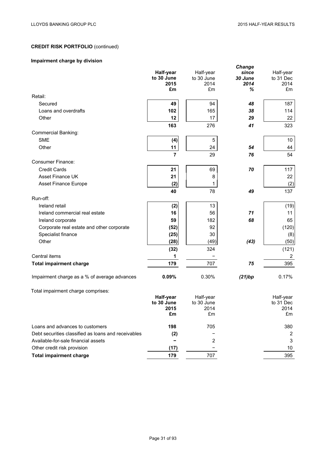# **CREDIT RISK PORTFOLIO** (continued)

# **Impairment charge by division**

|                                                     |            |            | Change  |           |
|-----------------------------------------------------|------------|------------|---------|-----------|
|                                                     | Half-year  | Half-year  | since   | Half-year |
|                                                     | to 30 June | to 30 June | 30 June | to 31 Dec |
|                                                     | 2015       | 2014       | 2014    | 2014      |
|                                                     | £m         | £m         | %       | £m        |
| Retail:                                             |            |            |         |           |
| Secured                                             | 49         | 94         | 48      | 187       |
| Loans and overdrafts                                | 102        | 165        | 38      | 114       |
| Other                                               | 12         | 17         | 29      | 22        |
|                                                     | 163        | 276        | 41      | 323       |
| <b>Commercial Banking:</b>                          |            |            |         |           |
| <b>SME</b>                                          | (4)        | 5          |         | 10        |
| Other                                               | 11         | 24         | 54      | 44        |
|                                                     | 7          | 29         | 76      | 54        |
| <b>Consumer Finance:</b>                            |            |            |         |           |
| <b>Credit Cards</b>                                 | 21         | 69         | 70      | 117       |
| Asset Finance UK                                    | 21         | 8          |         | 22        |
| Asset Finance Europe                                | (2)        | 1          |         | (2)       |
|                                                     | 40         | 78         | 49      | 137       |
| Run-off:                                            |            |            |         |           |
| Ireland retail                                      | (2)        | 13         |         | (19)      |
| Ireland commercial real estate                      | 16         | 56         | 71      | 11        |
| Ireland corporate                                   | 59         | 182        | 68      | 65        |
| Corporate real estate and other corporate           | (52)       | 92         |         | (120)     |
| Specialist finance                                  |            | 30         |         |           |
| Other                                               | (25)       | (49)       | (43)    | (8)       |
|                                                     | (28)       |            |         | (50)      |
|                                                     | (32)       | 324        |         | (121)     |
| Central items                                       | 1          |            |         | 2         |
| <b>Total impairment charge</b>                      | 179        | 707        | 75      | 395       |
|                                                     |            |            |         |           |
| Impairment charge as a % of average advances        | 0.09%      | 0.30%      | (21)bp  | 0.17%     |
| Total impairment charge comprises:                  |            |            |         |           |
|                                                     | Half-year  | Half-year  |         | Half-year |
|                                                     | to 30 June | to 30 June |         | to 31 Dec |
|                                                     | 2015       | 2014       |         | 2014      |
|                                                     | £m         | £m         |         | £m        |
|                                                     |            |            |         |           |
| Loans and advances to customers                     | 198        | 705        |         | 380       |
| Debt securities classified as loans and receivables | (2)        |            |         | 2         |
| Available-for-sale financial assets                 |            | 2          |         | 3         |
| Other credit risk provision                         | (17)       |            |         | 10        |
| <b>Total impairment charge</b>                      | 179        | 707        |         | 395       |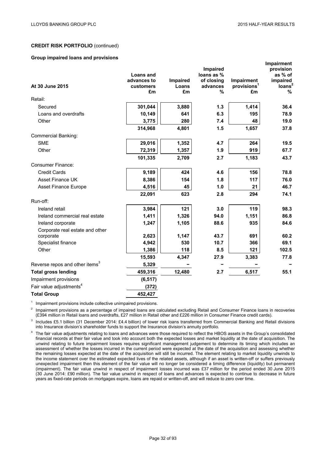**Impairment**

## **CREDIT RISK PORTFOLIO** (continued)

### **Group impaired loans and provisions**

|                                            |                                 |                 |                          |                         | <b>IIIIpalifierit</b> |
|--------------------------------------------|---------------------------------|-----------------|--------------------------|-------------------------|-----------------------|
|                                            |                                 |                 | <b>Impaired</b>          |                         | provision             |
|                                            | <b>Loans and</b><br>advances to | <b>Impaired</b> | loans as %<br>of closina | <b>Impairment</b>       | as % of<br>impaired   |
| At 30 June 2015                            | <b>customers</b>                | Loans           | advances                 | provisions <sup>1</sup> | loans <sup>2</sup>    |
|                                            | £m                              | £m              | %                        | £m                      | $\%$                  |
| Retail:                                    |                                 |                 |                          |                         |                       |
| Secured                                    | 301,044                         | 3,880           | 1.3                      | 1,414                   | 36.4                  |
| Loans and overdrafts                       | 10,149                          | 641             | 6.3                      | 195                     | 78.9                  |
| Other                                      | 3,775                           | 280             | 7.4                      | 48                      | 19.0                  |
|                                            | 314,968                         | 4,801           | 1.5                      | 1,657                   | 37.8                  |
| Commercial Banking:                        |                                 |                 |                          |                         |                       |
| <b>SME</b>                                 | 29,016                          | 1,352           | 4.7                      | 264                     | 19.5                  |
| Other                                      | 72,319                          | 1,357           | 1.9                      | 919                     | 67.7                  |
|                                            | 101,335                         | 2,709           | 2.7                      | 1,183                   | 43.7                  |
| <b>Consumer Finance:</b>                   |                                 |                 |                          |                         |                       |
| <b>Credit Cards</b>                        | 9,189                           | 424             | 4.6                      | 156                     | 78.8                  |
| <b>Asset Finance UK</b>                    | 8,386                           | 154             | 1.8                      | 117                     | 76.0                  |
| <b>Asset Finance Europe</b>                | 4,516                           | 45              | 1.0                      | 21                      | 46.7                  |
|                                            | 22,091                          | 623             | 2.8                      | 294                     | 74.1                  |
| Run-off:                                   |                                 |                 |                          |                         |                       |
| Ireland retail                             | 3,984                           | 121             | 3.0                      | 119                     | 98.3                  |
| Ireland commercial real estate             | 1,411                           | 1,326           | 94.0                     | 1,151                   | 86.8                  |
| Ireland corporate                          | 1,247                           | 1,105           | 88.6                     | 935                     | 84.6                  |
| Corporate real estate and other            |                                 |                 |                          |                         |                       |
| corporate                                  | 2,623                           | 1,147           | 43.7                     | 691                     | 60.2                  |
| Specialist finance                         | 4,942                           | 530             | 10.7                     | 366                     | 69.1                  |
| Other                                      | 1,386                           | 118             | 8.5                      | 121                     | 102.5                 |
|                                            | 15,593                          | 4,347           | 27.9                     | 3,383                   | 77.8                  |
| Reverse repos and other items <sup>3</sup> | 5,329                           |                 |                          |                         |                       |
| <b>Total gross lending</b>                 | 459,316                         | 12,480          | 2.7                      | 6,517                   | 55.1                  |
| Impairment provisions                      | (6, 517)                        |                 |                          |                         |                       |
| Fair value adjustments <sup>4</sup>        | (372)                           |                 |                          |                         |                       |
| <b>Total Group</b>                         | 452,427                         |                 |                          |                         |                       |

<sup>1</sup> Impairment provisions include collective unimpaired provisions.

<sup>2</sup> Impairment provisions as a percentage of impaired loans are calculated excluding Retail and Consumer Finance loans in recoveries (£394 million in Retail loans and overdrafts, £27 million in Retail other and £226 million in Consumer Finance credit cards).

<sup>3</sup> Includes £5.1 billion (31 December 2014: £4.4 billion) of lower risk loans transferred from Commercial Banking and Retail divisions into Insurance division's shareholder funds to support the Insurance division's annuity portfolio.

<sup>4</sup> The fair value adjustments relating to loans and advances were those required to reflect the HBOS assets in the Group's consolidated financial records at their fair value and took into account both the expected losses and market liquidity at the date of acquisition. The unwind relating to future impairment losses requires significant management judgement to determine its timing which includes an assessment of whether the losses incurred in the current period were expected at the date of the acquisition and assessing whether the remaining losses expected at the date of the acquisition will still be incurred. The element relating to market liquidity unwinds to the income statement over the estimated expected lives of the related assets, although if an asset is written-off or suffers previously unexpected impairment then this element of the fair value will no longer be considered a timing difference (liquidity) but permanent (impairment). The fair value unwind in respect of impairment losses incurred was £37 million for the period ended 30 June 2015 (30 June 2014: £90 million). The fair value unwind in respect of loans and advances is expected to continue to decrease in future years as fixed-rate periods on mortgages expire, loans are repaid or written-off, and will reduce to zero over time.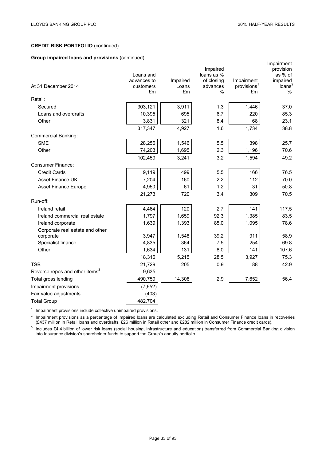# **CREDIT RISK PORTFOLIO** (continued)

## **Group impaired loans and provisions** (continued)

|                                            | Loans and       |             | Impaired<br>loans as % |                               | Impairment<br>provision<br>as % of |
|--------------------------------------------|-----------------|-------------|------------------------|-------------------------------|------------------------------------|
|                                            | advances to     | Impaired    | of closing             | Impairment                    | impaired                           |
| At 31 December 2014                        | customers<br>£m | Loans<br>£m | advances<br>%          | provisions <sup>1</sup><br>£m | long <sup>2</sup><br>$\%$          |
| Retail:                                    |                 |             |                        |                               |                                    |
| Secured                                    | 303,121         | 3,911       | 1.3                    | 1,446                         | 37.0                               |
| Loans and overdrafts                       | 10,395          | 695         | 6.7                    | 220                           | 85.3                               |
| Other                                      | 3,831           | 321         | 8.4                    | 68                            | 23.1                               |
|                                            | 317,347         | 4,927       | 1.6                    | 1,734                         | 38.8                               |
| <b>Commercial Banking:</b>                 |                 |             |                        |                               |                                    |
| <b>SME</b>                                 | 28,256          | 1,546       | 5.5                    | 398                           | 25.7                               |
| Other                                      | 74,203          | 1,695       | 2.3                    | 1,196                         | 70.6                               |
|                                            | 102,459         | 3,241       | 3.2                    | 1,594                         | 49.2                               |
| <b>Consumer Finance:</b>                   |                 |             |                        |                               |                                    |
| <b>Credit Cards</b>                        | 9,119           | 499         | 5.5                    | 166                           | 76.5                               |
| <b>Asset Finance UK</b>                    | 7,204           | 160         | 2.2                    | 112                           | 70.0                               |
| Asset Finance Europe                       | 4,950           | 61          | 1.2                    | 31                            | 50.8                               |
|                                            | 21,273          | 720         | 3.4                    | 309                           | 70.5                               |
| Run-off:                                   |                 |             |                        |                               |                                    |
| Ireland retail                             | 4,464           | 120         | 2.7                    | 141                           | 117.5                              |
| Ireland commercial real estate             | 1,797           | 1,659       | 92.3                   | 1,385                         | 83.5                               |
| Ireland corporate                          | 1,639           | 1,393       | 85.0                   | 1,095                         | 78.6                               |
| Corporate real estate and other            |                 |             |                        |                               |                                    |
| corporate                                  | 3,947           | 1,548       | 39.2                   | 911                           | 58.9                               |
| Specialist finance                         | 4,835           | 364         | 7.5                    | 254                           | 69.8                               |
| Other                                      | 1,634           | 131         | 8.0                    | 141                           | 107.6                              |
|                                            | 18,316          | 5,215       | 28.5                   | 3,927                         | 75.3                               |
| <b>TSB</b>                                 | 21,729          | 205         | 0.9                    | 88                            | 42.9                               |
| Reverse repos and other items <sup>3</sup> | 9,635           |             |                        |                               |                                    |
| Total gross lending                        | 490,759         | 14,308      | 2.9                    | 7,652                         | 56.4                               |
| Impairment provisions                      | (7,652)         |             |                        |                               |                                    |
| Fair value adjustments                     | (403)           |             |                        |                               |                                    |
| <b>Total Group</b>                         | 482,704         |             |                        |                               |                                    |

<sup>1</sup> Impairment provisions include collective unimpaired provisions.<br><sup>2</sup> Impairment provisions as a persontage of impaired logge are a

 $2$  Impairment provisions as a percentage of impaired loans are calculated excluding Retail and Consumer Finance loans in recoveries (£437 million in Retail loans and overdrafts, £26 million in Retail other and £282 million in Consumer Finance credit cards).

 $3$  Includes £4.4 billion of lower risk loans (social housing, infrastructure and education) transferred from Commercial Banking division into Insurance division's shareholder funds to support the Group's annuity portfolio.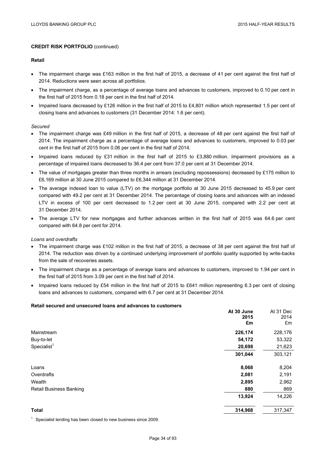#### **Retail**

- The impairment charge was £163 million in the first half of 2015, a decrease of 41 per cent against the first half of 2014. Reductions were seen across all portfolios.
- The impairment charge, as a percentage of average loans and advances to customers, improved to 0.10 per cent in the first half of 2015 from 0.18 per cent in the first half of 2014.
- Impaired loans decreased by £126 million in the first half of 2015 to £4,801 million which represented 1.5 per cent of closing loans and advances to customers (31 December 2014: 1.6 per cent).

#### *Secured*

- The impairment charge was £49 million in the first half of 2015, a decrease of 48 per cent against the first half of 2014. The impairment charge as a percentage of average loans and advances to customers, improved to 0.03 per cent in the first half of 2015 from 0.06 per cent in the first half of 2014.
- Impaired loans reduced by £31 million in the first half of 2015 to £3,880 million. Impairment provisions as a percentage of impaired loans decreased to 36.4 per cent from 37.0 per cent at 31 December 2014.
- The value of mortgages greater than three months in arrears (excluding repossessions) decreased by £175 million to £6,169 million at 30 June 2015 compared to £6,344 million at 31 December 2014.
- The average indexed loan to value (LTV) on the mortgage portfolio at 30 June 2015 decreased to 45.9 per cent compared with 49.2 per cent at 31 December 2014. The percentage of closing loans and advances with an indexed LTV in excess of 100 per cent decreased to 1.2 per cent at 30 June 2015, compared with 2.2 per cent at 31 December 2014.
- The average LTV for new mortgages and further advances written in the first half of 2015 was 64.6 per cent compared with 64.8 per cent for 2014.

#### *Loans and overdrafts*

- The impairment charge was £102 million in the first half of 2015, a decrease of 38 per cent against the first half of 2014. The reduction was driven by a continued underlying improvement of portfolio quality supported by write-backs from the sale of recoveries assets.
- The impairment charge as a percentage of average loans and advances to customers, improved to 1.94 per cent in the first half of 2015 from 3.09 per cent in the first half of 2014.
- Impaired loans reduced by £54 million in the first half of 2015 to £641 million representing 6.3 per cent of closing loans and advances to customers, compared with 6.7 per cent at 31 December 2014.

#### **Retail secured and unsecured loans and advances to customers**

|                                | At 30 June | At 31 Dec |
|--------------------------------|------------|-----------|
|                                | 2015       | 2014      |
|                                | £m         | £m        |
| Mainstream                     | 226,174    | 228,176   |
| Buy-to-let                     | 54,172     | 53,322    |
| $S$ pecialist <sup>1</sup>     | 20,698     | 21,623    |
|                                | 301,044    | 303,121   |
| Loans                          | 8,068      | 8,204     |
| Overdrafts                     | 2,081      | 2,191     |
| Wealth                         | 2,895      | 2,962     |
| <b>Retail Business Banking</b> | 880        | 869       |
|                                | 13,924     | 14,226    |
| <b>Total</b>                   | 314,968    | 317,347   |

 $1$  Specialist lending has been closed to new business since 2009.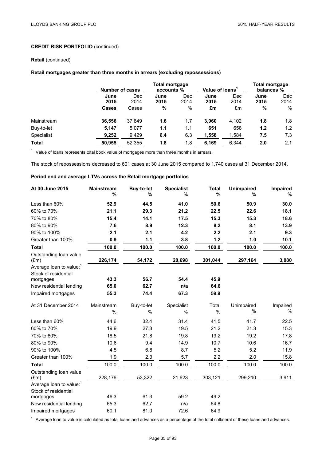### **Retail** (continued)

## **Retail mortgages greater than three months in arrears (excluding repossessions)**

|              |              | Number of cases    |              | <b>Total mortgage</b><br>Value of loans <sup>1</sup><br>accounts % |              |                    | Total mortgage<br>balances % |                    |
|--------------|--------------|--------------------|--------------|--------------------------------------------------------------------|--------------|--------------------|------------------------------|--------------------|
|              | June<br>2015 | <b>Dec</b><br>2014 | June<br>2015 | Dec<br>2014                                                        | June<br>2015 | <b>Dec</b><br>2014 | June<br>2015                 | <b>Dec</b><br>2014 |
|              | <b>Cases</b> | Cases              | %            | $\%$                                                               | £m           | £m                 | %                            | %                  |
| Mainstream   | 36,556       | 37,849             | 1.6          | 1.7                                                                | 3,960        | 4,102              | 1.8                          | 1.8                |
| Buy-to-let   | 5,147        | 5.077              | 1.1          | 1.1                                                                | 651          | 658                | 1.2                          | 1.2                |
| Specialist   | 9,252        | 9,429              | 6.4          | 6.3                                                                | 1,558        | 1,584              | 7.5                          | 7.3                |
| <b>Total</b> | 50.955       | 52.355             | 1.8          | 1.8                                                                | 6,169        | 6.344              | 2.0                          | 2.1                |

 $1$  Value of loans represents total book value of mortgages more than three months in arrears.

The stock of repossessions decreased to 601 cases at 30 June 2015 compared to 1,740 cases at 31 December 2014.

## **Period end and average LTVs across the Retail mortgage portfolios**

| At 30 June 2015                                             | <b>Mainstream</b><br>% | <b>Buy-to-let</b><br>% | <b>Specialist</b><br>% | <b>Total</b><br>% | <b>Unimpaired</b><br>% | Impaired<br>% |
|-------------------------------------------------------------|------------------------|------------------------|------------------------|-------------------|------------------------|---------------|
| Less than 60%                                               | 52.9                   | 44.5                   | 41.0                   | 50.6              | 50.9                   | 30.0          |
| 60% to 70%                                                  | 21.1                   | 29.3                   | 21.2                   | 22.5              | 22.6                   | 18.1          |
| 70% to 80%                                                  | 15.4                   | 14.1                   | 17.5                   | 15.3              | 15.3                   | 18.6          |
| 80% to 90%                                                  | 7.6                    | 8.9                    | 12.3                   | 8.2               | 8.1                    | 13.9          |
| 90% to 100%                                                 | 2.1                    | 2.1                    | 4.2                    | 2.2               | 2.1                    | 9.3           |
| Greater than 100%                                           | 0.9                    | $1.1$                  | 3.8                    | 1.2               | 1.0                    | 10.1          |
| <b>Total</b>                                                | 100.0                  | 100.0                  | 100.0                  | 100.0             | 100.0                  | 100.0         |
| Outstanding loan value<br>$(\text{Em})$                     | 226,174                | 54,172                 | 20,698                 | 301,044           | 297,164                | 3,880         |
| Average loan to value: <sup>1</sup>                         |                        |                        |                        |                   |                        |               |
| Stock of residential                                        |                        |                        |                        |                   |                        |               |
| mortgages                                                   | 43.3                   | 56.7                   | 54.4                   | 45.9              |                        |               |
| New residential lending                                     | 65.0                   | 62.7                   | n/a                    | 64.6              |                        |               |
| Impaired mortgages                                          | 55.3                   | 74.4                   | 67.3                   | 59.9              |                        |               |
| At 31 December 2014                                         | Mainstream             | Buy-to-let             | Specialist             | Total             | Unimpaired             | Impaired      |
|                                                             | $\frac{0}{0}$          | %                      | %                      | %                 | %                      | %             |
| Less than 60%                                               | 44.6                   | 32.4                   | 31.4                   | 41.5              | 41.7                   | 22.5          |
| 60% to 70%                                                  | 19.9                   | 27.3                   | 19.5                   | 21.2              | 21.3                   | 15.3          |
| 70% to 80%                                                  | 18.5                   | 21.8                   | 19.8                   | 19.2              | 19.2                   | 17.8          |
| 80% to 90%                                                  | 10.6                   | 9.4                    | 14.9                   | 10.7              | 10.6                   | 16.7          |
| 90% to 100%                                                 | 4.5                    | 6.8                    | 8.7                    | 5.2               | 5.2                    | 11.9          |
| Greater than 100%                                           | 1.9                    | 2.3                    | 5.7                    | 2.2               | 2.0                    | 15.8          |
| <b>Total</b>                                                | 100.0                  | 100.0                  | 100.0                  | 100.0             | 100.0                  | 100.0         |
| Outstanding loan value<br>$(\text{Em})$                     | 228,176                | 53,322                 | 21,623                 | 303,121           | 299,210                | 3,911         |
| Average loan to value: <sup>1</sup><br>Stock of residential |                        |                        |                        |                   |                        |               |
| mortgages                                                   | 46.3                   | 61.3                   | 59.2                   | 49.2              |                        |               |
| New residential lending                                     | 65.3                   | 62.7                   | n/a                    | 64.8              |                        |               |
| Impaired mortgages                                          | 60.1                   | 81.0                   | 72.6                   | 64.9              |                        |               |

 $1$  Average loan to value is calculated as total loans and advances as a percentage of the total collateral of these loans and advances.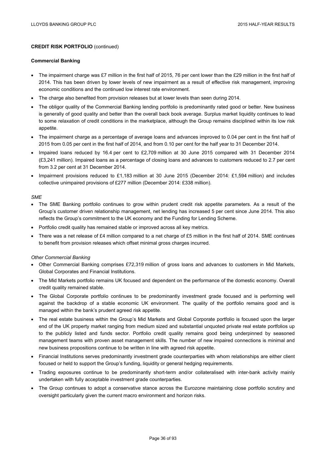#### **Commercial Banking**

- The impairment charge was £7 million in the first half of 2015, 76 per cent lower than the £29 million in the first half of 2014. This has been driven by lower levels of new impairment as a result of effective risk management, improving economic conditions and the continued low interest rate environment.
- The charge also benefited from provision releases but at lower levels than seen during 2014.
- The obligor quality of the Commercial Banking lending portfolio is predominantly rated good or better. New business is generally of good quality and better than the overall back book average. Surplus market liquidity continues to lead to some relaxation of credit conditions in the marketplace, although the Group remains disciplined within its low risk appetite.
- The impairment charge as a percentage of average loans and advances improved to 0.04 per cent in the first half of 2015 from 0.05 per cent in the first half of 2014, and from 0.10 per cent for the half year to 31 December 2014.
- Impaired loans reduced by 16.4 per cent to £2,709 million at 30 June 2015 compared with 31 December 2014 (£3,241 million). Impaired loans as a percentage of closing loans and advances to customers reduced to 2.7 per cent from 3.2 per cent at 31 December 2014.
- Impairment provisions reduced to £1,183 million at 30 June 2015 (December 2014: £1,594 million) and includes collective unimpaired provisions of £277 million (December 2014: £338 million).

#### *SME*

- The SME Banking portfolio continues to grow within prudent credit risk appetite parameters. As a result of the Group's customer driven relationship management, net lending has increased 5 per cent since June 2014. This also reflects the Group's commitment to the UK economy and the Funding for Lending Scheme.
- Portfolio credit quality has remained stable or improved across all key metrics.
- There was a net release of £4 million compared to a net charge of £5 million in the first half of 2014. SME continues to benefit from provision releases which offset minimal gross charges incurred.

#### *Other Commercial Banking*

- Other Commercial Banking comprises £72,319 million of gross loans and advances to customers in Mid Markets, Global Corporates and Financial Institutions.
- The Mid Markets portfolio remains UK focused and dependent on the performance of the domestic economy. Overall credit quality remained stable.
- The Global Corporate portfolio continues to be predominantly investment grade focused and is performing well against the backdrop of a stable economic UK environment. The quality of the portfolio remains good and is managed within the bank's prudent agreed risk appetite.
- The real estate business within the Group's Mid Markets and Global Corporate portfolio is focused upon the larger end of the UK property market ranging from medium sized and substantial unquoted private real estate portfolios up to the publicly listed and funds sector. Portfolio credit quality remains good being underpinned by seasoned management teams with proven asset management skills. The number of new impaired connections is minimal and new business propositions continue to be written in line with agreed risk appetite.
- Financial Institutions serves predominantly investment grade counterparties with whom relationships are either client focused or held to support the Group's funding, liquidity or general hedging requirements.
- Trading exposures continue to be predominantly short-term and/or collateralised with inter-bank activity mainly undertaken with fully acceptable investment grade counterparties.
- The Group continues to adopt a conservative stance across the Eurozone maintaining close portfolio scrutiny and oversight particularly given the current macro environment and horizon risks.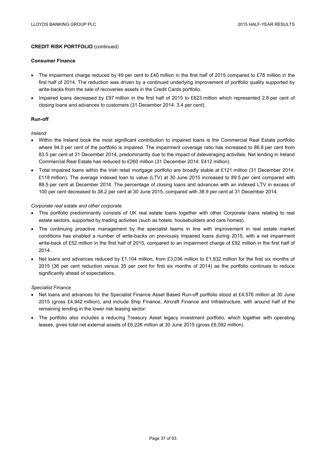#### **Consumer Finance**

- The impairment charge reduced by 49 per cent to £40 million in the first half of 2015 compared to £78 million in the first half of 2014. The reduction was driven by a continued underlying improvement of portfolio quality supported by write-backs from the sale of recoveries assets in the Credit Cards portfolio.
- Impaired loans decreased by £97 million in the first half of 2015 to £623 million which represented 2.8 per cent of closing loans and advances to customers (31 December 2014: 3.4 per cent).

## **Run-off**

## *Ireland*

- Within the Ireland book the most significant contribution to impaired loans is the Commercial Real Estate portfolio where 94.0 per cent of the portfolio is impaired. The impairment coverage ratio has increased to 86.8 per cent from 83.5 per cent at 31 December 2014, predominantly due to the impact of deleveraging activities. Net lending in Ireland Commercial Real Estate has reduced to £260 million (31 December 2014: £412 million).
- Total impaired loans within the Irish retail mortgage portfolio are broadly stable at £121 million (31 December 2014: £118 million). The average indexed loan to value (LTV) at 30 June 2015 increased to 89.5 per cent compared with 88.5 per cent at December 2014. The percentage of closing loans and advances with an indexed LTV in excess of 100 per cent decreased to 38.2 per cent at 30 June 2015, compared with 38.9 per cent at 31 December 2014.

## *Corporate real estate and other corporate*

- This portfolio predominantly consists of UK real estate loans together with other Corporate loans relating to real estate sectors, supported by trading activities (such as hotels, housebuilders and care homes).
- The continuing proactive management by the specialist teams in line with improvement in real estate market conditions has enabled a number of write-backs on previously impaired loans during 2015, with a net impairment write-back of £52 million in the first half of 2015, compared to an impairment charge of £92 million in the first half of 2014.
- Net loans and advances reduced by £1,104 million, from £3,036 million to £1,932 million for the first six months of 2015 (36 per cent reduction versus 35 per cent for first six months of 2014) as the portfolio continues to reduce significantly ahead of expectations.

#### *Specialist Finance*

- Net loans and advances for the Specialist Finance Asset Based Run-off portfolio stood at £4,576 million at 30 June 2015 (gross £4,942 million), and include Ship Finance, Aircraft Finance and Infrastructure, with around half of the remaining lending in the lower risk leasing sector.
- The portfolio also includes a reducing Treasury Asset legacy investment portfolio, which together with operating leases, gives total net external assets of £6,226 million at 30 June 2015 (gross £6,592 million).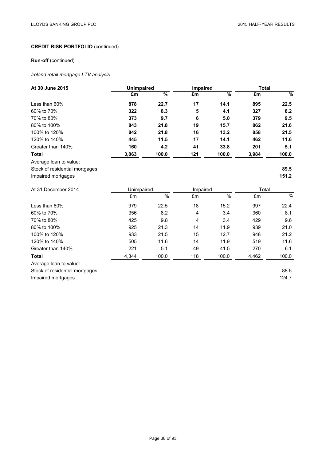# **Run-off** (continued)

# *Ireland retail mortgage LTV analysis*

| At 30 June 2015                | <b>Unimpaired</b> |               | Impaired |               | <b>Total</b> |               |
|--------------------------------|-------------------|---------------|----------|---------------|--------------|---------------|
|                                | £m                | $\frac{9}{6}$ | £m       | $\frac{9}{6}$ | £m           | $\frac{9}{6}$ |
| Less than 60%                  | 878               | 22.7          | 17       | 14.1          | 895          | 22.5          |
| 60% to 70%                     | 322               | 8.3           | 5        | 4.1           | 327          | 8.2           |
| 70% to 80%                     | 373               | 9.7           | 6        | 5.0           | 379          | 9.5           |
| 80% to 100%                    | 843               | 21.8          | 19       | 15.7          | 862          | 21.6          |
| 100% to 120%                   | 842               | 21.8          | 16       | 13.2          | 858          | 21.5          |
| 120% to 140%                   | 445               | 11.5          | 17       | 14.1          | 462          | 11.6          |
| Greater than 140%              | 160               | 4.2           | 41       | 33.8          | 201          | 5.1           |
| <b>Total</b>                   | 3,863             | 100.0         | 121      | 100.0         | 3,984        | 100.0         |
| Average loan to value:         |                   |               |          |               |              |               |
| Stock of residential mortgages |                   |               |          |               |              | 89.5          |
| Impaired mortgages             |                   |               |          |               |              | 151.2         |
| At 31 December 2014            | Unimpaired        |               | Impaired |               | Total        |               |
|                                | £m                | $\%$          | £m       | $\%$          | £m           | $\frac{1}{2}$ |
| Less than 60%                  | 979               | 22.5          | 18       | 15.2          | 997          | 22.4          |
| 60% to 70%                     | 356               | 8.2           | 4        | 3.4           | 360          | 8.1           |
| 70% to 80%                     | 425               | 9.8           | 4        | 3.4           | 429          | 9.6           |
| 80% to 100%                    | 925               | 21.3          | 14       | 11.9          | 939          | 21.0          |
| 100% to 120%                   | 933               | 21.5          | 15       | 12.7          | 948          | 21.2          |
| 120% to 140%                   | 505               | 11.6          | 14       | 11.9          | 519          | 11.6          |
| Greater than 140%              | 221               | 5.1           | 49       | 41.5          | 270          | 6.1           |
| <b>Total</b>                   | 4,344             | 100.0         | 118      | 100.0         | 4,462        | 100.0         |
| Average loan to value:         |                   |               |          |               |              |               |
| Stock of residential mortgages |                   |               |          |               |              | 88.5          |
| Impaired mortgages             |                   |               |          |               |              | 124.7         |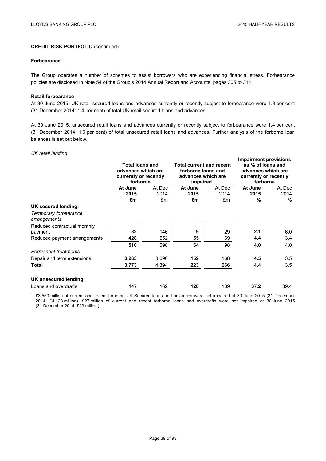#### **Forbearance**

The Group operates a number of schemes to assist borrowers who are experiencing financial stress. Forbearance policies are disclosed in Note 54 of the Group's 2014 Annual Report and Accounts, pages 305 to 314.

#### **Retail forbearance**

At 30 June 2015, UK retail secured loans and advances currently or recently subject to forbearance were 1.3 per cent (31 December 2014: 1.4 per cent) of total UK retail secured loans and advances.

At 30 June 2015, unsecured retail loans and advances currently or recently subject to forbearance were 1.4 per cent (31 December 2014: 1.6 per cent) of total unsecured retail loans and advances. Further analysis of the forborne loan balances is set out below.

### *UK retail lending*

|                                       | <b>Total loans and</b><br>advances which are<br>currently or recently<br>forborne |            | <b>Total current and recent</b><br>forborne loans and<br>advances which are<br>impaired <sup>1</sup> |            | <b>Impairment provisions</b><br>as % of loans and<br>advances which are<br>currently or recently<br>forborne |              |
|---------------------------------------|-----------------------------------------------------------------------------------|------------|------------------------------------------------------------------------------------------------------|------------|--------------------------------------------------------------------------------------------------------------|--------------|
|                                       | At June<br>2015                                                                   | At Dec     | At June<br>2015                                                                                      | At Dec     | At June<br>2015                                                                                              | At Dec       |
|                                       | £m                                                                                | 2014<br>£m | £m                                                                                                   | 2014<br>£m | $\%$                                                                                                         | 2014<br>$\%$ |
| UK secured lending:                   |                                                                                   |            |                                                                                                      |            |                                                                                                              |              |
| Temporary forbearance<br>arrangements |                                                                                   |            |                                                                                                      |            |                                                                                                              |              |
| Reduced contractual monthly           |                                                                                   |            |                                                                                                      |            |                                                                                                              |              |
| payment                               | 82                                                                                | 146        | 9                                                                                                    | 29         | 2.1                                                                                                          | 6.0          |
| Reduced payment arrangements          | 428                                                                               | 552        | 55                                                                                                   | 69         | 4.4                                                                                                          | 3.4          |
|                                       | 510                                                                               | 698        | 64                                                                                                   | 98         | 4.0                                                                                                          | 4.0          |
| <b>Permanent treatments</b>           |                                                                                   |            |                                                                                                      |            |                                                                                                              |              |
| Repair and term extensions            | 3,263                                                                             | 3,696      | 159                                                                                                  | 168        | 4.5                                                                                                          | 3.5          |
| Total                                 | 3,773                                                                             | 4,394      | 223                                                                                                  | 266        | 4.4                                                                                                          | 3.5          |
| UK unsecured lending:                 |                                                                                   |            |                                                                                                      |            |                                                                                                              |              |
| Loans and overdrafts                  | 147                                                                               | 162        | 120                                                                                                  | 139        | 37.2                                                                                                         | 39.4         |

1 £3,550 million of current and recent forborne UK Secured loans and advances were not impaired at 30 June 2015 (31 December 2014: £4,128 million). £27 million of current and recent forborne loans and overdrafts were not impaired at 30 June 2015 (31 December 2014: £23 million).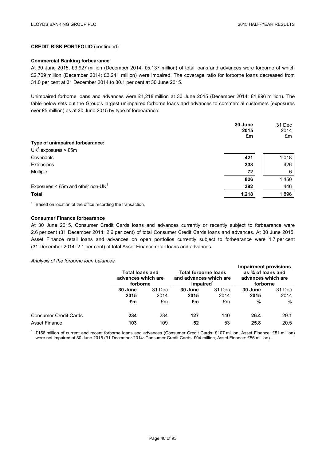#### **Commercial Banking forbearance**

At 30 June 2015, £3,927 million (December 2014: £5,137 million) of total loans and advances were forborne of which £2,709 million (December 2014: £3,241 million) were impaired. The coverage ratio for forborne loans decreased from 31.0 per cent at 31 December 2014 to 30.1 per cent at 30 June 2015.

Unimpaired forborne loans and advances were £1,218 million at 30 June 2015 (December 2014: £1,896 million). The table below sets out the Group's largest unimpaired forborne loans and advances to commercial customers (exposures over £5 million) as at 30 June 2015 by type of forbearance:

|                                      | 30 June<br>2015<br>£m | 31 Dec<br>2014<br>£m |
|--------------------------------------|-----------------------|----------------------|
| Type of unimpaired forbearance:      |                       |                      |
| $UK1$ exposures > £5m                |                       |                      |
| Covenants                            | 421                   | 1,018                |
| <b>Extensions</b>                    | 333                   | 426                  |
| Multiple                             | 72                    | 6                    |
|                                      | 826                   | 1,450                |
| Exposures < £5m and other non-UK $1$ | 392                   | 446                  |
| <b>Total</b>                         | 1,218                 | 1,896                |

 $1$  Based on location of the office recording the transaction.

### **Consumer Finance forbearance**

At 30 June 2015, Consumer Credit Cards loans and advances currently or recently subject to forbearance were 2.6 per cent (31 December 2014: 2.6 per cent) of total Consumer Credit Cards loans and advances. At 30 June 2015, Asset Finance retail loans and advances on open portfolios currently subject to forbearance were 1.7 per cent (31 December 2014: 2.1 per cent) of total Asset Finance retail loans and advances.

#### *Analysis of the forborne loan balances*

|                              |                 | <b>Total loans and</b><br>advances which are<br>forborne |                 | <b>Total forborne loans</b><br>and advances which are<br>impaired |                 | <b>Impairment provisions</b><br>as % of loans and<br>advances which are<br>forborne |  |
|------------------------------|-----------------|----------------------------------------------------------|-----------------|-------------------------------------------------------------------|-----------------|-------------------------------------------------------------------------------------|--|
|                              | 30 June<br>2015 | 31 Dec<br>2014                                           | 30 June<br>2015 | 31 Dec<br>2014                                                    | 30 June<br>2015 | 31 Dec<br>2014                                                                      |  |
|                              | £m              | £m                                                       | £m              | £m                                                                | %               | $\%$                                                                                |  |
| <b>Consumer Credit Cards</b> | 234             | 234                                                      | 127             | 140                                                               | 26.4            | 29.1                                                                                |  |
| Asset Finance                | 103             | 109                                                      | 52              | 53                                                                | 25.8            | 20.5                                                                                |  |

<sup>1</sup> £158 million of current and recent forborne loans and advances (Consumer Credit Cards: £107 million, Asset Finance: £51 million) were not impaired at 30 June 2015 (31 December 2014: Consumer Credit Cards: £94 million, Asset Finance: £56 million).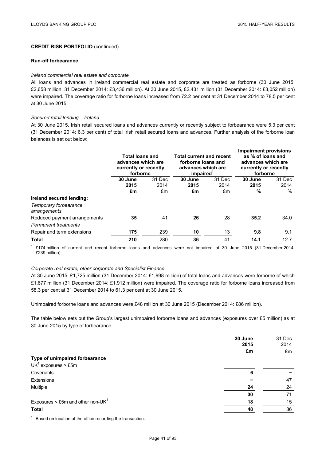#### **Run-off forbearance**

#### *Ireland commercial real estate and corporate*

All loans and advances in Ireland commercial real estate and corporate are treated as forborne (30 June 2015: £2,658 million, 31 December 2014: £3,436 million). At 30 June 2015, £2,431 million (31 December 2014: £3,052 million) were impaired. The coverage ratio for forborne loans increased from 72.2 per cent at 31 December 2014 to 78.5 per cent at 30 June 2015.

#### *Secured retail lending – Ireland*

At 30 June 2015, Irish retail secured loans and advances currently or recently subject to forbearance were 5.3 per cent (31 December 2014: 6.3 per cent) of total Irish retail secured loans and advances. Further analysis of the forborne loan balances is set out below:

|                                       | <b>Total loans and</b><br>advances which are<br>currently or recently<br>forborne |        | <b>Total current and recent</b><br>forborne loans and<br>advances which are<br>impaired <sup>1</sup> |        | <b>Impairment provisions</b><br>as % of loans and<br>advances which are<br>currently or recently<br>forborne |        |
|---------------------------------------|-----------------------------------------------------------------------------------|--------|------------------------------------------------------------------------------------------------------|--------|--------------------------------------------------------------------------------------------------------------|--------|
|                                       | 30 June                                                                           | 31 Dec | 30 June                                                                                              | 31 Dec | 30 June                                                                                                      | 31 Dec |
|                                       | 2015                                                                              | 2014   | 2015                                                                                                 | 2014   | 2015                                                                                                         | 2014   |
|                                       | £m                                                                                | £m     | £m                                                                                                   | £m     | %                                                                                                            | $\%$   |
| Ireland secured lending:              |                                                                                   |        |                                                                                                      |        |                                                                                                              |        |
| Temporary forbearance<br>arrangements |                                                                                   |        |                                                                                                      |        |                                                                                                              |        |
| Reduced payment arrangements          | 35                                                                                | 41     | 26                                                                                                   | 28     | 35.2                                                                                                         | 34.0   |
| <b>Permanent treatments</b>           |                                                                                   |        |                                                                                                      |        |                                                                                                              |        |
| Repair and term extensions            | 175                                                                               | 239    | 10                                                                                                   | 13     | 9.8                                                                                                          | 9.1    |
| Total                                 | 210                                                                               | 280    | 36                                                                                                   | 41     | 14.1                                                                                                         | 12.7   |

 $1$  £174 million of current and recent forborne loans and advances were not impaired at 30 June 2015 (31 December 2014: £239 million).

#### *Corporate real estate, other corporate and Specialist Finance*

At 30 June 2015, £1,725 million (31 December 2014: £1,998 million) of total loans and advances were forborne of which £1,677 million (31 December 2014: £1,912 million) were impaired. The coverage ratio for forborne loans increased from 58.3 per cent at 31 December 2014 to 61.3 per cent at 30 June 2015.

Unimpaired forborne loans and advances were £48 million at 30 June 2015 (December 2014: £86 million).

The table below sets out the Group's largest unimpaired forborne loans and advances (exposures over £5 million) as at 30 June 2015 by type of forbearance:

|                                      | 30 June<br>2015 | 31 Dec<br>2014 |
|--------------------------------------|-----------------|----------------|
|                                      | £m              | £m             |
| Type of unimpaired forbearance       |                 |                |
| $UK1$ exposures > £5m                |                 |                |
| Covenants                            | 6               |                |
| Extensions                           | -               | 47             |
| Multiple                             | 24              | 24             |
|                                      | 30              | 71             |
| Exposures < £5m and other non-UK $1$ | 18              | 15             |
| <b>Total</b>                         | 48              | 86             |

 $1$  Based on location of the office recording the transaction.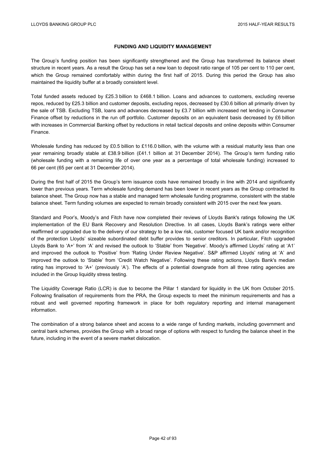## **FUNDING AND LIQUIDITY MANAGEMENT**

The Group's funding position has been significantly strengthened and the Group has transformed its balance sheet structure in recent years. As a result the Group has set a new loan to deposit ratio range of 105 per cent to 110 per cent, which the Group remained comfortably within during the first half of 2015. During this period the Group has also maintained the liquidity buffer at a broadly consistent level.

Total funded assets reduced by £25.3 billion to £468.1 billion. Loans and advances to customers, excluding reverse repos, reduced by £25.3 billion and customer deposits, excluding repos, decreased by £30.6 billion all primarily driven by the sale of TSB. Excluding TSB, loans and advances decreased by £3.7 billion with increased net lending in Consumer Finance offset by reductions in the run off portfolio. Customer deposits on an equivalent basis decreased by £6 billion with increases in Commercial Banking offset by reductions in retail tactical deposits and online deposits within Consumer Finance.

Wholesale funding has reduced by £0.5 billion to £116.0 billion, with the volume with a residual maturity less than one year remaining broadly stable at £38.9 billion (£41.1 billion at 31 December 2014). The Group's term funding ratio (wholesale funding with a remaining life of over one year as a percentage of total wholesale funding) increased to 66 per cent (65 per cent at 31 December 2014).

During the first half of 2015 the Group's term issuance costs have remained broadly in line with 2014 and significantly lower than previous years. Term wholesale funding demand has been lower in recent years as the Group contracted its balance sheet. The Group now has a stable and managed term wholesale funding programme, consistent with the stable balance sheet. Term funding volumes are expected to remain broadly consistent with 2015 over the next few years.

Standard and Poor's, Moody's and Fitch have now completed their reviews of Lloyds Bank's ratings following the UK implementation of the EU Bank Recovery and Resolution Directive. In all cases, Lloyds Bank's ratings were either reaffirmed or upgraded due to the delivery of our strategy to be a low risk, customer focused UK bank and/or recognition of the protection Lloyds' sizeable subordinated debt buffer provides to senior creditors. In particular, Fitch upgraded Lloyds Bank to 'A+' from 'A' and revised the outlook to 'Stable' from 'Negative'. Moody's affirmed Lloyds' rating at 'A1' and improved the outlook to 'Positive' from 'Rating Under Review Negative'. S&P affirmed Lloyds' rating at 'A' and improved the outlook to 'Stable' from 'Credit Watch Negative'. Following these rating actions, Lloyds Bank's median rating has improved to 'A+' (previously 'A'). The effects of a potential downgrade from all three rating agencies are included in the Group liquidity stress testing.

The Liquidity Coverage Ratio (LCR) is due to become the Pillar 1 standard for liquidity in the UK from October 2015. Following finalisation of requirements from the PRA, the Group expects to meet the minimum requirements and has a robust and well governed reporting framework in place for both regulatory reporting and internal management information.

The combination of a strong balance sheet and access to a wide range of funding markets, including government and central bank schemes, provides the Group with a broad range of options with respect to funding the balance sheet in the future, including in the event of a severe market dislocation.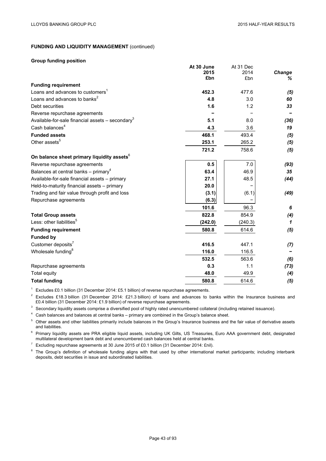$A$ <sub>12</sub> $A$  Dec

# **FUNDING AND LIQUIDITY MANAGEMENT (continued)**

#### **Group funding position**

|                                                                | AL JU JUIIE | AL 3 I DEC |        |
|----------------------------------------------------------------|-------------|------------|--------|
|                                                                | 2015        | 2014       | Change |
|                                                                | £bn         | £bn        | ℅      |
| <b>Funding requirement</b>                                     |             |            |        |
| Loans and advances to customers <sup>1</sup>                   | 452.3       | 477.6      | (5)    |
| Loans and advances to banks <sup>2</sup>                       | 4.8         | 3.0        | 60     |
| Debt securities                                                | 1.6         | 1.2        | 33     |
| Reverse repurchase agreements                                  |             |            |        |
| Available-for-sale financial assets $-$ secondary <sup>3</sup> | 5.1         | 8.0        | (36)   |
| Cash balances <sup>4</sup>                                     | 4.3         | 3.6        | 19     |
| <b>Funded assets</b>                                           | 468.1       | 493.4      | (5)    |
| Other assets <sup>5</sup>                                      | 253.1       | 265.2      | (5)    |
|                                                                | 721.2       | 758.6      | (5)    |
| On balance sheet primary liquidity assets <sup>6</sup>         |             |            |        |
| Reverse repurchase agreements                                  | 0.5         | 7.0        | (93)   |
| Balances at central banks - primary <sup>4</sup>               | 63.4        | 46.9       | 35     |
| Available-for-sale financial assets - primary                  | 27.1        | 48.5       | (44)   |
| Held-to-maturity financial assets - primary                    | 20.0        |            |        |
| Trading and fair value through profit and loss                 | (3.1)       | (6.1)      | (49)   |
| Repurchase agreements                                          | (6.3)       |            |        |
|                                                                | 101.6       | 96.3       | 6      |
| <b>Total Group assets</b>                                      | 822.8       | 854.9      | (4)    |
| Less: other liabilities <sup>5</sup>                           | (242.0)     | (240.3)    | 1      |
| <b>Funding requirement</b>                                     | 580.8       | 614.6      | (5)    |
| <b>Funded by</b>                                               |             |            |        |
| Customer deposits <sup>7</sup>                                 | 416.5       | 447.1      | (7)    |
| Wholesale funding <sup>8</sup>                                 | 116.0       | 116.5      |        |
|                                                                | 532.5       | 563.6      | (6)    |
| Repurchase agreements                                          | 0.3         | 1.1        | (73)   |
| Total equity                                                   | 48.0        | 49.9       | (4)    |
| <b>Total funding</b>                                           | 580.8       | 614.6      | (5)    |
|                                                                |             |            |        |

**At 30 June**

<sup>1</sup> Excludes £0.1 billion (31 December 2014: £5.1 billion) of reverse repurchase agreements.

 $2$  Excludes £18.3 billion (31 December 2014: £21.3 billion) of loans and advances to banks within the Insurance business and £0.4 billion (31 December 2014: £1.9 billion) of reverse repurchase agreements.

<sup>3</sup> Secondary liquidity assets comprise a diversified pool of highly rated unencumbered collateral (including retained issuance).

<sup>4</sup> Cash balances and balances at central banks – primary are combined in the Group's balance sheet.

<sup>5</sup> Other assets and other liabilities primarily include balances in the Group's Insurance business and the fair value of derivative assets and liabilities.

<sup>6</sup> Primary liquidity assets are PRA eligible liquid assets, including UK Gilts, US Treasuries, Euro AAA government debt, designated multilateral development bank debt and unencumbered cash balances held at central banks.

<sup>7</sup> Excluding repurchase agreements at 30 June 2015 of £0.1 billion (31 December 2014: £nil).

<sup>8</sup> The Group's definition of wholesale funding aligns with that used by other international market participants; including interbank deposits, debt securities in issue and subordinated liabilities.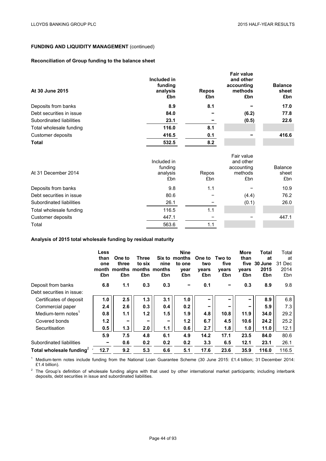# **FUNDING AND LIQUIDITY MANAGEMENT** (continued)

# **Reconciliation of Group funding to the balance sheet**

| At 30 June 2015          | Included in<br>funding<br>analysis<br>£bn | <b>Repos</b><br>£bn | <b>Fair value</b><br>and other<br>accounting<br>methods<br>£bn | <b>Balance</b><br>sheet<br>£bn |
|--------------------------|-------------------------------------------|---------------------|----------------------------------------------------------------|--------------------------------|
| Deposits from banks      | 8.9                                       | 8.1                 |                                                                | 17.0                           |
| Debt securities in issue | 84.0                                      |                     | (6.2)                                                          | 77.8                           |
| Subordinated liabilities | 23.1                                      |                     | (0.5)                                                          | 22.6                           |
| Total wholesale funding  | 116.0                                     | 8.1                 |                                                                |                                |
| Customer deposits        | 416.5                                     | 0.1                 |                                                                | 416.6                          |
| <b>Total</b>             | 532.5                                     | 8.2                 |                                                                |                                |

| At 31 December 2014      | Included in<br>funding<br>analysis<br>£bn | Repos<br>£bn | Fair value<br>and other<br>accounting<br>methods<br>£bn | <b>Balance</b><br>sheet<br>£bn |
|--------------------------|-------------------------------------------|--------------|---------------------------------------------------------|--------------------------------|
| Deposits from banks      | 9.8                                       | 1.1          |                                                         | 10.9                           |
| Debt securities in issue | 80.6                                      |              | (4.4)                                                   | 76.2                           |
| Subordinated liabilities | 26.1                                      |              | (0.1)                                                   | 26.0                           |
| Total wholesale funding  | 116.5                                     | 1.1          |                                                         |                                |
| Customer deposits        | 447.1                                     |              |                                                         | 447.1                          |
| Total                    | 563.6                                     | 1.1          |                                                         |                                |

# **Analysis of 2015 total wholesale funding by residual maturity**

|                                | <b>Less</b><br>than<br>one<br>month<br>£bn | One to<br>three<br>£bn | Three<br>to six<br>months months months<br>£bn | nine<br>£bn | <b>Nine</b><br>Six to months<br>to one<br>year<br>£bn | One to<br>two<br>years<br>£bn | Two to<br>five<br>vears<br>£bn | More<br>than<br>five<br>years<br>£bn | Total<br>at<br>30 June<br>2015<br>£bn | Total<br>at<br>31 Dec<br>2014<br>£bn |
|--------------------------------|--------------------------------------------|------------------------|------------------------------------------------|-------------|-------------------------------------------------------|-------------------------------|--------------------------------|--------------------------------------|---------------------------------------|--------------------------------------|
| Deposit from banks             | 6.8                                        | 1.1                    | 0.3                                            | 0.3         |                                                       | 0.1                           | -                              | 0.3                                  | 8.9                                   | 9.8                                  |
| Debt securities in issue:      |                                            |                        |                                                |             |                                                       |                               |                                |                                      |                                       |                                      |
| Certificates of deposit        | 1.0                                        | 2.5                    | 1.3                                            | 3.1         | 1.0                                                   | $\overline{\phantom{0}}$      |                                | -                                    | 8.9                                   | 6.8                                  |
| Commercial paper               | 2.4                                        | 2.6                    | 0.3                                            | 0.4         | 0.2                                                   | $\overline{\phantom{a}}$      | -                              | -                                    | 5.9                                   | 7.3                                  |
| Medium-term notes <sup>1</sup> | 0.8                                        | 1.1                    | 1.2                                            | 1.5         | 1.9                                                   | 4.8                           | 10.8                           | 11.9                                 | 34.0                                  | 29.2                                 |
| Covered bonds                  | 1.2                                        | -                      | -                                              | -           | 1.2                                                   | 6.7                           | 4.5                            | 10.6                                 | 24.2                                  | 25.2                                 |
| Securitisation                 | 0.5                                        | 1.3                    | 2.0                                            | 1.1         | 0.6                                                   | 2.7                           | 1.8                            | 1.0                                  | 11.0                                  | 12.1                                 |
|                                | 5.9                                        | 7.5                    | 4.8                                            | 6.1         | 4.9                                                   | 14.2                          | 17.1                           | 23.5                                 | 84.0                                  | 80.6                                 |
| Subordinated liabilities       |                                            | 0.6                    | 0.2                                            | 0.2         | 0.2                                                   | 3.3                           | 6.5                            | 12.1                                 | 23.1                                  | 26.1                                 |
| Total wholesale funding $2$    | 12.7                                       | 9.2                    | 5.3                                            | 6.6         | 5.1                                                   | 17.6                          | 23.6                           | 35.9                                 | 116.0                                 | 116.5                                |

<sup>1</sup> Medium-term notes include funding from the National Loan Guarantee Scheme (30 June 2015: £1.4 billion; 31 December 2014: £1.4 billion).

 $2$  The Group's definition of wholesale funding aligns with that used by other international market participants; including interbank deposits, debt securities in issue and subordinated liabilities.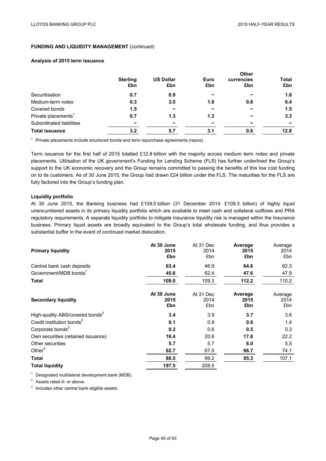# **FUNDING AND LIQUIDITY MANAGEMENT (continued)**

#### **Analysis of 2015 term issuance**

|                                 | <b>Sterling</b><br>£bn | <b>US Dollar</b><br>£bn | Euro<br>£bn | <b>Other</b><br>currencies<br>£bn | Total<br>£bn |
|---------------------------------|------------------------|-------------------------|-------------|-----------------------------------|--------------|
| Securitisation                  | 0.7                    | 0.9                     |             |                                   | 1.6          |
| Medium-term notes               | 0.3                    | 3.5                     | 1.8         | 0.8                               | 6.4          |
| Covered bonds                   | 1.5                    | -                       |             |                                   | 1.5          |
| Private placements <sup>1</sup> | 0.7                    | 1.3                     | 1.3         |                                   | 3.3          |
| Subordinated liabilities        | -                      | ۰                       |             |                                   |              |
| <b>Total issuance</b>           | 3.2                    | 5.7                     | 3.1         | 0.8                               | 12.8         |

 $1$  Private placements include structured bonds and term repurchase agreements (repos).

Term issuance for the first half of 2015 totalled £12.8 billion with the majority across medium term notes and private placements. Utilisation of the UK government's Funding for Lending Scheme (FLS) has further underlined the Group's support to the UK economic recovery and the Group remains committed to passing the benefits of this low cost funding on to its customers. As of 30 June 2015, the Group had drawn £24 billion under the FLS. The maturities for the FLS are fully factored into the Group's funding plan.

#### **Liquidity portfolio**

At 30 June 2015, the Banking business had £109.0 billion (31 December 2014: £109.3 billion) of highly liquid unencumbered assets in its primary liquidity portfolio which are available to meet cash and collateral outflows and PRA regulatory requirements. A separate liquidity portfolio to mitigate Insurance liquidity risk is managed within the Insurance business. Primary liquid assets are broadly equivalent to the Group's total wholesale funding, and thus provides a substantial buffer in the event of continued market dislocation.

| <b>Primary liquidity</b>                    | At 30 June<br>2015<br>£bn | At 31 Dec<br>2014<br>£bn | Average<br>2015<br>£bn | Average<br>2014<br>£bn |
|---------------------------------------------|---------------------------|--------------------------|------------------------|------------------------|
| Central bank cash deposits                  | 63.4                      | 46.9                     | 64.6                   | 62.3                   |
| Government/MDB bonds <sup>1</sup>           | 45.6                      | 62.4                     | 47.6                   | 47.9                   |
| <b>Total</b>                                | 109.0                     | 109.3                    | 112.2                  | 110.2                  |
| <b>Secondary liquidity</b>                  | At 30 June<br>2015<br>£bn | At 31 Dec<br>2014<br>£bn | Average<br>2015<br>£bn | Average<br>2014<br>£bn |
| High-quality ABS/covered bonds <sup>2</sup> | 3.4                       | 3.9                      | 3.7                    | 3.6                    |
| Credit institution bonds <sup>2</sup>       | 0.1                       | 0.9                      | 0.6                    | 1.4                    |
| Corporate bonds <sup>2</sup>                | 0.2                       | 0.6                      | 0.5                    | 0.3                    |
| Own securities (retained issuance)          | 16.4                      | 20.6                     | 17.8                   | 22.2                   |
| Other securities                            | 5.7                       | 5.7                      | 6.0                    | 5.5                    |
| Other $3$                                   | 62.7                      | 67.5                     | 66.7                   | 74.1                   |
| <b>Total</b>                                | 88.5                      | 99.2                     | 95.3                   | 107.1                  |
| <b>Total liquidity</b>                      | 197.5                     | 208.5                    |                        |                        |

 $1$  Designated multilateral development bank (MDB).

<sup>2</sup> Assets rated A- or above.

<sup>3</sup> Includes other central bank eligible assets.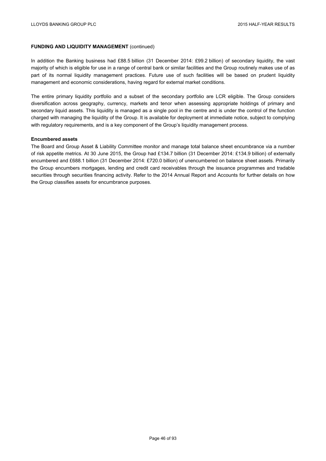## **FUNDING AND LIQUIDITY MANAGEMENT (continued)**

In addition the Banking business had £88.5 billion (31 December 2014: £99.2 billion) of secondary liquidity, the vast majority of which is eligible for use in a range of central bank or similar facilities and the Group routinely makes use of as part of its normal liquidity management practices. Future use of such facilities will be based on prudent liquidity management and economic considerations, having regard for external market conditions.

The entire primary liquidity portfolio and a subset of the secondary portfolio are LCR eligible. The Group considers diversification across geography, currency, markets and tenor when assessing appropriate holdings of primary and secondary liquid assets. This liquidity is managed as a single pool in the centre and is under the control of the function charged with managing the liquidity of the Group. It is available for deployment at immediate notice, subject to complying with regulatory requirements, and is a key component of the Group's liquidity management process.

#### **Encumbered assets**

The Board and Group Asset & Liability Committee monitor and manage total balance sheet encumbrance via a number of risk appetite metrics. At 30 June 2015, the Group had £134.7 billion (31 December 2014: £134.9 billion) of externally encumbered and £688.1 billion (31 December 2014: £720.0 billion) of unencumbered on balance sheet assets. Primarily the Group encumbers mortgages, lending and credit card receivables through the issuance programmes and tradable securities through securities financing activity. Refer to the 2014 Annual Report and Accounts for further details on how the Group classifies assets for encumbrance purposes.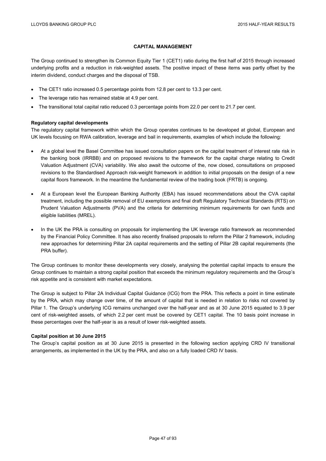## **CAPITAL MANAGEMENT**

The Group continued to strengthen its Common Equity Tier 1 (CET1) ratio during the first half of 2015 through increased underlying profits and a reduction in risk-weighted assets. The positive impact of these items was partly offset by the interim dividend, conduct charges and the disposal of TSB.

- The CET1 ratio increased 0.5 percentage points from 12.8 per cent to 13.3 per cent.
- The leverage ratio has remained stable at 4.9 per cent.
- The transitional total capital ratio reduced 0.3 percentage points from 22.0 per cent to 21.7 per cent.

#### **Regulatory capital developments**

The regulatory capital framework within which the Group operates continues to be developed at global, European and UK levels focusing on RWA calibration, leverage and bail in requirements, examples of which include the following:

- At a global level the Basel Committee has issued consultation papers on the capital treatment of interest rate risk in the banking book (IRRBB) and on proposed revisions to the framework for the capital charge relating to Credit Valuation Adjustment (CVA) variability. We also await the outcome of the, now closed, consultations on proposed revisions to the Standardised Approach risk-weight framework in addition to initial proposals on the design of a new capital floors framework. In the meantime the fundamental review of the trading book (FRTB) is ongoing.
- At a European level the European Banking Authority (EBA) has issued recommendations about the CVA capital treatment, including the possible removal of EU exemptions and final draft Regulatory Technical Standards (RTS) on Prudent Valuation Adjustments (PVA) and the criteria for determining minimum requirements for own funds and eligible liabilities (MREL).
- In the UK the PRA is consulting on proposals for implementing the UK leverage ratio framework as recommended by the Financial Policy Committee. It has also recently finalised proposals to reform the Pillar 2 framework, including new approaches for determining Pillar 2A capital requirements and the setting of Pillar 2B capital requirements (the PRA buffer).

The Group continues to monitor these developments very closely, analysing the potential capital impacts to ensure the Group continues to maintain a strong capital position that exceeds the minimum regulatory requirements and the Group's risk appetite and is consistent with market expectations.

The Group is subject to Pillar 2A Individual Capital Guidance (ICG) from the PRA. This reflects a point in time estimate by the PRA, which may change over time, of the amount of capital that is needed in relation to risks not covered by Pillar 1. The Group's underlying ICG remains unchanged over the half-year and as at 30 June 2015 equated to 3.9 per cent of risk-weighted assets, of which 2.2 per cent must be covered by CET1 capital. The 10 basis point increase in these percentages over the half-year is as a result of lower risk-weighted assets.

#### **Capital position at 30 June 2015**

The Group's capital position as at 30 June 2015 is presented in the following section applying CRD IV transitional arrangements, as implemented in the UK by the PRA, and also on a fully loaded CRD IV basis.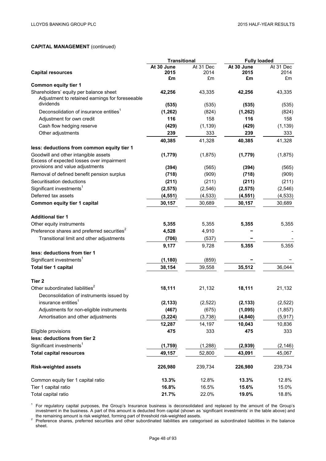|                                                                                   | <b>Transitional</b> |           | <b>Fully loaded</b> |           |
|-----------------------------------------------------------------------------------|---------------------|-----------|---------------------|-----------|
|                                                                                   | At 30 June          | At 31 Dec | At 30 June          | At 31 Dec |
| <b>Capital resources</b>                                                          | 2015                | 2014      | 2015                | 2014      |
| <b>Common equity tier 1</b>                                                       | £m                  | £m        | £m                  | £m        |
| Shareholders' equity per balance sheet                                            | 42,256              | 43,335    | 42,256              | 43,335    |
| Adjustment to retained earnings for foreseeable                                   |                     |           |                     |           |
| dividends                                                                         | (535)               | (535)     | (535)               | (535)     |
| Deconsolidation of insurance entities <sup>1</sup>                                | (1,262)             | (824)     | (1, 262)            | (824)     |
| Adjustment for own credit                                                         | 116                 | 158       | 116                 | 158       |
| Cash flow hedging reserve                                                         | (429)               | (1, 139)  | (429)               | (1, 139)  |
| Other adjustments                                                                 | 239                 | 333       | 239                 | 333       |
|                                                                                   | 40,385              | 41,328    | 40,385              | 41,328    |
| less: deductions from common equity tier 1                                        |                     |           |                     |           |
| Goodwill and other intangible assets<br>Excess of expected losses over impairment | (1,779)             | (1,875)   | (1,779)             | (1,875)   |
| provisions and value adjustments                                                  | (394)               | (565)     | (394)               | (565)     |
| Removal of defined benefit pension surplus                                        | (718)               | (909)     | (718)               | (909)     |
| Securitisation deductions                                                         | (211)               | (211)     | (211)               | (211)     |
| Significant investments <sup>1</sup>                                              | (2, 575)            | (2, 546)  | (2, 575)            | (2, 546)  |
| Deferred tax assets                                                               | (4, 551)            | (4, 533)  | (4, 551)            | (4, 533)  |
| Common equity tier 1 capital                                                      | 30,157              | 30,689    | 30,157              | 30,689    |
| <b>Additional tier 1</b>                                                          |                     |           |                     |           |
| Other equity instruments                                                          | 5,355               | 5,355     | 5,355               | 5,355     |
| Preference shares and preferred securities <sup>2</sup>                           | 4,528               | 4,910     |                     |           |
| Transitional limit and other adjustments                                          | (706)               | (537)     |                     |           |
|                                                                                   | 9,177               | 9,728     | 5,355               | 5,355     |
| less: deductions from tier 1                                                      |                     |           |                     |           |
| Significant investments <sup>1</sup>                                              | (1, 180)            | (859)     |                     |           |
| Total tier 1 capital                                                              | 38,154              | 39,558    | 35,512              | 36,044    |
| Tier 2                                                                            |                     |           |                     |           |
| Other subordinated liabilities <sup>2</sup>                                       | 18,111              | 21,132    | 18,111              | 21,132    |
| Deconsolidation of instruments issued by                                          |                     |           |                     |           |
| insurance entities <sup>1</sup>                                                   | (2, 133)            | (2,522)   | (2, 133)            | (2, 522)  |
| Adjustments for non-eligible instruments                                          | (467)               | (675)     | (1,095)             | (1, 857)  |
| Amortisation and other adjustments                                                | (3, 224)            | (3,738)   | (4, 840)            | (5, 917)  |
|                                                                                   | 12,287              | 14,197    | 10,043              | 10,836    |
| Eligible provisions                                                               | 475                 | 333       | 475                 | 333       |
| less: deductions from tier 2                                                      |                     |           |                     |           |
| Significant investments <sup>1</sup>                                              | (1,759)             | (1, 288)  | (2,939)             | (2, 146)  |
| <b>Total capital resources</b>                                                    | 49,157              | 52,800    | 43,091              | 45,067    |
| <b>Risk-weighted assets</b>                                                       | 226,980             | 239,734   | 226,980             | 239,734   |
| Common equity tier 1 capital ratio                                                | 13.3%               | 12.8%     | 13.3%               | 12.8%     |
| Tier 1 capital ratio                                                              | 16.8%               | 16.5%     | 15.6%               | 15.0%     |
| Total capital ratio                                                               | 21.7%               | 22.0%     | 19.0%               | 18.8%     |

<sup>1</sup> For regulatory capital purposes, the Group's Insurance business is deconsolidated and replaced by the amount of the Group's investment in the business. A part of this amount is deducted from capital (shown as 'significant investments' in the table above) and

the remaining amount is risk weighted, forming part of threshold risk-weighted assets.<br><sup>2</sup> Preference shares, preferred securities and other subordinated liabilities are categorised as subordinated liabilities in the balan sheet.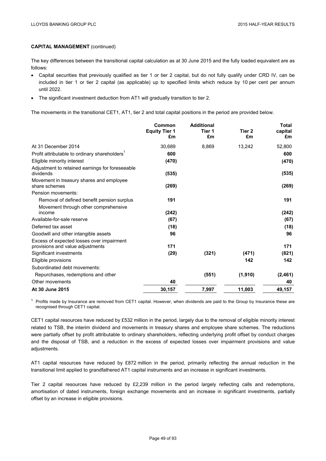The key differences between the transitional capital calculation as at 30 June 2015 and the fully loaded equivalent are as follows:

- Capital securities that previously qualified as tier 1 or tier 2 capital, but do not fully qualify under CRD IV, can be included in tier 1 or tier 2 capital (as applicable) up to specified limits which reduce by 10 per cent per annum until 2022.
- The significant investment deduction from AT1 will gradually transition to tier 2.

The movements in the transitional CET1, AT1, tier 2 and total capital positions in the period are provided below.

|                                                                               | Common<br><b>Equity Tier 1</b><br>£m | <b>Additional</b><br>Tier 1<br>£m | Tier 2<br>£m | <b>Total</b><br>capital<br>£m |
|-------------------------------------------------------------------------------|--------------------------------------|-----------------------------------|--------------|-------------------------------|
| At 31 December 2014                                                           | 30,689                               | 8,869                             | 13,242       | 52,800                        |
| Profit attributable to ordinary shareholders <sup>1</sup>                     | 600                                  |                                   |              | 600                           |
| Eligible minority interest                                                    | (470)                                |                                   |              | (470)                         |
| Adjustment to retained earnings for foreseeable<br>dividends                  | (535)                                |                                   |              | (535)                         |
| Movement in treasury shares and employee<br>share schemes                     | (269)                                |                                   |              | (269)                         |
| Pension movements:                                                            |                                      |                                   |              |                               |
| Removal of defined benefit pension surplus                                    | 191                                  |                                   |              | 191                           |
| Movement through other comprehensive<br>income                                | (242)                                |                                   |              | (242)                         |
| Available-for-sale reserve                                                    | (67)                                 |                                   |              | (67)                          |
| Deferred tax asset                                                            | (18)                                 |                                   |              | (18)                          |
| Goodwill and other intangible assets                                          | 96                                   |                                   |              | 96                            |
| Excess of expected losses over impairment<br>provisions and value adjustments | 171                                  |                                   |              | 171                           |
| Significant investments                                                       | (29)                                 | (321)                             | (471)        | (821)                         |
| Eligible provisions                                                           |                                      |                                   | 142          | 142                           |
| Subordinated debt movements:                                                  |                                      |                                   |              |                               |
| Repurchases, redemptions and other                                            |                                      | (551)                             | (1,910)      | (2,461)                       |
| Other movements                                                               | 40                                   |                                   |              | 40                            |
| At 30 June 2015                                                               | 30,157                               | 7,997                             | 11,003       | 49,157                        |

 $1$  Profits made by Insurance are removed from CET1 capital. However, when dividends are paid to the Group by Insurance these are recognised through CET1 capital.

CET1 capital resources have reduced by £532 million in the period, largely due to the removal of eligible minority interest related to TSB, the interim dividend and movements in treasury shares and employee share schemes. The reductions were partially offset by profit attributable to ordinary shareholders, reflecting underlying profit offset by conduct charges and the disposal of TSB, and a reduction in the excess of expected losses over impairment provisions and value adjustments.

AT1 capital resources have reduced by £872 million in the period, primarily reflecting the annual reduction in the transitional limit applied to grandfathered AT1 capital instruments and an increase in significant investments.

Tier 2 capital resources have reduced by £2,239 million in the period largely reflecting calls and redemptions, amortisation of dated instruments, foreign exchange movements and an increase in significant investments, partially offset by an increase in eligible provisions.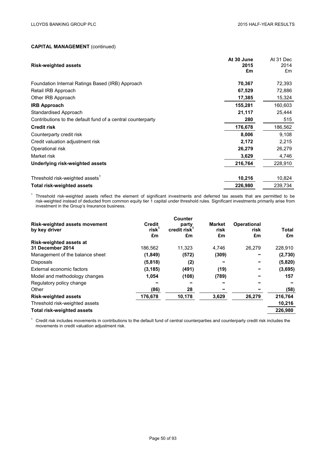| <b>Risk-weighted assets</b>                                 | At 30 June<br>2015<br>£m | At 31 Dec<br>2014<br>£m |
|-------------------------------------------------------------|--------------------------|-------------------------|
| Foundation Internal Ratings Based (IRB) Approach            | 70,367                   | 72,393                  |
| Retail IRB Approach                                         | 67,529                   | 72,886                  |
| Other IRB Approach                                          | 17,385                   | 15,324                  |
| <b>IRB Approach</b>                                         | 155,281                  | 160,603                 |
| Standardised Approach                                       | 21,117                   | 25,444                  |
| Contributions to the default fund of a central counterparty | 280                      | 515                     |
| <b>Credit risk</b>                                          | 176,678                  | 186,562                 |
| Counterparty credit risk                                    | 8,006                    | 9,108                   |
| Credit valuation adjustment risk                            | 2,172                    | 2,215                   |
| Operational risk                                            | 26,279                   | 26,279                  |
| Market risk                                                 | 3,629                    | 4,746                   |
| Underlying risk-weighted assets                             | 216,764                  | 228,910                 |
| Threshold risk-weighted assets <sup>1</sup>                 | 10,216                   | 10,824                  |
| <b>Total risk-weighted assets</b>                           | 226,980                  | 239,734                 |

<sup>1</sup> Threshold risk-weighted assets reflect the element of significant investments and deferred tax assets that are permitted to be risk-weighted instead of deducted from common equity tier 1 capital under threshold rules. Significant investments primarily arise from investment in the Group's Insurance business.

| <b>Risk-weighted assets movement</b><br>by key driver | <b>Credit</b><br>$risk^1$<br>£m | <b>Counter</b><br>party<br>credit risk <sup>1</sup><br>£m | <b>Market</b><br>risk<br>£m | <b>Operational</b><br>risk<br>£m | <b>Total</b><br>£m |
|-------------------------------------------------------|---------------------------------|-----------------------------------------------------------|-----------------------------|----------------------------------|--------------------|
| <b>Risk-weighted assets at</b>                        |                                 |                                                           |                             |                                  |                    |
| 31 December 2014                                      | 186.562                         | 11.323                                                    | 4.746                       | 26,279                           | 228,910            |
| Management of the balance sheet                       | (1,849)                         | (572)                                                     | (309)                       |                                  | (2,730)            |
| <b>Disposals</b>                                      | (5,818)                         | (2)                                                       |                             |                                  | (5,820)            |
| External economic factors                             | (3, 185)                        | (491)                                                     | (19)                        |                                  | (3,695)            |
| Model and methodology changes                         | 1,054                           | (108)                                                     | (789)                       |                                  | 157                |
| Regulatory policy change                              |                                 |                                                           |                             |                                  |                    |
| Other                                                 | (86)                            | 28                                                        |                             |                                  | (58)               |
| <b>Risk-weighted assets</b>                           | 176,678                         | 10,178                                                    | 3,629                       | 26,279                           | 216,764            |
| Threshold risk-weighted assets                        |                                 |                                                           |                             |                                  | 10,216             |
| <b>Total risk-weighted assets</b>                     |                                 |                                                           |                             |                                  | 226,980            |

 $1$  Credit risk includes movements in contributions to the default fund of central counterparties and counterparty credit risk includes the movements in credit valuation adjustment risk.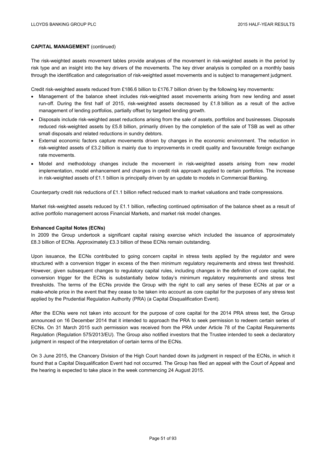The risk-weighted assets movement tables provide analyses of the movement in risk-weighted assets in the period by risk type and an insight into the key drivers of the movements. The key driver analysis is compiled on a monthly basis through the identification and categorisation of risk-weighted asset movements and is subject to management judgment.

Credit risk-weighted assets reduced from £186.6 billion to £176.7 billion driven by the following key movements:

- Management of the balance sheet includes risk-weighted asset movements arising from new lending and asset run-off. During the first half of 2015, risk-weighted assets decreased by £1.8 billion as a result of the active management of lending portfolios, partially offset by targeted lending growth.
- Disposals include risk-weighted asset reductions arising from the sale of assets, portfolios and businesses. Disposals reduced risk-weighted assets by £5.8 billion, primarily driven by the completion of the sale of TSB as well as other small disposals and related reductions in sundry debtors.
- External economic factors capture movements driven by changes in the economic environment. The reduction in risk-weighted assets of £3.2 billion is mainly due to improvements in credit quality and favourable foreign exchange rate movements.
- Model and methodology changes include the movement in risk-weighted assets arising from new model implementation, model enhancement and changes in credit risk approach applied to certain portfolios. The increase in risk-weighted assets of £1.1 billion is principally driven by an update to models in Commercial Banking.

Counterparty credit risk reductions of £1.1 billion reflect reduced mark to market valuations and trade compressions.

Market risk-weighted assets reduced by £1.1 billion, reflecting continued optimisation of the balance sheet as a result of active portfolio management across Financial Markets, and market risk model changes.

## **Enhanced Capital Notes (ECNs)**

In 2009 the Group undertook a significant capital raising exercise which included the issuance of approximately £8.3 billion of ECNs. Approximately £3.3 billion of these ECNs remain outstanding.

Upon issuance, the ECNs contributed to going concern capital in stress tests applied by the regulator and were structured with a conversion trigger in excess of the then minimum regulatory requirements and stress test threshold. However, given subsequent changes to regulatory capital rules, including changes in the definition of core capital, the conversion trigger for the ECNs is substantially below today's minimum regulatory requirements and stress test thresholds. The terms of the ECNs provide the Group with the right to call any series of these ECNs at par or a make-whole price in the event that they cease to be taken into account as core capital for the purposes of any stress test applied by the Prudential Regulation Authority (PRA) (a Capital Disqualification Event).

After the ECNs were not taken into account for the purpose of core capital for the 2014 PRA stress test, the Group announced on 16 December 2014 that it intended to approach the PRA to seek permission to redeem certain series of ECNs. On 31 March 2015 such permission was received from the PRA under Article 78 of the Capital Requirements Regulation (Regulation 575/2013/EU). The Group also notified investors that the Trustee intended to seek a declaratory judgment in respect of the interpretation of certain terms of the ECNs.

On 3 June 2015, the Chancery Division of the High Court handed down its judgment in respect of the ECNs, in which it found that a Capital Disqualification Event had not occurred. The Group has filed an appeal with the Court of Appeal and the hearing is expected to take place in the week commencing 24 August 2015.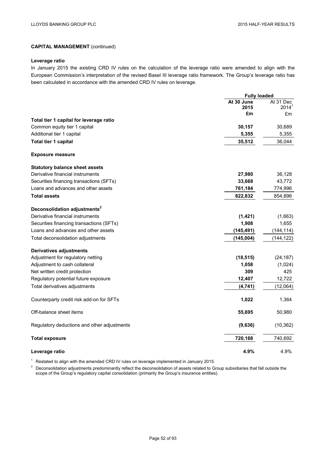## **Leverage ratio**

In January 2015 the existing CRD IV rules on the calculation of the leverage ratio were amended to align with the European Commission's interpretation of the revised Basel III leverage ratio framework. The Group's leverage ratio has been calculated in accordance with the amended CRD IV rules on leverage.

|                                             | <b>Fully loaded</b> |                |
|---------------------------------------------|---------------------|----------------|
|                                             | At 30 June          | At 31 Dec      |
|                                             | 2015                | $2014^1$       |
|                                             | £m                  | £m             |
| Total tier 1 capital for leverage ratio     |                     |                |
| Common equity tier 1 capital                | 30,157              | 30,689         |
| Additional tier 1 capital                   | 5,355               | 5,355          |
| Total tier 1 capital                        | 35,512              | 36,044         |
| <b>Exposure measure</b>                     |                     |                |
| <b>Statutory balance sheet assets</b>       |                     |                |
| Derivative financial instruments            | 27,980              | 36,128         |
| Securities financing transactions (SFTs)    | 33,668              | 43,772         |
| Loans and advances and other assets         | 761,184             | 774,996        |
| <b>Total assets</b>                         | 822,832             | 854,896        |
| Deconsolidation adjustments <sup>2</sup>    |                     |                |
| Derivative financial instruments            | (1,421)             | (1,663)        |
| Securities financing transactions (SFTs)    | 1,908               | 1,655          |
| Loans and advances and other assets         | (145, 491)          | (144, 114)     |
| Total deconsolidation adjustments           | (145,004)           | (144, 122)     |
| <b>Derivatives adjustments</b>              |                     |                |
| Adjustment for regulatory netting           | (18, 515)           | (24, 187)      |
| Adjustment to cash collateral               | 1,058               |                |
| Net written credit protection               | 309                 | (1,024)<br>425 |
|                                             |                     |                |
| Regulatory potential future exposure        | 12,407              | 12,722         |
| Total derivatives adjustments               | (4, 741)            | (12,064)       |
| Counterparty credit risk add-on for SFTs    | 1,022               | 1,364          |
| Off-balance sheet items                     | 55,695              | 50,980         |
| Regulatory deductions and other adjustments | (9,636)             | (10, 362)      |
| <b>Total exposure</b>                       | 720,168             | 740,692        |
| Leverage ratio                              | 4.9%                | 4.9%           |

<sup>1</sup> Restated to align with the amended CRD IV rules on leverage implemented in January 2015.

<sup>2</sup> Deconsolidation adjustments predominantly reflect the deconsolidation of assets related to Group subsidiaries that fall outside the scope of the Group's regulatory capital consolidation (primarily the Group's insurance entities).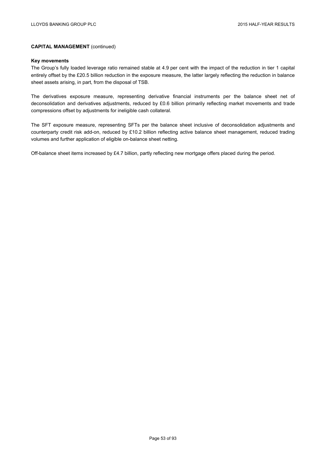#### **Key movements**

The Group's fully loaded leverage ratio remained stable at 4.9 per cent with the impact of the reduction in tier 1 capital entirely offset by the £20.5 billion reduction in the exposure measure, the latter largely reflecting the reduction in balance sheet assets arising, in part, from the disposal of TSB.

The derivatives exposure measure, representing derivative financial instruments per the balance sheet net of deconsolidation and derivatives adjustments, reduced by £0.6 billion primarily reflecting market movements and trade compressions offset by adjustments for ineligible cash collateral.

The SFT exposure measure, representing SFTs per the balance sheet inclusive of deconsolidation adjustments and counterparty credit risk add-on, reduced by £10.2 billion reflecting active balance sheet management, reduced trading volumes and further application of eligible on-balance sheet netting.

Off-balance sheet items increased by £4.7 billion, partly reflecting new mortgage offers placed during the period.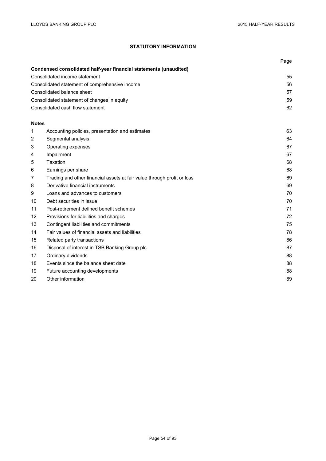# **STATUTORY INFORMATION**

|              |                                                                         | Page |
|--------------|-------------------------------------------------------------------------|------|
|              | Condensed consolidated half-year financial statements (unaudited)       |      |
|              | Consolidated income statement                                           | 55   |
|              | Consolidated statement of comprehensive income                          | 56   |
|              | Consolidated balance sheet                                              | 57   |
|              | Consolidated statement of changes in equity                             | 59   |
|              | Consolidated cash flow statement                                        | 62   |
| <b>Notes</b> |                                                                         |      |
| 1            | Accounting policies, presentation and estimates                         | 63   |
| 2            | Segmental analysis                                                      | 64   |
| 3            | Operating expenses                                                      | 67   |
| 4            | Impairment                                                              | 67   |
| 5            | Taxation                                                                | 68   |
| 6            | Earnings per share                                                      | 68   |
| 7            | Trading and other financial assets at fair value through profit or loss | 69   |
| 8            | Derivative financial instruments                                        | 69   |
| 9            | Loans and advances to customers                                         | 70   |
| 10           | Debt securities in issue                                                | 70   |
| 11           | Post-retirement defined benefit schemes                                 | 71   |
| 12           | Provisions for liabilities and charges                                  | 72   |
| 13           | Contingent liabilities and commitments                                  | 75   |
| 14           | Fair values of financial assets and liabilities                         | 78   |
| 15           | Related party transactions                                              | 86   |
| 16           | Disposal of interest in TSB Banking Group plc                           | 87   |
| 17           | Ordinary dividends                                                      | 88   |
| 18           | Events since the balance sheet date                                     | 88   |
| 19           | Future accounting developments                                          | 88   |
| 20           | Other information                                                       | 89   |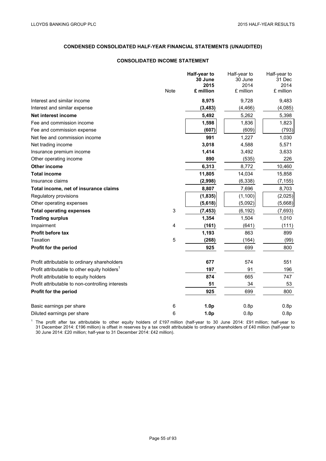# **CONSOLIDATED INCOME STATEMENT**

|                                                          |                           | Half-year to<br>30 June | Half-year to<br>30 June | Half-year to<br>31 Dec |
|----------------------------------------------------------|---------------------------|-------------------------|-------------------------|------------------------|
|                                                          |                           | 2015                    | 2014                    | 2014                   |
|                                                          | <b>Note</b>               | £ million               | £ million               | £ million              |
| Interest and similar income                              |                           | 8,975                   | 9,728                   | 9,483                  |
| Interest and similar expense                             |                           | (3, 483)                | (4, 466)                | (4,085)                |
| Net interest income                                      |                           | 5,492                   | 5,262                   | 5,398                  |
| Fee and commission income                                |                           | 1,598                   | 1,836                   | 1,823                  |
| Fee and commission expense                               |                           | (607)                   | (609)                   | (793)                  |
| Net fee and commission income                            |                           | 991                     | 1,227                   | 1,030                  |
| Net trading income                                       |                           | 3,018                   | 4,588                   | 5,571                  |
| Insurance premium income                                 |                           | 1,414                   | 3,492                   | 3,633                  |
| Other operating income                                   |                           | 890                     | (535)                   | 226                    |
| <b>Other income</b>                                      |                           | 6,313                   | 8,772                   | 10,460                 |
| <b>Total income</b>                                      |                           | 11,805                  | 14,034                  | 15,858                 |
| Insurance claims                                         |                           | (2,998)                 | (6, 338)                | (7, 155)               |
| Total income, net of insurance claims                    |                           | 8,807                   | 7,696                   | 8,703                  |
| Regulatory provisions                                    |                           | (1, 835)                | (1, 100)                | (2,025)                |
| Other operating expenses                                 |                           | (5,618)                 | (5,092)                 | (5,668)                |
| <b>Total operating expenses</b>                          | $\ensuremath{\mathsf{3}}$ | (7, 453)                | (6, 192)                | (7,693)                |
| <b>Trading surplus</b>                                   |                           | 1,354                   | 1,504                   | 1,010                  |
| Impairment                                               | 4                         | (161)                   | (641)                   | (111)                  |
| Profit before tax                                        |                           | 1,193                   | 863                     | 899                    |
| Taxation                                                 | 5                         | (268)                   | (164)                   | (99)                   |
| Profit for the period                                    |                           | 925                     | 699                     | 800                    |
| Profit attributable to ordinary shareholders             |                           | 677                     | 574                     | 551                    |
| Profit attributable to other equity holders <sup>1</sup> |                           | 197                     | 91                      | 196                    |
| Profit attributable to equity holders                    |                           | 874                     | 665                     | 747                    |
| Profit attributable to non-controlling interests         |                           | 51                      | 34                      | 53                     |
| Profit for the period                                    |                           | 925                     | 699                     | 800                    |
| Basic earnings per share                                 | 6                         | 1.0 <sub>p</sub>        | 0.8p                    | 0.8p                   |
| Diluted earnings per share                               | 6                         | 1.0 <sub>p</sub>        | 0.8p                    | 0.8p                   |

<sup>1</sup> The profit after tax attributable to other equity holders of £197 million (half-year to 30 June 2014: £91 million; half-year to 31 December 2014: £196 million) is offset in reserves by a tax credit attributable to ordinary shareholders of £40 million (half-year to 30 June 2014: £20 million; half-year to 31 December 2014: £42 million).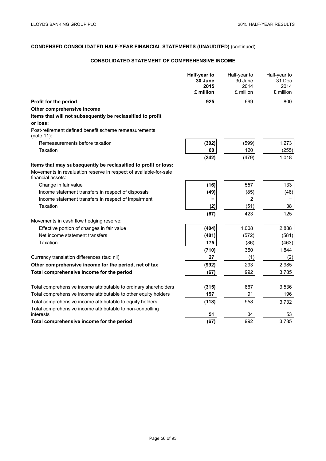# **CONSOLIDATED STATEMENT OF COMPREHENSIVE INCOME**

|                                                                                        | Half-year to<br>30 June<br>2015<br>£ million | Half-year to<br>30 June<br>2014<br>£ million | Half-year to<br>31 Dec<br>2014<br>£ million |
|----------------------------------------------------------------------------------------|----------------------------------------------|----------------------------------------------|---------------------------------------------|
| Profit for the period                                                                  | 925                                          | 699                                          | 800                                         |
| Other comprehensive income                                                             |                                              |                                              |                                             |
| Items that will not subsequently be reclassified to profit                             |                                              |                                              |                                             |
| or loss:                                                                               |                                              |                                              |                                             |
| Post-retirement defined benefit scheme remeasurements<br>(note 11):                    |                                              |                                              |                                             |
| Remeasurements before taxation                                                         | (302)                                        | (599)                                        | 1,273                                       |
| Taxation                                                                               | 60                                           | 120                                          | (255)                                       |
|                                                                                        | (242)                                        | (479)                                        | 1,018                                       |
| Items that may subsequently be reclassified to profit or loss:                         |                                              |                                              |                                             |
| Movements in revaluation reserve in respect of available-for-sale<br>financial assets: |                                              |                                              |                                             |
| Change in fair value                                                                   | (16)                                         | 557                                          | 133                                         |
| Income statement transfers in respect of disposals                                     | (49)                                         | (85)                                         | (46)                                        |
| Income statement transfers in respect of impairment                                    |                                              | 2                                            |                                             |
| Taxation                                                                               | (2)                                          | (51)                                         | 38                                          |
|                                                                                        | (67)                                         | 423                                          | 125                                         |
| Movements in cash flow hedging reserve:                                                |                                              |                                              |                                             |
| Effective portion of changes in fair value                                             | (404)                                        | 1,008                                        | 2,888                                       |
| Net income statement transfers                                                         | (481)                                        | (572)                                        | (581)                                       |
| Taxation                                                                               | 175                                          | (86)                                         | (463)                                       |
|                                                                                        | (710)                                        | 350                                          | 1,844                                       |
| Currency translation differences (tax: nil)                                            | 27                                           | (1)                                          | (2)                                         |
| Other comprehensive income for the period, net of tax                                  | (992)                                        | 293                                          | 2,985                                       |
| Total comprehensive income for the period                                              | (67)                                         | 992                                          | 3.785                                       |
|                                                                                        |                                              |                                              |                                             |
| Total comprehensive income attributable to ordinary shareholders                       | (315)                                        | 867                                          | 3,536                                       |
| Total comprehensive income attributable to other equity holders                        | 197                                          | 91                                           | 196                                         |
| Total comprehensive income attributable to equity holders                              | (118)                                        | 958                                          | 3,732                                       |
| Total comprehensive income attributable to non-controlling<br>interests                | 51                                           | 34                                           | 53                                          |
| Total comprehensive income for the period                                              | (67)                                         | 992                                          | 3,785                                       |
|                                                                                        |                                              |                                              |                                             |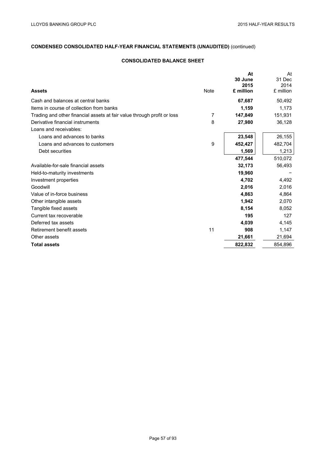# **CONSOLIDATED BALANCE SHEET**

|                                                                         |             | At<br>30 June | At<br>31 Dec |
|-------------------------------------------------------------------------|-------------|---------------|--------------|
|                                                                         |             | 2015          | 2014         |
| <b>Assets</b>                                                           | <b>Note</b> | £ million     | £ million    |
| Cash and balances at central banks                                      |             | 67,687        | 50,492       |
| Items in course of collection from banks                                |             | 1,159         | 1,173        |
| Trading and other financial assets at fair value through profit or loss | 7           | 147,849       | 151,931      |
| Derivative financial instruments                                        | 8           | 27,980        | 36,128       |
| Loans and receivables:                                                  |             |               |              |
| Loans and advances to banks                                             |             | 23,548        | 26,155       |
| Loans and advances to customers                                         | 9           | 452,427       | 482,704      |
| Debt securities                                                         |             | 1,569         | 1,213        |
|                                                                         |             | 477,544       | 510,072      |
| Available-for-sale financial assets                                     |             | 32,173        | 56,493       |
| Held-to-maturity investments                                            |             | 19,960        |              |
| Investment properties                                                   |             | 4,702         | 4,492        |
| Goodwill                                                                |             | 2,016         | 2,016        |
| Value of in-force business                                              |             | 4,863         | 4,864        |
| Other intangible assets                                                 |             | 1,942         | 2,070        |
| Tangible fixed assets                                                   |             | 8,154         | 8,052        |
| Current tax recoverable                                                 |             | 195           | 127          |
| Deferred tax assets                                                     |             | 4,039         | 4,145        |
| Retirement benefit assets                                               | 11          | 908           | 1,147        |
| Other assets                                                            |             | 21,661        | 21,694       |
| <b>Total assets</b>                                                     |             | 822,832       | 854,896      |
|                                                                         |             |               |              |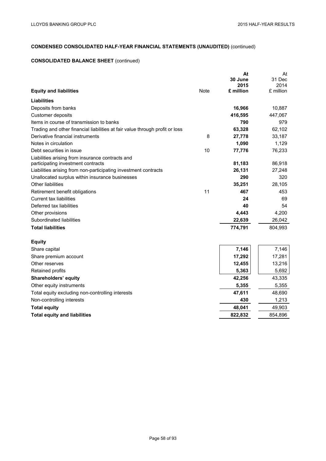# **CONSOLIDATED BALANCE SHEET** (continued)

|                                                                              |             | At              | At             |
|------------------------------------------------------------------------------|-------------|-----------------|----------------|
|                                                                              |             | 30 June<br>2015 | 31 Dec<br>2014 |
| <b>Equity and liabilities</b>                                                | <b>Note</b> | £ million       | £ million      |
| Liabilities                                                                  |             |                 |                |
| Deposits from banks                                                          |             | 16,966          | 10,887         |
| Customer deposits                                                            |             | 416,595         | 447,067        |
| Items in course of transmission to banks                                     |             | 790             | 979            |
| Trading and other financial liabilities at fair value through profit or loss |             | 63,328          | 62,102         |
| Derivative financial instruments                                             | 8           | 27,778          | 33,187         |
| Notes in circulation                                                         |             | 1,090           | 1,129          |
| Debt securities in issue                                                     | 10          | 77,776          | 76,233         |
| Liabilities arising from insurance contracts and                             |             |                 |                |
| participating investment contracts                                           |             | 81,183          | 86,918         |
| Liabilities arising from non-participating investment contracts              |             | 26,131          | 27,248         |
| Unallocated surplus within insurance businesses                              |             | 290             | 320            |
| <b>Other liabilities</b>                                                     |             | 35,251          | 28,105         |
| Retirement benefit obligations                                               | 11          | 467             | 453            |
| Current tax liabilities                                                      |             | 24              | 69             |
| Deferred tax liabilities                                                     |             | 40              | 54             |
| Other provisions                                                             |             | 4,443           | 4,200          |
| Subordinated liabilities                                                     |             | 22,639          | 26,042         |
| <b>Total liabilities</b>                                                     |             | 774,791         | 804,993        |
| <b>Equity</b>                                                                |             |                 |                |
| Share capital                                                                |             | 7,146           | 7,146          |
| Share premium account                                                        |             | 17,292          | 17,281         |
| Other reserves                                                               |             | 12,455          | 13,216         |
| Retained profits                                                             |             | 5,363           | 5,692          |
| Shareholders' equity                                                         |             | 42,256          | 43,335         |
| Other equity instruments                                                     |             | 5,355           | 5,355          |
| Total equity excluding non-controlling interests                             |             | 47,611          | 48,690         |
| Non-controlling interests                                                    |             | 430             | 1,213          |
| <b>Total equity</b>                                                          |             | 48,041          | 49,903         |
| <b>Total equity and liabilities</b>                                          |             | 822,832         | 854,896        |
|                                                                              |             |                 |                |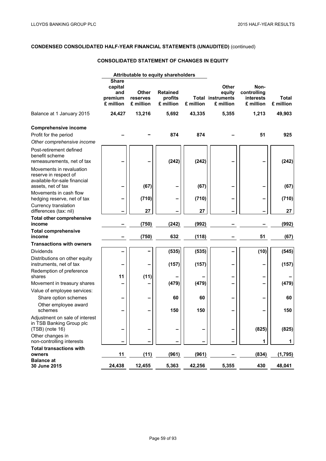# **CONSOLIDATED STATEMENT OF CHANGES IN EQUITY**

|                                                                                                         | Attributable to equity shareholders                    |                                |                                         |           |                                                                 |                                                      |                           |
|---------------------------------------------------------------------------------------------------------|--------------------------------------------------------|--------------------------------|-----------------------------------------|-----------|-----------------------------------------------------------------|------------------------------------------------------|---------------------------|
|                                                                                                         | <b>Share</b><br>capital<br>and<br>premium<br>£ million | Other<br>reserves<br>£ million | <b>Retained</b><br>profits<br>£ million | £ million | <b>Other</b><br>equity<br><b>Total instruments</b><br>£ million | Non-<br>controlling<br><b>interests</b><br>£ million | <b>Total</b><br>£ million |
| Balance at 1 January 2015                                                                               | 24,427                                                 | 13,216                         | 5,692                                   | 43,335    | 5,355                                                           | 1,213                                                | 49,903                    |
| <b>Comprehensive income</b><br>Profit for the period<br>Other comprehensive income                      |                                                        |                                | 874                                     | 874       |                                                                 | 51                                                   | 925                       |
| Post-retirement defined<br>benefit scheme<br>remeasurements, net of tax                                 |                                                        |                                | (242)                                   | (242)     |                                                                 |                                                      | (242)                     |
| Movements in revaluation<br>reserve in respect of<br>available-for-sale financial<br>assets, net of tax |                                                        | (67)                           |                                         | (67)      |                                                                 |                                                      | (67)                      |
| Movements in cash flow<br>hedging reserve, net of tax                                                   | -                                                      | (710)                          |                                         | (710)     |                                                                 |                                                      | (710)                     |
| Currency translation<br>differences (tax: nil)                                                          |                                                        | 27                             |                                         | 27        |                                                                 |                                                      | 27                        |
| <b>Total other comprehensive</b><br>income                                                              |                                                        | (750)                          | (242)                                   | (992)     |                                                                 |                                                      | (992)                     |
| <b>Total comprehensive</b><br>income                                                                    |                                                        | (750)                          | 632                                     | (118)     |                                                                 | 51                                                   | (67)                      |
| <b>Transactions with owners</b>                                                                         |                                                        |                                |                                         |           |                                                                 |                                                      |                           |
| <b>Dividends</b>                                                                                        |                                                        |                                | (535)                                   | (535)     |                                                                 | (10)                                                 | (545)                     |
| Distributions on other equity<br>instruments, net of tax                                                |                                                        |                                | (157)                                   | (157)     |                                                                 |                                                      | (157)                     |
| Redemption of preference                                                                                |                                                        |                                |                                         |           |                                                                 |                                                      |                           |
| shares                                                                                                  | 11                                                     | (11)                           |                                         |           |                                                                 |                                                      |                           |
| Movement in treasury shares<br>Value of employee services:                                              |                                                        |                                | (479)                                   | (479)     |                                                                 |                                                      | (479)                     |
| Share option schemes                                                                                    | -                                                      |                                | 60                                      | 60        |                                                                 |                                                      | 60                        |
| Other employee award                                                                                    |                                                        |                                |                                         |           |                                                                 |                                                      |                           |
| schemes                                                                                                 |                                                        |                                | 150                                     | 150       |                                                                 |                                                      | 150                       |
| Adjustment on sale of interest<br>in TSB Banking Group plc<br>$(TSB)$ (note 16)                         | -                                                      |                                |                                         |           |                                                                 | (825)                                                | (825)                     |
| Other changes in                                                                                        |                                                        |                                |                                         |           |                                                                 |                                                      |                           |
| non-controlling interests                                                                               |                                                        |                                |                                         |           |                                                                 | 1                                                    | 1                         |
| <b>Total transactions with</b><br>owners                                                                | 11                                                     | (11)                           | (961)                                   | (961)     |                                                                 | (834)                                                | (1,795)                   |
| <b>Balance at</b>                                                                                       |                                                        |                                |                                         |           |                                                                 |                                                      |                           |
| 30 June 2015                                                                                            | 24,438                                                 | 12,455                         | 5,363                                   | 42,256    | 5,355                                                           | 430                                                  | 48,041                    |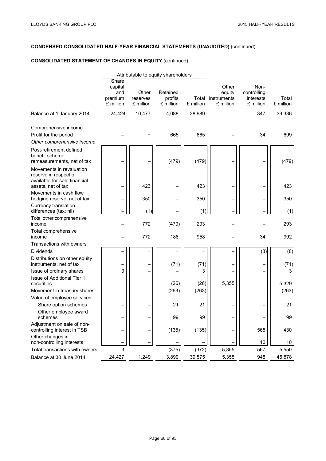# **CONSOLIDATED STATEMENT OF CHANGES IN EQUITY** (continued)

|                                                                                                         |                                                 |                                | Attributable to equity shareholders |               |                                                   |                                               |                    |
|---------------------------------------------------------------------------------------------------------|-------------------------------------------------|--------------------------------|-------------------------------------|---------------|---------------------------------------------------|-----------------------------------------------|--------------------|
|                                                                                                         | Share<br>capital<br>and<br>premium<br>£ million | Other<br>reserves<br>£ million | Retained<br>profits<br>£ million    | £ million     | Other<br>equity<br>Total instruments<br>£ million | Non-<br>controlling<br>interests<br>£ million | Total<br>£ million |
| Balance at 1 January 2014                                                                               | 24,424                                          | 10,477                         | 4,088                               | 38,989        |                                                   | 347                                           | 39,336             |
| Comprehensive income<br>Profit for the period<br>Other comprehensive income                             |                                                 |                                | 665                                 | 665           |                                                   | 34                                            | 699                |
| Post-retirement defined<br>benefit scheme<br>remeasurements, net of tax                                 |                                                 |                                | (479)                               | (479)         |                                                   |                                               | (479)              |
| Movements in revaluation<br>reserve in respect of<br>available-for-sale financial<br>assets, net of tax |                                                 | 423                            |                                     | 423           |                                                   |                                               | 423                |
| Movements in cash flow<br>hedging reserve, net of tax                                                   |                                                 | 350                            |                                     | 350           |                                                   | —                                             | 350                |
| Currency translation<br>differences (tax: nil)                                                          |                                                 | (1)                            |                                     | (1)           |                                                   |                                               | (1)                |
| Total other comprehensive<br>income                                                                     |                                                 | 772                            | (479)                               | 293           |                                                   |                                               | 293                |
| Total comprehensive<br>income                                                                           |                                                 | 772                            | 186                                 | 958           |                                                   | 34                                            | 992                |
| Transactions with owners                                                                                |                                                 |                                |                                     |               |                                                   |                                               |                    |
| <b>Dividends</b>                                                                                        |                                                 |                                |                                     |               |                                                   | (8)                                           | (8)                |
| Distributions on other equity<br>instruments, net of tax                                                |                                                 |                                | (71)                                | (71)          |                                                   | -                                             | (71)               |
| Issue of ordinary shares                                                                                | 3                                               |                                |                                     | 3             |                                                   | -                                             | 3                  |
| Issue of Additional Tier 1                                                                              |                                                 |                                |                                     |               |                                                   |                                               |                    |
| securities                                                                                              | -                                               |                                | (26)<br>(263)                       | (26)<br>(263) | 5,355                                             | -                                             | 5,329              |
| Movement in treasury shares<br>Value of employee services:                                              |                                                 |                                |                                     |               |                                                   | $\qquad \qquad -$                             | (263)              |
| Share option schemes                                                                                    |                                                 |                                | 21                                  | 21            |                                                   |                                               | 21                 |
| Other employee award                                                                                    |                                                 |                                |                                     |               |                                                   |                                               |                    |
| schemes                                                                                                 |                                                 |                                | 99                                  | 99            |                                                   |                                               | 99                 |
| Adjustment on sale of non-<br>controlling interest in TSB                                               | -                                               |                                | (135)                               | (135)         |                                                   | 565                                           | 430                |
| Other changes in<br>non-controlling interests                                                           |                                                 |                                |                                     |               |                                                   | 10                                            | 10                 |
| Total transactions with owners                                                                          | 3                                               |                                | (375)                               | (372)         | 5,355                                             | 567                                           | 5,550              |
| Balance at 30 June 2014                                                                                 | 24,427                                          | 11,249                         | 3,899                               | 39,575        | 5,355                                             | 948                                           | 45,878             |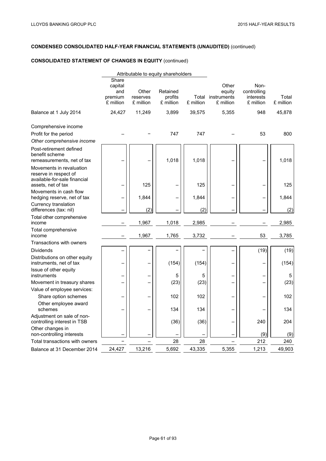# **CONSOLIDATED STATEMENT OF CHANGES IN EQUITY** (continued)

|                                                                                                         |                                                 |                                | Attributable to equity shareholders |           |                                                   |                                               |                    |
|---------------------------------------------------------------------------------------------------------|-------------------------------------------------|--------------------------------|-------------------------------------|-----------|---------------------------------------------------|-----------------------------------------------|--------------------|
|                                                                                                         | Share<br>capital<br>and<br>premium<br>£ million | Other<br>reserves<br>£ million | Retained<br>profits<br>£ million    | £ million | Other<br>equity<br>Total instruments<br>£ million | Non-<br>controlling<br>interests<br>£ million | Total<br>£ million |
| Balance at 1 July 2014                                                                                  | 24,427                                          | 11,249                         | 3,899                               | 39,575    | 5,355                                             | 948                                           | 45,878             |
| Comprehensive income<br>Profit for the period                                                           |                                                 |                                | 747                                 | 747       |                                                   | 53                                            | 800                |
| Other comprehensive income                                                                              |                                                 |                                |                                     |           |                                                   |                                               |                    |
| Post-retirement defined<br>benefit scheme<br>remeasurements, net of tax                                 |                                                 |                                | 1,018                               | 1,018     |                                                   |                                               | 1,018              |
| Movements in revaluation<br>reserve in respect of<br>available-for-sale financial<br>assets, net of tax |                                                 | 125                            |                                     | 125       |                                                   |                                               | 125                |
| Movements in cash flow<br>hedging reserve, net of tax                                                   |                                                 | 1,844                          |                                     | 1,844     |                                                   |                                               | 1,844              |
| Currency translation<br>differences (tax: nil)                                                          |                                                 | (2)                            |                                     | (2)       |                                                   |                                               | (2)                |
| Total other comprehensive<br>income                                                                     |                                                 | 1,967                          | 1,018                               | 2,985     |                                                   |                                               | 2,985              |
| Total comprehensive<br>income                                                                           |                                                 | 1,967                          | 1,765                               | 3,732     |                                                   | 53                                            | 3,785              |
| Transactions with owners                                                                                |                                                 |                                |                                     |           |                                                   |                                               |                    |
| <b>Dividends</b>                                                                                        |                                                 |                                |                                     |           |                                                   | (19)                                          | (19)               |
| Distributions on other equity<br>instruments, net of tax                                                |                                                 |                                | (154)                               | (154)     |                                                   |                                               | (154)              |
| Issue of other equity<br>instruments                                                                    |                                                 |                                | 5                                   | 5         |                                                   |                                               | 5                  |
| Movement in treasury shares                                                                             |                                                 |                                | (23)                                | (23)      |                                                   |                                               | (23)               |
| Value of employee services:                                                                             |                                                 |                                |                                     |           |                                                   |                                               |                    |
| Share option schemes                                                                                    |                                                 |                                | 102                                 | 102       |                                                   |                                               | 102                |
| Other employee award<br>schemes                                                                         |                                                 |                                | 134                                 | 134       |                                                   |                                               | 134                |
| Adjustment on sale of non-<br>controlling interest in TSB                                               |                                                 |                                | (36)                                | (36)      |                                                   | 240                                           | 204                |
| Other changes in<br>non-controlling interests                                                           |                                                 |                                |                                     |           |                                                   | (9)                                           | (9)                |
| Total transactions with owners                                                                          |                                                 |                                | 28                                  | 28        |                                                   | 212                                           | 240                |
| Balance at 31 December 2014                                                                             | 24,427                                          | 13,216                         | 5.692                               | 43,335    | 5.355                                             | 1,213                                         | 49.903             |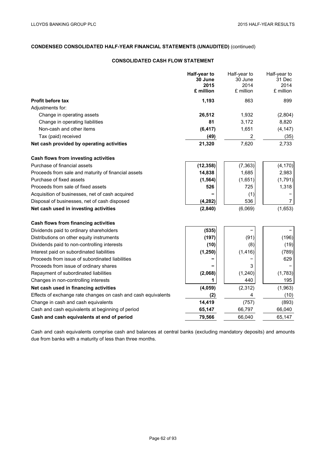# **CONSOLIDATED CASH FLOW STATEMENT**

|                                                               | Half-year to<br>30 June | Half-year to<br>30 June | Half-year to<br>31 Dec |
|---------------------------------------------------------------|-------------------------|-------------------------|------------------------|
|                                                               | 2015                    | 2014                    | 2014                   |
|                                                               | £ million               | £ million               | £ million              |
| <b>Profit before tax</b>                                      | 1,193                   | 863                     | 899                    |
| Adjustments for:                                              |                         |                         |                        |
| Change in operating assets                                    | 26,512                  | 1,932                   | (2,804)                |
| Change in operating liabilities                               | 81                      | 3,172                   | 8,820                  |
| Non-cash and other items                                      | (6, 417)                | 1,651                   | (4, 147)               |
| Tax (paid) received                                           | (49)                    | 2                       | (35)                   |
| Net cash provided by operating activities                     | 21,320                  | 7,620                   | 2,733                  |
| Cash flows from investing activities                          |                         |                         |                        |
| Purchase of financial assets                                  | (12, 358)               | (7, 363)                | (4, 170)               |
| Proceeds from sale and maturity of financial assets           | 14,838                  | 1,685                   | 2,983                  |
| Purchase of fixed assets                                      | (1, 564)                | (1,651)                 | (1,791)                |
| Proceeds from sale of fixed assets                            | 526                     | 725                     | 1,318                  |
| Acquisition of businesses, net of cash acquired               |                         | (1)                     |                        |
| Disposal of businesses, net of cash disposed                  | (4, 282)                | 536                     | 7                      |
| Net cash used in investing activities                         | (2, 840)                | (6,069)                 | (1,653)                |
|                                                               |                         |                         |                        |
| Cash flows from financing activities                          |                         |                         |                        |
| Dividends paid to ordinary shareholders                       | (535)                   |                         |                        |
| Distributions on other equity instruments                     | (197)                   | (91)                    | (196)                  |
| Dividends paid to non-controlling interests                   | (10)                    | (8)                     | (19)                   |
| Interest paid on subordinated liabilities                     | (1, 250)                | (1, 416)                | (789)                  |
| Proceeds from issue of subordinated liabilities               |                         |                         | 629                    |
| Proceeds from issue of ordinary shares                        |                         | 3                       |                        |
| Repayment of subordinated liabilities                         | (2,068)                 | (1, 240)                | (1,783)                |
| Changes in non-controlling interests                          | 1                       | 440                     | 195                    |
| Net cash used in financing activities                         | (4,059)                 | (2,312)                 | (1,963)                |
| Effects of exchange rate changes on cash and cash equivalents | (2)                     | 4                       | (10)                   |
| Change in cash and cash equivalents                           | 14,419                  | (757)                   | (893)                  |
| Cash and cash equivalents at beginning of period              | 65,147                  | 66,797                  | 66,040                 |
| Cash and cash equivalents at end of period                    | 79,566                  | 66,040                  | 65,147                 |

Cash and cash equivalents comprise cash and balances at central banks (excluding mandatory deposits) and amounts due from banks with a maturity of less than three months.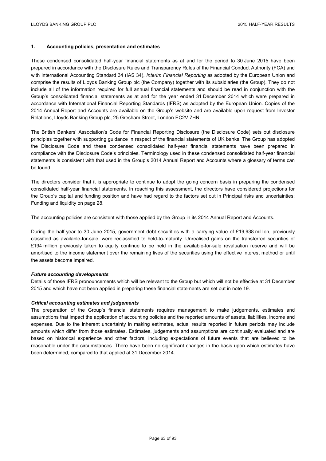## **1. Accounting policies, presentation and estimates**

These condensed consolidated half-year financial statements as at and for the period to 30 June 2015 have been prepared in accordance with the Disclosure Rules and Transparency Rules of the Financial Conduct Authority (FCA) and with International Accounting Standard 34 (IAS 34), *Interim Financial Reporting* as adopted by the European Union and comprise the results of Lloyds Banking Group plc (the Company) together with its subsidiaries (the Group). They do not include all of the information required for full annual financial statements and should be read in conjunction with the Group's consolidated financial statements as at and for the year ended 31 December 2014 which were prepared in accordance with International Financial Reporting Standards (IFRS) as adopted by the European Union. Copies of the 2014 Annual Report and Accounts are available on the Group's website and are available upon request from Investor Relations, Lloyds Banking Group plc, 25 Gresham Street, London EC2V 7HN.

The British Bankers' Association's Code for Financial Reporting Disclosure (the Disclosure Code) sets out disclosure principles together with supporting guidance in respect of the financial statements of UK banks. The Group has adopted the Disclosure Code and these condensed consolidated half-year financial statements have been prepared in compliance with the Disclosure Code's principles. Terminology used in these condensed consolidated half-year financial statements is consistent with that used in the Group's 2014 Annual Report and Accounts where a glossary of terms can be found.

The directors consider that it is appropriate to continue to adopt the going concern basis in preparing the condensed consolidated half-year financial statements. In reaching this assessment, the directors have considered projections for the Group's capital and funding position and have had regard to the factors set out in Principal risks and uncertainties: Funding and liquidity on page 28.

The accounting policies are consistent with those applied by the Group in its 2014 Annual Report and Accounts.

During the half-year to 30 June 2015, government debt securities with a carrying value of £19,938 million, previously classified as available-for-sale, were reclassified to held-to-maturity. Unrealised gains on the transferred securities of £194 million previously taken to equity continue to be held in the available-for-sale revaluation reserve and will be amortised to the income statement over the remaining lives of the securities using the effective interest method or until the assets become impaired.

#### *Future accounting developments*

Details of those IFRS pronouncements which will be relevant to the Group but which will not be effective at 31 December 2015 and which have not been applied in preparing these financial statements are set out in note 19.

#### *Critical accounting estimates and judgements*

The preparation of the Group's financial statements requires management to make judgements, estimates and assumptions that impact the application of accounting policies and the reported amounts of assets, liabilities, income and expenses. Due to the inherent uncertainty in making estimates, actual results reported in future periods may include amounts which differ from those estimates. Estimates, judgements and assumptions are continually evaluated and are based on historical experience and other factors, including expectations of future events that are believed to be reasonable under the circumstances. There have been no significant changes in the basis upon which estimates have been determined, compared to that applied at 31 December 2014.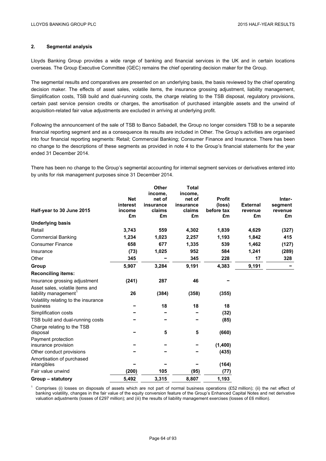# **2. Segmental analysis**

Lloyds Banking Group provides a wide range of banking and financial services in the UK and in certain locations overseas. The Group Executive Committee (GEC) remains the chief operating decision maker for the Group.

The segmental results and comparatives are presented on an underlying basis, the basis reviewed by the chief operating decision maker. The effects of asset sales, volatile items, the insurance grossing adjustment, liability management, Simplification costs, TSB build and dual-running costs, the charge relating to the TSB disposal, regulatory provisions, certain past service pension credits or charges, the amortisation of purchased intangible assets and the unwind of acquisition-related fair value adjustments are excluded in arriving at underlying profit.

Following the announcement of the sale of TSB to Banco Sabadell, the Group no longer considers TSB to be a separate financial reporting segment and as a consequence its results are included in Other. The Group's activities are organised into four financial reporting segments: Retail; Commercial Banking; Consumer Finance and Insurance. There has been no change to the descriptions of these segments as provided in note 4 to the Group's financial statements for the year ended 31 December 2014.

There has been no change to the Group's segmental accounting for internal segment services or derivatives entered into by units for risk management purposes since 31 December 2014.

|                                      |                        | Other               | <b>Total</b>        |                         |                 |                   |
|--------------------------------------|------------------------|---------------------|---------------------|-------------------------|-----------------|-------------------|
|                                      |                        | income.             | income,             |                         |                 |                   |
|                                      | <b>Net</b><br>interest | net of<br>insurance | net of<br>insurance | <b>Profit</b><br>(loss) | <b>External</b> | Inter-<br>segment |
| Half-year to 30 June 2015            | income                 | claims              | claims              | before tax              | revenue         | revenue           |
|                                      | £m                     | £m                  | £m                  | £m                      | £m              | £m                |
| <b>Underlying basis</b>              |                        |                     |                     |                         |                 |                   |
| Retail                               | 3,743                  | 559                 | 4,302               | 1,839                   | 4,629           | (327)             |
| <b>Commercial Banking</b>            | 1,234                  | 1,023               | 2,257               | 1,193                   | 1,842           | 415               |
| <b>Consumer Finance</b>              | 658                    | 677                 | 1,335               | 539                     | 1,462           | (127)             |
| Insurance                            | (73)                   | 1,025               | 952                 | 584                     | 1,241           | (289)             |
| Other                                | 345                    |                     | 345                 | 228                     | 17              | 328               |
| Group                                | 5,907                  | 3,284               | 9,191               | 4,383                   | 9,191           |                   |
| <b>Reconciling items:</b>            |                        |                     |                     |                         |                 |                   |
| Insurance grossing adjustment        | (241)                  | 287                 | 46                  |                         |                 |                   |
| Asset sales, volatile items and      |                        |                     |                     |                         |                 |                   |
| liability management                 | 26                     | (384)               | (358)               | (355)                   |                 |                   |
| Volatility relating to the insurance |                        |                     |                     |                         |                 |                   |
| business                             |                        | 18                  | 18                  | 18                      |                 |                   |
| Simplification costs                 |                        |                     |                     | (32)                    |                 |                   |
| TSB build and dual-running costs     |                        |                     |                     | (85)                    |                 |                   |
| Charge relating to the TSB           |                        |                     |                     |                         |                 |                   |
| disposal                             |                        | 5                   | 5                   | (660)                   |                 |                   |
| Payment protection                   |                        |                     |                     |                         |                 |                   |
| insurance provision                  |                        |                     |                     | (1,400)                 |                 |                   |
| Other conduct provisions             |                        |                     |                     | (435)                   |                 |                   |
| Amortisation of purchased            |                        |                     |                     |                         |                 |                   |
| intangibles                          |                        |                     |                     | (164)                   |                 |                   |
| Fair value unwind                    | (200)                  | 105                 | (95)                | (77)                    |                 |                   |
| Group – statutory                    | 5,492                  | 3,315               | 8,807               | 1,193                   |                 |                   |

<sup>1</sup> Comprises (i) losses on disposals of assets which are not part of normal business operations (£52 million); (ii) the net effect of banking volatility, changes in the fair value of the equity conversion feature of the Group's Enhanced Capital Notes and net derivative valuation adjustments (losses of £297 million); and (iii) the results of liability management exercises (losses of £6 million).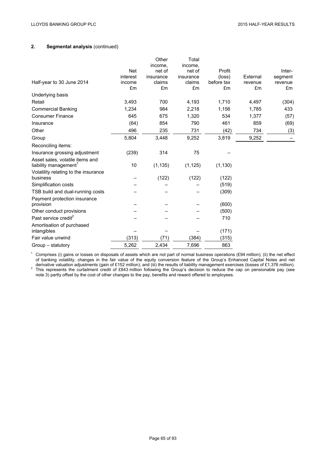# **2. Segmental analysis** (continued)

|       | income,                                | income.                                                     |                                                             |                                                                                |                     |
|-------|----------------------------------------|-------------------------------------------------------------|-------------------------------------------------------------|--------------------------------------------------------------------------------|---------------------|
|       |                                        |                                                             |                                                             |                                                                                | Inter-              |
|       |                                        |                                                             |                                                             |                                                                                | segment             |
| £m    | £m                                     | £m                                                          | £m                                                          | £m                                                                             | revenue<br>£m       |
|       |                                        |                                                             |                                                             |                                                                                |                     |
| 3,493 | 700                                    | 4,193                                                       | 1,710                                                       | 4,497                                                                          | (304)               |
| 1,234 | 984                                    | 2,218                                                       | 1,156                                                       | 1,785                                                                          | 433                 |
| 645   | 675                                    | 1,320                                                       | 534                                                         | 1,377                                                                          | (57)                |
| (64)  | 854                                    | 790                                                         | 461                                                         | 859                                                                            | (69)                |
| 496   | 235                                    | 731                                                         | (42)                                                        | 734                                                                            | (3)                 |
| 5,804 | 3,448                                  | 9,252                                                       | 3,819                                                       | 9,252                                                                          |                     |
|       |                                        |                                                             |                                                             |                                                                                |                     |
| (239) | 314                                    | 75                                                          |                                                             |                                                                                |                     |
|       |                                        |                                                             |                                                             |                                                                                |                     |
|       |                                        |                                                             |                                                             |                                                                                |                     |
|       |                                        |                                                             |                                                             |                                                                                |                     |
|       |                                        |                                                             |                                                             |                                                                                |                     |
|       |                                        |                                                             |                                                             |                                                                                |                     |
|       |                                        |                                                             |                                                             |                                                                                |                     |
|       |                                        |                                                             |                                                             |                                                                                |                     |
|       |                                        |                                                             |                                                             |                                                                                |                     |
|       |                                        |                                                             | (500)                                                       |                                                                                |                     |
|       |                                        |                                                             | 710                                                         |                                                                                |                     |
|       |                                        |                                                             |                                                             |                                                                                |                     |
|       |                                        |                                                             | (171)                                                       |                                                                                |                     |
| (313) | (71)                                   | (384)                                                       | (315)                                                       |                                                                                |                     |
| 5,262 | 2,434                                  | 7,696                                                       | 863                                                         |                                                                                |                     |
|       | <b>Net</b><br>interest<br>income<br>10 | Other<br>net of<br>insurance<br>claims<br>(1, 135)<br>(122) | Total<br>net of<br>insurance<br>claims<br>(1, 125)<br>(122) | Profit<br>(loss)<br>before tax<br>(1, 130)<br>(122)<br>(519)<br>(309)<br>(600) | External<br>revenue |

<sup>1</sup> Comprises (i) gains or losses on disposals of assets which are not part of normal business operations (£94 million); (ii) the net effect of banking volatility, changes in the fair value of the equity conversion feature of the Group's Enhanced Capital Notes and net

derivative valuation adjustments (gain of £152 million); and (iii) the results of liability management exercises (losses of £1,376 million).<br><sup>2</sup> This represents the curtailment credit of £843 million following the Group's note 3) partly offset by the cost of other changes to the pay, benefits and reward offered to employees.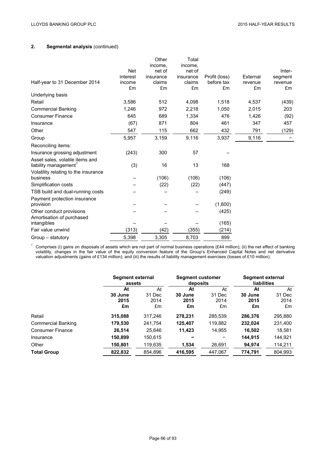# **2. Segmental analysis** (continued)

| Half-year to 31 December 2014                           | <b>Net</b><br>interest<br>income<br>£m | Other<br>income,<br>net of<br>insurance<br>claims<br>£m | Total<br>income.<br>net of<br>insurance<br>claims<br>£m | Profit (loss)<br>before tax<br>£m | External<br>revenue<br>£m | Inter-<br>segment<br>revenue<br>£m |
|---------------------------------------------------------|----------------------------------------|---------------------------------------------------------|---------------------------------------------------------|-----------------------------------|---------------------------|------------------------------------|
| Underlying basis                                        |                                        |                                                         |                                                         |                                   |                           |                                    |
| Retail                                                  | 3,586                                  | 512                                                     | 4,098                                                   | 1,518                             | 4,537                     | (439)                              |
| <b>Commercial Banking</b>                               | 1,246                                  | 972                                                     | 2,218                                                   | 1,050                             | 2,015                     | 203                                |
| <b>Consumer Finance</b>                                 | 645                                    | 689                                                     | 1,334                                                   | 476                               | 1,426                     | (92)                               |
| Insurance                                               | (67)                                   | 871                                                     | 804                                                     | 461                               | 347                       | 457                                |
| Other                                                   | 547                                    | 115                                                     | 662                                                     | 432                               | 791                       | (129)                              |
| Group                                                   | 5,957                                  | 3,159                                                   | 9,116                                                   | 3,937                             | 9,116                     |                                    |
| Reconciling items:                                      |                                        |                                                         |                                                         |                                   |                           |                                    |
| Insurance grossing adjustment                           | (243)                                  | 300                                                     | 57                                                      |                                   |                           |                                    |
| Asset sales, volatile items and<br>liability management | (3)                                    | 16                                                      | 13                                                      | 168                               |                           |                                    |
| Volatility relating to the insurance                    |                                        |                                                         |                                                         |                                   |                           |                                    |
| business<br>Simplification costs                        |                                        | (106)                                                   | (106)                                                   | (106)<br>(447)                    |                           |                                    |
| TSB build and dual-running costs                        |                                        | (22)                                                    | (22)                                                    | (249)                             |                           |                                    |
| Payment protection insurance                            |                                        |                                                         |                                                         |                                   |                           |                                    |
| provision                                               |                                        |                                                         |                                                         | (1,600)                           |                           |                                    |
| Other conduct provisions                                |                                        |                                                         |                                                         | (425)                             |                           |                                    |
| Amortisation of purchased                               |                                        |                                                         |                                                         |                                   |                           |                                    |
| intangibles                                             |                                        |                                                         |                                                         | (165)                             |                           |                                    |
| Fair value unwind                                       | (313)                                  | (42)                                                    | (355)                                                   | (214)                             |                           |                                    |
| Group – statutory                                       | 5,398                                  | 3,305                                                   | 8,703                                                   | 899                               |                           |                                    |

<sup>1</sup> Comprises (i) gains on disposals of assets which are not part of normal business operations (£44 million); (ii) the net effect of banking volatility, changes in the fair value of the equity conversion feature of the Group's Enhanced Capital Notes and net derivative valuation adjustments (gains of £134 million); and (iii) the results of liability management exercises (losses of £10 million).

|                         | Segment external<br>assets |              | <b>Segment customer</b><br>deposits |              | Segment external<br>liabilities |              |
|-------------------------|----------------------------|--------------|-------------------------------------|--------------|---------------------------------|--------------|
|                         | At<br>30 June              | At<br>31 Dec | At<br>30 June                       | At<br>31 Dec | At<br>30 June                   | At<br>31 Dec |
|                         | 2015<br>£m                 | 2014<br>£m   | 2015<br>£m                          | 2014<br>£m   | 2015<br>£m                      | 2014<br>£m   |
| Retail                  | 315,088                    | 317,246      | 278,231                             | 285,539      | 286,376                         | 295,880      |
| Commercial Banking      | 179,530                    | 241,754      | 125,407                             | 119,882      | 232,024                         | 231,400      |
| <b>Consumer Finance</b> | 26,514                     | 25,646       | 11,423                              | 14,955       | 16,502                          | 18,581       |
| Insurance               | 150,899                    | 150,615      |                                     |              | 144,915                         | 144,921      |
| Other                   | 150,801                    | 119,635      | 1,534                               | 26,691       | 94,974                          | 114,211      |
| <b>Total Group</b>      | 822,832                    | 854,896      | 416,595                             | 447,067      | 774,791                         | 804,993      |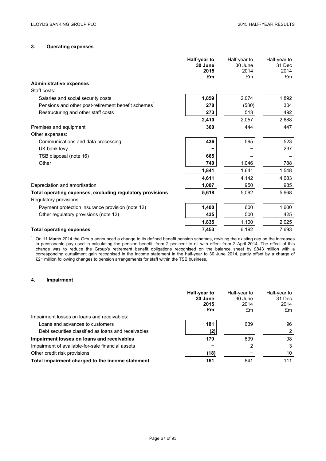# **3. Operating expenses**

| 1,859<br>2,074<br>1,892<br>Salaries and social security costs<br>Pensions and other post-retirement benefit schemes <sup>1</sup><br>(530)<br>278<br>304<br>513<br>Restructuring and other staff costs<br>273<br>492<br>2,410<br>2,688<br>2,057<br>360<br>Premises and equipment<br>444<br>447<br>Other expenses:<br>595<br>436<br>523<br>Communications and data processing<br>UK bank levy<br>237<br>TSB disposal (note 16)<br>665<br>Other<br>788<br>740<br>1,046<br>1,841<br>1,548<br>1,641<br>4,611<br>4,683<br>4,142<br>1,007<br>Depreciation and amortisation<br>950<br>985<br>5,618<br>5,092<br>5,668<br>Total operating expenses, excluding regulatory provisions<br>Regulatory provisions:<br>1,400<br>600<br>1,600<br>Payment protection insurance provision (note 12)<br>435<br>500<br>425<br>Other regulatory provisions (note 12)<br>1,835<br>1,100<br>2,025<br>7,693<br>7,453<br>6,192<br><b>Total operating expenses</b> |                                | Half-year to<br>30 June<br>2015<br>£m | Half-year to<br>30 June<br>2014<br>£m | Half-year to<br>31 Dec<br>2014<br>£m |
|-----------------------------------------------------------------------------------------------------------------------------------------------------------------------------------------------------------------------------------------------------------------------------------------------------------------------------------------------------------------------------------------------------------------------------------------------------------------------------------------------------------------------------------------------------------------------------------------------------------------------------------------------------------------------------------------------------------------------------------------------------------------------------------------------------------------------------------------------------------------------------------------------------------------------------------------|--------------------------------|---------------------------------------|---------------------------------------|--------------------------------------|
|                                                                                                                                                                                                                                                                                                                                                                                                                                                                                                                                                                                                                                                                                                                                                                                                                                                                                                                                         | <b>Administrative expenses</b> |                                       |                                       |                                      |
|                                                                                                                                                                                                                                                                                                                                                                                                                                                                                                                                                                                                                                                                                                                                                                                                                                                                                                                                         | Staff costs:                   |                                       |                                       |                                      |
|                                                                                                                                                                                                                                                                                                                                                                                                                                                                                                                                                                                                                                                                                                                                                                                                                                                                                                                                         |                                |                                       |                                       |                                      |
|                                                                                                                                                                                                                                                                                                                                                                                                                                                                                                                                                                                                                                                                                                                                                                                                                                                                                                                                         |                                |                                       |                                       |                                      |
|                                                                                                                                                                                                                                                                                                                                                                                                                                                                                                                                                                                                                                                                                                                                                                                                                                                                                                                                         |                                |                                       |                                       |                                      |
|                                                                                                                                                                                                                                                                                                                                                                                                                                                                                                                                                                                                                                                                                                                                                                                                                                                                                                                                         |                                |                                       |                                       |                                      |
|                                                                                                                                                                                                                                                                                                                                                                                                                                                                                                                                                                                                                                                                                                                                                                                                                                                                                                                                         |                                |                                       |                                       |                                      |
|                                                                                                                                                                                                                                                                                                                                                                                                                                                                                                                                                                                                                                                                                                                                                                                                                                                                                                                                         |                                |                                       |                                       |                                      |
|                                                                                                                                                                                                                                                                                                                                                                                                                                                                                                                                                                                                                                                                                                                                                                                                                                                                                                                                         |                                |                                       |                                       |                                      |
|                                                                                                                                                                                                                                                                                                                                                                                                                                                                                                                                                                                                                                                                                                                                                                                                                                                                                                                                         |                                |                                       |                                       |                                      |
|                                                                                                                                                                                                                                                                                                                                                                                                                                                                                                                                                                                                                                                                                                                                                                                                                                                                                                                                         |                                |                                       |                                       |                                      |
|                                                                                                                                                                                                                                                                                                                                                                                                                                                                                                                                                                                                                                                                                                                                                                                                                                                                                                                                         |                                |                                       |                                       |                                      |
|                                                                                                                                                                                                                                                                                                                                                                                                                                                                                                                                                                                                                                                                                                                                                                                                                                                                                                                                         |                                |                                       |                                       |                                      |
|                                                                                                                                                                                                                                                                                                                                                                                                                                                                                                                                                                                                                                                                                                                                                                                                                                                                                                                                         |                                |                                       |                                       |                                      |
|                                                                                                                                                                                                                                                                                                                                                                                                                                                                                                                                                                                                                                                                                                                                                                                                                                                                                                                                         |                                |                                       |                                       |                                      |
|                                                                                                                                                                                                                                                                                                                                                                                                                                                                                                                                                                                                                                                                                                                                                                                                                                                                                                                                         |                                |                                       |                                       |                                      |
|                                                                                                                                                                                                                                                                                                                                                                                                                                                                                                                                                                                                                                                                                                                                                                                                                                                                                                                                         |                                |                                       |                                       |                                      |
|                                                                                                                                                                                                                                                                                                                                                                                                                                                                                                                                                                                                                                                                                                                                                                                                                                                                                                                                         |                                |                                       |                                       |                                      |
|                                                                                                                                                                                                                                                                                                                                                                                                                                                                                                                                                                                                                                                                                                                                                                                                                                                                                                                                         |                                |                                       |                                       |                                      |
|                                                                                                                                                                                                                                                                                                                                                                                                                                                                                                                                                                                                                                                                                                                                                                                                                                                                                                                                         |                                |                                       |                                       |                                      |
|                                                                                                                                                                                                                                                                                                                                                                                                                                                                                                                                                                                                                                                                                                                                                                                                                                                                                                                                         |                                |                                       |                                       |                                      |

 $1$  On 11 March 2014 the Group announced a change to its defined benefit pension schemes, revising the existing cap on the increases in pensionable pay used in calculating the pension benefit, from 2 per cent to nil with effect from 2 April 2014. The effect of this change was to reduce the Group's retirement benefit obligations recognised on the balance sheet by £843 million with a corresponding curtailment gain recognised in the income statement in the half-year to 30 June 2014, partly offset by a charge of £21 million following changes to pension arrangements for staff within the TSB business.

#### **4. Impairment**

|                                                     | Half-year to<br>30 June<br>2015<br>£m | Half-year to<br>30 June<br>2014<br>£m | Half-year to<br>31 Dec<br>2014<br>£m |
|-----------------------------------------------------|---------------------------------------|---------------------------------------|--------------------------------------|
| Impairment losses on loans and receivables:         |                                       |                                       |                                      |
| Loans and advances to customers                     | 181                                   | 639                                   | 96                                   |
| Debt securities classified as loans and receivables | (2)                                   | -                                     |                                      |
| Impairment losses on loans and receivables          | 179                                   | 639                                   | 98                                   |
| Impairment of available-for-sale financial assets   |                                       | 2                                     | 3                                    |
| Other credit risk provisions                        | (18)                                  |                                       | 10                                   |
| Total impairment charged to the income statement    | 161                                   | 641                                   | 111                                  |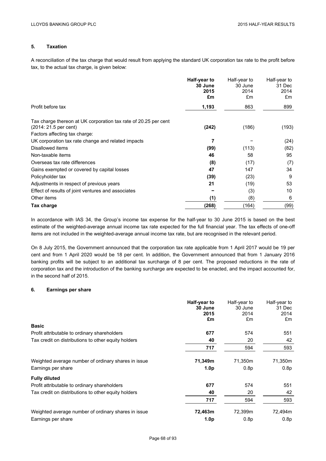# **5. Taxation**

A reconciliation of the tax charge that would result from applying the standard UK corporation tax rate to the profit before tax, to the actual tax charge, is given below:

|                                                                                                                           | Half-year to<br>30 June<br>2015<br>£m | Half-year to<br>30 June<br>2014<br>£m | Half-year to<br>31 Dec<br>2014<br>£m |
|---------------------------------------------------------------------------------------------------------------------------|---------------------------------------|---------------------------------------|--------------------------------------|
| Profit before tax                                                                                                         | 1,193                                 | 863                                   | 899                                  |
| Tax charge thereon at UK corporation tax rate of 20.25 per cent<br>(2014: 21.5 per cent)<br>Factors affecting tax charge: | (242)                                 | (186)                                 | (193)                                |
| UK corporation tax rate change and related impacts                                                                        | 7                                     |                                       | (24)                                 |
| Disallowed items                                                                                                          | (99)                                  | (113)                                 | (82)                                 |
| Non-taxable items                                                                                                         | 46                                    | 58                                    | 95                                   |
| Overseas tax rate differences                                                                                             | (8)                                   | (17)                                  | (7)                                  |
| Gains exempted or covered by capital losses                                                                               | 47                                    | 147                                   | 34                                   |
| Policyholder tax                                                                                                          | (39)                                  | (23)                                  | 9                                    |
| Adjustments in respect of previous years                                                                                  | 21                                    | (19)                                  | 53                                   |
| Effect of results of joint ventures and associates                                                                        |                                       | (3)                                   | 10                                   |
| Other items                                                                                                               | (1)                                   | (8)                                   | 6                                    |
| Tax charge                                                                                                                | (268)                                 | (164)                                 | (99)                                 |

In accordance with IAS 34, the Group's income tax expense for the half-year to 30 June 2015 is based on the best estimate of the weighted-average annual income tax rate expected for the full financial year. The tax effects of one-off items are not included in the weighted-average annual income tax rate, but are recognised in the relevant period.

On 8 July 2015, the Government announced that the corporation tax rate applicable from 1 April 2017 would be 19 per cent and from 1 April 2020 would be 18 per cent. In addition, the Government announced that from 1 January 2016 banking profits will be subject to an additional tax surcharge of 8 per cent. The proposed reductions in the rate of corporation tax and the introduction of the banking surcharge are expected to be enacted, and the impact accounted for, in the second half of 2015.

# **6. Earnings per share**

|                                                     | Half-year to<br>30 June<br>2015<br>£m | Half-year to<br>30 June<br>2014<br>£m | Half-year to<br>31 Dec<br>2014<br>£m |
|-----------------------------------------------------|---------------------------------------|---------------------------------------|--------------------------------------|
| <b>Basic</b>                                        |                                       |                                       |                                      |
| Profit attributable to ordinary shareholders        | 677                                   | 574                                   | 551                                  |
| Tax credit on distributions to other equity holders | 40                                    | 20                                    | 42                                   |
|                                                     | 717                                   | 594                                   | 593                                  |
| Weighted average number of ordinary shares in issue | 71,349m                               | 71,350m                               | 71,350m                              |
| Earnings per share                                  | 1.0 <sub>p</sub>                      | 0.8 <sub>p</sub>                      | 0.8p                                 |
| <b>Fully diluted</b>                                |                                       |                                       |                                      |
| Profit attributable to ordinary shareholders        | 677                                   | 574                                   | 551                                  |
| Tax credit on distributions to other equity holders | 40                                    | 20                                    | 42                                   |
|                                                     | 717                                   | 594                                   | 593                                  |
| Weighted average number of ordinary shares in issue | 72,463m                               | 72,399m                               | 72,494m                              |
| Earnings per share                                  | 1.0 <sub>p</sub>                      | 0.8 <sub>p</sub>                      | 0.8 <sub>p</sub>                     |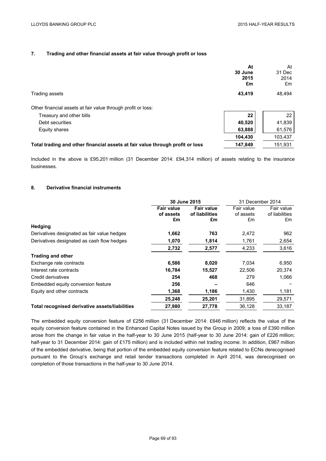## **7. Trading and other financial assets at fair value through profit or loss**

|                                                                               | At<br>30 June<br>2015<br>£m | At<br>31 Dec<br>2014<br>£m |
|-------------------------------------------------------------------------------|-----------------------------|----------------------------|
| Trading assets                                                                | 43,419                      | 48,494                     |
| Other financial assets at fair value through profit or loss:                  |                             |                            |
| Treasury and other bills                                                      | 22                          | 22                         |
| Debt securities                                                               | 40,520                      | 41,839                     |
| Equity shares                                                                 | 63,888                      | 61,576                     |
|                                                                               | 104,430                     | 103,437                    |
| Total trading and other financial assets at fair value through profit or loss | 147,849                     | 151,931                    |

Included in the above is £95,201 million (31 December 2014: £94,314 million) of assets relating to the insurance businesses.

## **8. Derivative financial instruments**

|                                                | 30 June 2015                   |                                     | 31 December 2014        |                              |
|------------------------------------------------|--------------------------------|-------------------------------------|-------------------------|------------------------------|
|                                                | <b>Fair value</b><br>of assets | <b>Fair value</b><br>of liabilities | Fair value<br>of assets | Fair value<br>of liabilities |
|                                                | £m                             | £m                                  | £m                      | £m                           |
| Hedging                                        |                                |                                     |                         |                              |
| Derivatives designated as fair value hedges    | 1,662                          | 763                                 | 2,472                   | 962                          |
| Derivatives designated as cash flow hedges     | 1,070                          | 1,814                               | 1,761                   | 2,654                        |
|                                                | 2,732                          | 2,577                               | 4,233                   | 3,616                        |
| <b>Trading and other</b>                       |                                |                                     |                         |                              |
| Exchange rate contracts                        | 6,586                          | 8,020                               | 7.034                   | 6,950                        |
| Interest rate contracts                        | 16,784                         | 15,527                              | 22,506                  | 20,374                       |
| Credit derivatives                             | 254                            | 468                                 | 279                     | 1,066                        |
| Embedded equity conversion feature             | 256                            |                                     | 646                     |                              |
| Equity and other contracts                     | 1,368                          | 1,186                               | 1,430                   | 1,181                        |
|                                                | 25,248                         | 25,201                              | 31,895                  | 29,571                       |
| Total recognised derivative assets/liabilities | 27,980                         | 27,778                              | 36,128                  | 33,187                       |

The embedded equity conversion feature of £256 million (31 December 2014: £646 million) reflects the value of the equity conversion feature contained in the Enhanced Capital Notes issued by the Group in 2009; a loss of £390 million arose from the change in fair value in the half-year to 30 June 2015 (half-year to 30 June 2014: gain of £226 million; half-year to 31 December 2014: gain of £175 million) and is included within net trading income. In addition, £967 million of the embedded derivative, being that portion of the embedded equity conversion feature related to ECNs derecognised pursuant to the Group's exchange and retail tender transactions completed in April 2014, was derecognised on completion of those transactions in the half-year to 30 June 2014.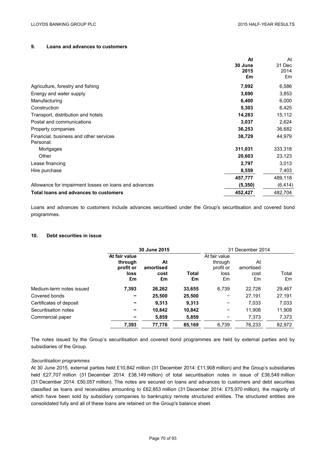## **9. Loans and advances to customers**

|                                                       | At       | At       |
|-------------------------------------------------------|----------|----------|
|                                                       | 30 June  | 31 Dec   |
|                                                       | 2015     | 2014     |
|                                                       | £m       | £m       |
| Agriculture, forestry and fishing                     | 7,092    | 6,586    |
| Energy and water supply                               | 3,690    | 3,853    |
| Manufacturing                                         | 6,400    | 6,000    |
| Construction                                          | 5,303    | 6,425    |
| Transport, distribution and hotels                    | 14,283   | 15,112   |
| Postal and communications                             | 3,037    | 2,624    |
| Property companies                                    | 36,253   | 36,682   |
| Financial, business and other services                | 38,729   | 44,979   |
| Personal:                                             |          |          |
| Mortgages                                             | 311,031  | 333,318  |
| Other                                                 | 20,603   | 23,123   |
| Lease financing                                       | 2,797    | 3,013    |
| Hire purchase                                         | 8,559    | 7,403    |
|                                                       | 457,777  | 489,118  |
| Allowance for impairment losses on loans and advances | (5, 350) | (6, 414) |
| Total loans and advances to customers                 | 452,427  | 482,704  |

Loans and advances to customers include advances securitised under the Group's securitisation and covered bond programmes.

### **10. Debt securities in issue**

|                          |                                                     | 30 June 2015                  |             |                                                     | 31 December 2014              |             |
|--------------------------|-----------------------------------------------------|-------------------------------|-------------|-----------------------------------------------------|-------------------------------|-------------|
|                          | At fair value<br>through<br>profit or<br>loss<br>£m | At<br>amortised<br>cost<br>£m | Total<br>£m | At fair value<br>through<br>profit or<br>loss<br>£m | At<br>amortised<br>cost<br>£m | Total<br>£m |
| Medium-term notes issued | 7,393                                               | 26,262                        | 33,655      | 6,739                                               | 22,728                        | 29,467      |
| Covered bonds            | -                                                   | 25,500                        | 25,500      |                                                     | 27,191                        | 27,191      |
| Certificates of deposit  |                                                     | 9,313                         | 9.313       |                                                     | 7,033                         | 7,033       |
| Securitisation notes     | -                                                   | 10,842                        | 10,842      | -                                                   | 11.908                        | 11,908      |
| Commercial paper         |                                                     | 5,859                         | 5,859       |                                                     | 7,373                         | 7,373       |
|                          | 7,393                                               | 77,776                        | 85,169      | 6.739                                               | 76,233                        | 82,972      |

The notes issued by the Group's securitisation and covered bond programmes are held by external parties and by subsidiaries of the Group.

### *Securitisation programmes*

At 30 June 2015, external parties held £10,842 million (31 December 2014: £11,908 million) and the Group's subsidiaries held £27,707 million (31 December 2014: £38,149 million) of total securitisation notes in issue of £38,549 million (31 December 2014: £50,057 million). The notes are secured on loans and advances to customers and debt securities classified as loans and receivables amounting to £62,853 million (31 December 2014: £75,970 million), the majority of which have been sold by subsidiary companies to bankruptcy remote structured entities. The structured entities are consolidated fully and all of these loans are retained on the Group's balance sheet.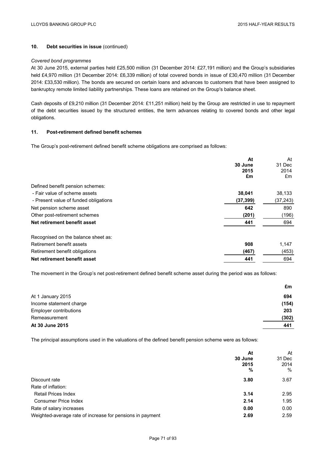## **10. Debt securities in issue** (continued)

### *Covered bond programmes*

At 30 June 2015, external parties held £25,500 million (31 December 2014: £27,191 million) and the Group's subsidiaries held £4,970 million (31 December 2014: £6,339 million) of total covered bonds in issue of £30,470 million (31 December 2014: £33,530 million). The bonds are secured on certain loans and advances to customers that have been assigned to bankruptcy remote limited liability partnerships. These loans are retained on the Group's balance sheet.

Cash deposits of £9,210 million (31 December 2014: £11,251 million) held by the Group are restricted in use to repayment of the debt securities issued by the structured entities, the term advances relating to covered bonds and other legal obligations.

## **11. Post-retirement defined benefit schemes**

The Group's post-retirement defined benefit scheme obligations are comprised as follows:

|                                       | At        | At        |
|---------------------------------------|-----------|-----------|
|                                       | 30 June   | 31 Dec    |
|                                       | 2015      | 2014      |
|                                       | £m        | £m        |
| Defined benefit pension schemes:      |           |           |
| - Fair value of scheme assets         | 38,041    | 38,133    |
| - Present value of funded obligations | (37, 399) | (37, 243) |
| Net pension scheme asset              | 642       | 890       |
| Other post-retirement schemes         | (201)     | (196)     |
| Net retirement benefit asset          | 441       | 694       |
| Recognised on the balance sheet as:   |           |           |
| Retirement benefit assets             | 908       | 1,147     |
| Retirement benefit obligations        | (467)     | (453)     |
| Net retirement benefit asset          | 441       | 694       |

The movement in the Group's net post-retirement defined benefit scheme asset during the period was as follows:

| At 30 June 2015               | 441   |
|-------------------------------|-------|
| Remeasurement                 | (302) |
| <b>Employer contributions</b> | 203   |
| Income statement charge       | (154) |
| At 1 January 2015             | 694   |
|                               | £m    |

The principal assumptions used in the valuations of the defined benefit pension scheme were as follows:

|                                                           | At<br>30 June<br>2015<br>% | At<br>31 Dec<br>2014<br>$\%$ |
|-----------------------------------------------------------|----------------------------|------------------------------|
| Discount rate                                             | 3.80                       | 3.67                         |
| Rate of inflation:                                        |                            |                              |
| <b>Retail Prices Index</b>                                | 3.14                       | 2.95                         |
| <b>Consumer Price Index</b>                               | 2.14                       | 1.95                         |
| Rate of salary increases                                  | 0.00                       | 0.00                         |
| Weighted-average rate of increase for pensions in payment | 2.69                       | 2.59                         |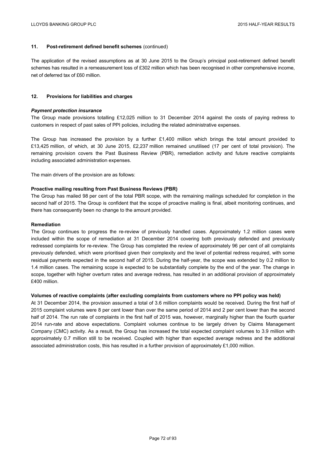## **11. Post-retirement defined benefit schemes** (continued)

The application of the revised assumptions as at 30 June 2015 to the Group's principal post-retirement defined benefit schemes has resulted in a remeasurement loss of £302 million which has been recognised in other comprehensive income, net of deferred tax of £60 million.

### **12. Provisions for liabilities and charges**

### *Payment protection insurance*

The Group made provisions totalling £12,025 million to 31 December 2014 against the costs of paying redress to customers in respect of past sales of PPI policies, including the related administrative expenses.

The Group has increased the provision by a further £1,400 million which brings the total amount provided to £13,425 million, of which, at 30 June 2015, £2,237 million remained unutilised (17 per cent of total provision). The remaining provision covers the Past Business Review (PBR), remediation activity and future reactive complaints including associated administration expenses.

The main drivers of the provision are as follows:

## **Proactive mailing resulting from Past Business Reviews (PBR)**

The Group has mailed 98 per cent of the total PBR scope, with the remaining mailings scheduled for completion in the second half of 2015. The Group is confident that the scope of proactive mailing is final, albeit monitoring continues, and there has consequently been no change to the amount provided.

### **Remediation**

The Group continues to progress the re-review of previously handled cases. Approximately 1.2 million cases were included within the scope of remediation at 31 December 2014 covering both previously defended and previously redressed complaints for re-review. The Group has completed the review of approximately 96 per cent of all complaints previously defended, which were prioritised given their complexity and the level of potential redress required, with some residual payments expected in the second half of 2015. During the half-year, the scope was extended by 0.2 million to 1.4 million cases. The remaining scope is expected to be substantially complete by the end of the year. The change in scope, together with higher overturn rates and average redress, has resulted in an additional provision of approximately £400 million.

### **Volumes of reactive complaints (after excluding complaints from customers where no PPI policy was held)**

At 31 December 2014, the provision assumed a total of 3.6 million complaints would be received. During the first half of 2015 complaint volumes were 8 per cent lower than over the same period of 2014 and 2 per cent lower than the second half of 2014. The run rate of complaints in the first half of 2015 was, however, marginally higher than the fourth quarter 2014 run-rate and above expectations. Complaint volumes continue to be largely driven by Claims Management Company (CMC) activity. As a result, the Group has increased the total expected complaint volumes to 3.9 million with approximately 0.7 million still to be received. Coupled with higher than expected average redress and the additional associated administration costs, this has resulted in a further provision of approximately £1,000 million.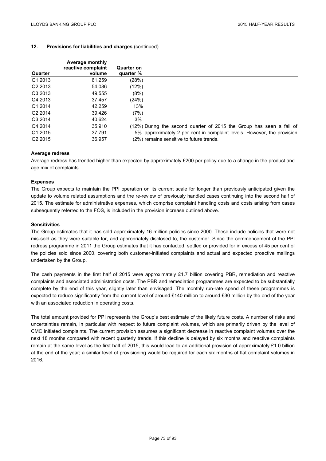## **12. Provisions for liabilities and charges** (continued)

| <b>Average monthly</b><br>reactive complaint | <b>Quarter on</b> |                                                                         |
|----------------------------------------------|-------------------|-------------------------------------------------------------------------|
|                                              |                   |                                                                         |
| 61.259                                       | (28%)             |                                                                         |
| 54.086                                       | (12%)             |                                                                         |
| 49,555                                       | (8%)              |                                                                         |
| 37.457                                       | (24%)             |                                                                         |
| 42.259                                       | 13%               |                                                                         |
| 39.426                                       | (7%)              |                                                                         |
| 40.624                                       | 3%                |                                                                         |
| 35.910                                       |                   | (12%) During the second quarter of 2015 the Group has seen a fall of    |
| 37.791                                       |                   | 5% approximately 2 per cent in complaint levels. However, the provision |
| 36.957                                       |                   | (2%) remains sensitive to future trends.                                |
|                                              | volume            | quarter %                                                               |

## **Average redress**

Average redress has trended higher than expected by approximately £200 per policy due to a change in the product and age mix of complaints.

## **Expenses**

The Group expects to maintain the PPI operation on its current scale for longer than previously anticipated given the update to volume related assumptions and the re-review of previously handled cases continuing into the second half of 2015. The estimate for administrative expenses, which comprise complaint handling costs and costs arising from cases subsequently referred to the FOS, is included in the provision increase outlined above.

### **Sensitivities**

The Group estimates that it has sold approximately 16 million policies since 2000. These include policies that were not mis-sold as they were suitable for, and appropriately disclosed to, the customer. Since the commencement of the PPI redress programme in 2011 the Group estimates that it has contacted, settled or provided for in excess of 45 per cent of the policies sold since 2000, covering both customer-initiated complaints and actual and expected proactive mailings undertaken by the Group.

The cash payments in the first half of 2015 were approximately £1.7 billion covering PBR, remediation and reactive complaints and associated administration costs. The PBR and remediation programmes are expected to be substantially complete by the end of this year, slightly later than envisaged. The monthly run-rate spend of these programmes is expected to reduce significantly from the current level of around £140 million to around £30 million by the end of the year with an associated reduction in operating costs.

The total amount provided for PPI represents the Group's best estimate of the likely future costs. A number of risks and uncertainties remain, in particular with respect to future complaint volumes, which are primarily driven by the level of CMC initiated complaints. The current provision assumes a significant decrease in reactive complaint volumes over the next 18 months compared with recent quarterly trends. If this decline is delayed by six months and reactive complaints remain at the same level as the first half of 2015, this would lead to an additional provision of approximately £1.0 billion at the end of the year; a similar level of provisioning would be required for each six months of flat complaint volumes in 2016.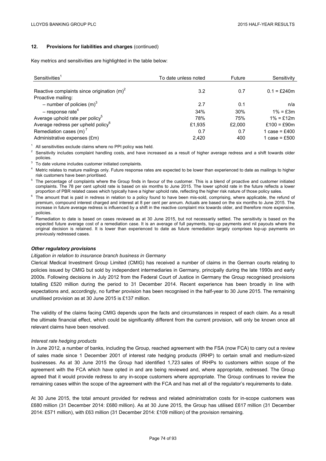## **12. Provisions for liabilities and charges** (continued)

Key metrics and sensitivities are highlighted in the table below:

| Sensitivities <sup>1</sup>                     | To date unless noted | Future | Sensitivity     |  |
|------------------------------------------------|----------------------|--------|-----------------|--|
|                                                |                      |        |                 |  |
| Reactive complaints since origination $(m)^2$  | 3.2                  | 0.7    | $0.1 = £240m$   |  |
| Proactive mailing:                             |                      |        |                 |  |
| - number of policies $(m)^3$                   | 2.7                  | 0.1    | n/a             |  |
| $-$ response rate <sup>4</sup>                 | 34%                  | 30%    | $1\% = £3m$     |  |
| Average uphold rate per policy <sup>5</sup>    | 78%                  | 75%    | $1\% = £12m$    |  |
| Average redress per upheld policy <sup>6</sup> | £1,935               | £2,000 | £100 = £90m     |  |
| Remediation cases $(m)^7$                      | 0.7                  | 0.7    | 1 case = £400   |  |
| Administrative expenses (£m)                   | 2.420                | 400    | 1 case = $£500$ |  |

<sup>1</sup> All sensitivities exclude claims where no PPI policy was held.<br><sup>2</sup> Sensitivity includes complaint handling costs, and have increased as a result of higher average redress and a shift towards older

- policies.<br><sup>3</sup> To date volume includes customer initiated complaints.<br><sup>4</sup> Metric relates to mature mailings only. Future response rates are expected to be lower than experienced to date as mailings to higher
- risk customers have been prioritised.<br><sup>5</sup> The percentage of complaints where the Group finds in favour of the customer. This is a blend of proactive and customer initiated complaints. The 78 per cent uphold rate is based on six months to June 2015. The lower uphold rate in the future reflects a lower
- proportion of PBR related cases which typically have a higher uphold rate, reflecting the higher risk nature of those policy sales.<br><sup>6</sup> The amount that is paid in redress in relation to a policy found to have been mis-sold premium, compound interest charged and interest at 8 per cent per annum. Actuals are based on the six months to June 2015. The increase in future average redress is influenced by a shift in the reactive complaint mix towards older, and therefore more expensive,
- policies.<br>Remediation to date is based on cases reviewed as at 30 June 2015, but not necessarily settled. The sensitivity is based on the expected future average cost of a remediation case. It is an average of full payments, top-up payments and nil payouts where the original decision is retained. It is lower than experienced to date as future remediation largely comprises top-up payments on previously redressed cases.

### *Other regulatory provisions*

### *Litigation in relation to insurance branch business in Germany*

Clerical Medical Investment Group Limited (CMIG) has received a number of claims in the German courts relating to policies issued by CMIG but sold by independent intermediaries in Germany, principally during the late 1990s and early 2000s. Following decisions in July 2012 from the Federal Court of Justice in Germany the Group recognised provisions totalling £520 million during the period to 31 December 2014. Recent experience has been broadly in line with expectations and, accordingly, no further provision has been recognised in the half-year to 30 June 2015. The remaining unutilised provision as at 30 June 2015 is £137 million.

The validity of the claims facing CMIG depends upon the facts and circumstances in respect of each claim. As a result the ultimate financial effect, which could be significantly different from the current provision, will only be known once all relevant claims have been resolved.

### *Interest rate hedging products*

In June 2012, a number of banks, including the Group, reached agreement with the FSA (now FCA) to carry out a review of sales made since 1 December 2001 of interest rate hedging products (IRHP) to certain small and medium-sized businesses. As at 30 June 2015 the Group had identified 1,723 sales of IRHPs to customers within scope of the agreement with the FCA which have opted in and are being reviewed and, where appropriate, redressed. The Group agreed that it would provide redress to any in-scope customers where appropriate. The Group continues to review the remaining cases within the scope of the agreement with the FCA and has met all of the regulator's requirements to date.

At 30 June 2015, the total amount provided for redress and related administration costs for in-scope customers was £680 million (31 December 2014: £680 million). As at 30 June 2015, the Group has utilised £617 million (31 December 2014: £571 million), with £63 million (31 December 2014: £109 million) of the provision remaining.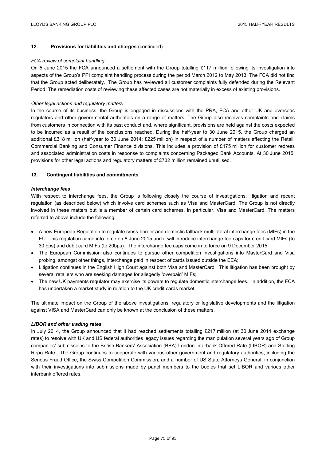## **12. Provisions for liabilities and charges** (continued)

### *FCA review of complaint handling*

On 5 June 2015 the FCA announced a settlement with the Group totalling £117 million following its investigation into aspects of the Group's PPI complaint handling process during the period March 2012 to May 2013. The FCA did not find that the Group acted deliberately. The Group has reviewed all customer complaints fully defended during the Relevant Period. The remediation costs of reviewing these affected cases are not materially in excess of existing provisions.

### *Other legal actions and regulatory matters*

In the course of its business, the Group is engaged in discussions with the PRA, FCA and other UK and overseas regulators and other governmental authorities on a range of matters. The Group also receives complaints and claims from customers in connection with its past conduct and, where significant, provisions are held against the costs expected to be incurred as a result of the conclusions reached. During the half-year to 30 June 2015, the Group charged an additional £318 million (half-year to 30 June 2014: £225 million) in respect of a number of matters affecting the Retail, Commercial Banking and Consumer Finance divisions. This includes a provision of £175 million for customer redress and associated administration costs in response to complaints concerning Packaged Bank Accounts. At 30 June 2015, provisions for other legal actions and regulatory matters of £732 million remained unutilised.

### **13. Contingent liabilities and commitments**

## *Interchange fees*

With respect to interchange fees, the Group is following closely the course of investigations, litigation and recent regulation (as described below) which involve card schemes such as Visa and MasterCard. The Group is not directly involved in these matters but is a member of certain card schemes, in particular, Visa and MasterCard. The matters referred to above include the following:

- A new European Regulation to regulate cross-border and domestic fallback multilateral interchange fees (MIFs) in the EU. This regulation came into force on 8 June 2015 and it will introduce interchange fee caps for credit card MIFs (to 30 bps) and debit card MIFs (to 20bps). The interchange fee caps come in to force on 9 December 2015;
- The European Commission also continues to pursue other competition investigations into MasterCard and Visa probing, amongst other things, interchange paid in respect of cards issued outside the EEA;
- Litigation continues in the English High Court against both Visa and MasterCard. This litigation has been brought by several retailers who are seeking damages for allegedly 'overpaid' MIFs;
- The new UK payments regulator may exercise its powers to regulate domestic interchange fees. In addition, the FCA has undertaken a market study in relation to the UK credit cards market.

The ultimate impact on the Group of the above investigations, regulatory or legislative developments and the litigation against VISA and MasterCard can only be known at the conclusion of these matters.

### *LIBOR and other trading rates*

In July 2014, the Group announced that it had reached settlements totalling £217 million (at 30 June 2014 exchange rates) to resolve with UK and US federal authorities legacy issues regarding the manipulation several years ago of Group companies' submissions to the British Bankers' Association (BBA) London Interbank Offered Rate (LIBOR) and Sterling Repo Rate. The Group continues to cooperate with various other government and regulatory authorities, including the Serious Fraud Office, the Swiss Competition Commission, and a number of US State Attorneys General, in conjunction with their investigations into submissions made by panel members to the bodies that set LIBOR and various other interbank offered rates.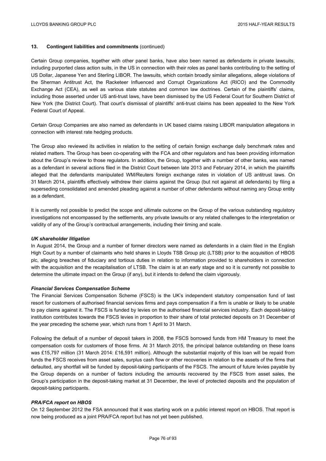## **13. Contingent liabilities and commitments** (continued)

Certain Group companies, together with other panel banks, have also been named as defendants in private lawsuits, including purported class action suits, in the US in connection with their roles as panel banks contributing to the setting of US Dollar, Japanese Yen and Sterling LIBOR. The lawsuits, which contain broadly similar allegations, allege violations of the Sherman Antitrust Act, the Racketeer Influenced and Corrupt Organizations Act (RICO) and the Commodity Exchange Act (CEA), as well as various state statutes and common law doctrines. Certain of the plaintiffs' claims, including those asserted under US anti-trust laws, have been dismissed by the US Federal Court for Southern District of New York (the District Court). That court's dismissal of plaintiffs' anti-trust claims has been appealed to the New York Federal Court of Appeal.

Certain Group Companies are also named as defendants in UK based claims raising LIBOR manipulation allegations in connection with interest rate hedging products.

The Group also reviewed its activities in relation to the setting of certain foreign exchange daily benchmark rates and related matters. The Group has been co-operating with the FCA and other regulators and has been providing information about the Group's review to those regulators. In addition, the Group, together with a number of other banks, was named as a defendant in several actions filed in the District Court between late 2013 and February 2014, in which the plaintiffs alleged that the defendants manipulated WM/Reuters foreign exchange rates in violation of US antitrust laws. On 31 March 2014, plaintiffs effectively withdrew their claims against the Group (but not against all defendants) by filing a superseding consolidated and amended pleading against a number of other defendants without naming any Group entity as a defendant.

It is currently not possible to predict the scope and ultimate outcome on the Group of the various outstanding regulatory investigations not encompassed by the settlements, any private lawsuits or any related challenges to the interpretation or validity of any of the Group's contractual arrangements, including their timing and scale.

### *UK shareholder litigation*

In August 2014, the Group and a number of former directors were named as defendants in a claim filed in the English High Court by a number of claimants who held shares in Lloyds TSB Group plc (LTSB) prior to the acquisition of HBOS plc, alleging breaches of fiduciary and tortious duties in relation to information provided to shareholders in connection with the acquisition and the recapitalisation of LTSB. The claim is at an early stage and so it is currently not possible to determine the ultimate impact on the Group (if any), but it intends to defend the claim vigorously.

### *Financial Services Compensation Scheme*

The Financial Services Compensation Scheme (FSCS) is the UK's independent statutory compensation fund of last resort for customers of authorised financial services firms and pays compensation if a firm is unable or likely to be unable to pay claims against it. The FSCS is funded by levies on the authorised financial services industry. Each deposit-taking institution contributes towards the FSCS levies in proportion to their share of total protected deposits on 31 December of the year preceding the scheme year, which runs from 1 April to 31 March.

Following the default of a number of deposit takers in 2008, the FSCS borrowed funds from HM Treasury to meet the compensation costs for customers of those firms. At 31 March 2015, the principal balance outstanding on these loans was £15,797 million (31 March 2014: £16,591 million). Although the substantial majority of this loan will be repaid from funds the FSCS receives from asset sales, surplus cash flow or other recoveries in relation to the assets of the firms that defaulted, any shortfall will be funded by deposit-taking participants of the FSCS. The amount of future levies payable by the Group depends on a number of factors including the amounts recovered by the FSCS from asset sales, the Group's participation in the deposit-taking market at 31 December, the level of protected deposits and the population of deposit-taking participants.

## *PRA/FCA report on HBOS*

On 12 September 2012 the FSA announced that it was starting work on a public interest report on HBOS. That report is now being produced as a joint PRA/FCA report but has not yet been published.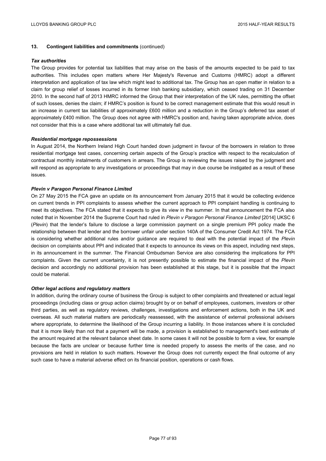## **13. Contingent liabilities and commitments** (continued)

### *Tax authorities*

The Group provides for potential tax liabilities that may arise on the basis of the amounts expected to be paid to tax authorities. This includes open matters where Her Majesty's Revenue and Customs (HMRC) adopt a different interpretation and application of tax law which might lead to additional tax. The Group has an open matter in relation to a claim for group relief of losses incurred in its former Irish banking subsidiary, which ceased trading on 31 December 2010. In the second half of 2013 HMRC informed the Group that their interpretation of the UK rules, permitting the offset of such losses, denies the claim; if HMRC's position is found to be correct management estimate that this would result in an increase in current tax liabilities of approximately £600 million and a reduction in the Group's deferred tax asset of approximately £400 million. The Group does not agree with HMRC's position and, having taken appropriate advice, does not consider that this is a case where additional tax will ultimately fall due.

### *Residential mortgage repossessions*

In August 2014, the Northern Ireland High Court handed down judgment in favour of the borrowers in relation to three residential mortgage test cases, concerning certain aspects of the Group's practice with respect to the recalculation of contractual monthly instalments of customers in arrears. The Group is reviewing the issues raised by the judgment and will respond as appropriate to any investigations or proceedings that may in due course be instigated as a result of these issues.

## *Plevin v Paragon Personal Finance Limited*

On 27 May 2015 the FCA gave an update on its announcement from January 2015 that it would be collecting evidence on current trends in PPI complaints to assess whether the current approach to PPI complaint handling is continuing to meet its objectives. The FCA stated that it expects to give its view in the summer. In that announcement the FCA also noted that in November 2014 the Supreme Court had ruled in *Plevin v Paragon Personal Finance Limited* [2014] UKSC 6 (*Plevin*) that the lender's failure to disclose a large commission payment on a single premium PPI policy made the relationship between that lender and the borrower unfair under section 140A of the Consumer Credit Act 1974. The FCA is considering whether additional rules and/or guidance are required to deal with the potential impact of the *Plevin* decision on complaints about PPI and indicated that it expects to announce its views on this aspect, including next steps, in its announcement in the summer. The Financial Ombudsman Service are also considering the implications for PPI complaints. Given the current uncertainty, it is not presently possible to estimate the financial impact of the *Plevin* decision and accordingly no additional provision has been established at this stage, but it is possible that the impact could be material.

### *Other legal actions and regulatory matters*

In addition, during the ordinary course of business the Group is subject to other complaints and threatened or actual legal proceedings (including class or group action claims) brought by or on behalf of employees, customers, investors or other third parties, as well as regulatory reviews, challenges, investigations and enforcement actions, both in the UK and overseas. All such material matters are periodically reassessed, with the assistance of external professional advisers where appropriate, to determine the likelihood of the Group incurring a liability. In those instances where it is concluded that it is more likely than not that a payment will be made, a provision is established to management's best estimate of the amount required at the relevant balance sheet date. In some cases it will not be possible to form a view, for example because the facts are unclear or because further time is needed properly to assess the merits of the case, and no provisions are held in relation to such matters. However the Group does not currently expect the final outcome of any such case to have a material adverse effect on its financial position, operations or cash flows.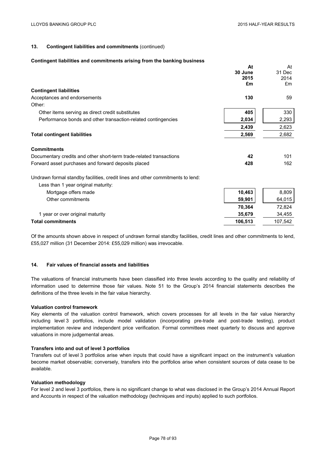$\lambda$ 

**At** 

## **13. Contingent liabilities and commitments** (continued)

#### **Contingent liabilities and commitments arising from the banking business**

|                                                                                                                       | Aτ      | At      |
|-----------------------------------------------------------------------------------------------------------------------|---------|---------|
|                                                                                                                       | 30 June | 31 Dec  |
|                                                                                                                       | 2015    | 2014    |
|                                                                                                                       | £m      | £m      |
| <b>Contingent liabilities</b>                                                                                         |         |         |
| Acceptances and endorsements                                                                                          | 130     | 59      |
| Other:                                                                                                                |         |         |
| Other items serving as direct credit substitutes                                                                      | 405     | 330     |
| Performance bonds and other transaction-related contingencies                                                         | 2,034   | 2,293   |
|                                                                                                                       | 2,439   | 2,623   |
| <b>Total contingent liabilities</b>                                                                                   | 2,569   | 2,682   |
| <b>Commitments</b>                                                                                                    |         |         |
| Documentary credits and other short-term trade-related transactions                                                   | 42      | 101     |
| Forward asset purchases and forward deposits placed                                                                   | 428     | 162     |
| Undrawn formal standby facilities, credit lines and other commitments to lend:<br>Less than 1 year original maturity: |         |         |
| Mortgage offers made                                                                                                  | 10,463  | 8,809   |
|                                                                                                                       |         |         |
| Other commitments                                                                                                     | 59,901  | 64,015  |
|                                                                                                                       | 70,364  | 72,824  |
| 1 year or over original maturity                                                                                      | 35,679  | 34,455  |
| <b>Total commitments</b>                                                                                              | 106,513 | 107,542 |

Of the amounts shown above in respect of undrawn formal standby facilities, credit lines and other commitments to lend, £55,027 million (31 December 2014: £55,029 million) was irrevocable.

## **14. Fair values of financial assets and liabilities**

The valuations of financial instruments have been classified into three levels according to the quality and reliability of information used to determine those fair values. Note 51 to the Group's 2014 financial statements describes the definitions of the three levels in the fair value hierarchy.

### **Valuation control framework**

Key elements of the valuation control framework, which covers processes for all levels in the fair value hierarchy including level 3 portfolios, include model validation (incorporating pre-trade and post-trade testing), product implementation review and independent price verification. Formal committees meet quarterly to discuss and approve valuations in more judgemental areas.

#### **Transfers into and out of level 3 portfolios**

Transfers out of level 3 portfolios arise when inputs that could have a significant impact on the instrument's valuation become market observable; conversely, transfers into the portfolios arise when consistent sources of data cease to be available.

#### **Valuation methodology**

For level 2 and level 3 portfolios, there is no significant change to what was disclosed in the Group's 2014 Annual Report and Accounts in respect of the valuation methodology (techniques and inputs) applied to such portfolios.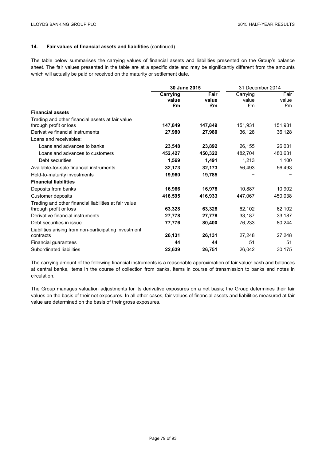The table below summarises the carrying values of financial assets and liabilities presented on the Group's balance sheet. The fair values presented in the table are at a specific date and may be significantly different from the amounts which will actually be paid or received on the maturity or settlement date.

|                                                       | 30 June 2015 |         | 31 December 2014 |         |
|-------------------------------------------------------|--------------|---------|------------------|---------|
|                                                       | Carrying     | Fair    | Carrying         | Fair    |
|                                                       | value        | value   | value            | value   |
|                                                       | £m           | £m      | £m               | £m      |
| <b>Financial assets</b>                               |              |         |                  |         |
| Trading and other financial assets at fair value      |              |         |                  |         |
| through profit or loss                                | 147,849      | 147,849 | 151,931          | 151,931 |
| Derivative financial instruments                      | 27,980       | 27,980  | 36,128           | 36,128  |
| Loans and receivables:                                |              |         |                  |         |
| Loans and advances to banks                           | 23,548       | 23,892  | 26,155           | 26,031  |
| Loans and advances to customers                       | 452,427      | 450,322 | 482,704          | 480,631 |
| Debt securities                                       | 1,569        | 1,491   | 1,213            | 1,100   |
| Available-for-sale financial instruments              | 32,173       | 32,173  | 56,493           | 56,493  |
| Held-to-maturity investments                          | 19,960       | 19,785  |                  |         |
| <b>Financial liabilities</b>                          |              |         |                  |         |
| Deposits from banks                                   | 16,966       | 16,978  | 10,887           | 10,902  |
| Customer deposits                                     | 416,595      | 416,933 | 447,067          | 450,038 |
| Trading and other financial liabilities at fair value |              |         |                  |         |
| through profit or loss                                | 63,328       | 63,328  | 62,102           | 62,102  |
| Derivative financial instruments                      | 27,778       | 27,778  | 33,187           | 33,187  |
| Debt securities in issue                              | 77,776       | 80,400  | 76,233           | 80,244  |
| Liabilities arising from non-participating investment |              |         |                  |         |
| contracts                                             | 26,131       | 26,131  | 27,248           | 27,248  |
| Financial guarantees                                  | 44           | 44      | 51               | 51      |
| Subordinated liabilities                              | 22,639       | 26,751  | 26,042           | 30,175  |

The carrying amount of the following financial instruments is a reasonable approximation of fair value: cash and balances at central banks, items in the course of collection from banks, items in course of transmission to banks and notes in circulation.

The Group manages valuation adjustments for its derivative exposures on a net basis; the Group determines their fair values on the basis of their net exposures. In all other cases, fair values of financial assets and liabilities measured at fair value are determined on the basis of their gross exposures.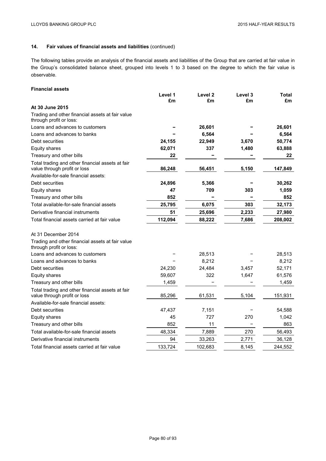The following tables provide an analysis of the financial assets and liabilities of the Group that are carried at fair value in the Group's consolidated balance sheet, grouped into levels 1 to 3 based on the degree to which the fair value is observable.

# **Financial assets**

|                                                                                  | Level 1 | Level <sub>2</sub> | Level 3 | Total   |
|----------------------------------------------------------------------------------|---------|--------------------|---------|---------|
|                                                                                  | £m      | £m                 | £m      | £m      |
| At 30 June 2015                                                                  |         |                    |         |         |
| Trading and other financial assets at fair value<br>through profit or loss:      |         |                    |         |         |
| Loans and advances to customers                                                  |         | 26,601             |         | 26,601  |
| Loans and advances to banks                                                      |         | 6,564              |         | 6,564   |
| Debt securities                                                                  | 24,155  | 22,949             | 3,670   | 50,774  |
| <b>Equity shares</b>                                                             | 62,071  | 337                | 1,480   | 63,888  |
| Treasury and other bills                                                         | 22      |                    |         | 22      |
| Total trading and other financial assets at fair<br>value through profit or loss | 86,248  | 56,451             | 5,150   | 147,849 |
| Available-for-sale financial assets:                                             |         |                    |         |         |
| Debt securities                                                                  | 24,896  | 5,366              |         | 30,262  |
| Equity shares                                                                    | 47      | 709                | 303     | 1,059   |
| Treasury and other bills                                                         | 852     |                    |         | 852     |
| Total available-for-sale financial assets                                        | 25,795  | 6,075              | 303     | 32,173  |
| Derivative financial instruments                                                 | 51      | 25,696             | 2,233   | 27,980  |
| Total financial assets carried at fair value                                     | 112,094 | 88,222             | 7,686   | 208,002 |
| At 31 December 2014                                                              |         |                    |         |         |
| Trading and other financial assets at fair value<br>through profit or loss:      |         |                    |         |         |
| Loans and advances to customers                                                  |         | 28,513             |         | 28,513  |
| Loans and advances to banks                                                      |         | 8,212              |         | 8,212   |
| Debt securities                                                                  | 24,230  | 24,484             | 3,457   | 52,171  |
| Equity shares                                                                    | 59,607  | 322                | 1,647   | 61,576  |
| Treasury and other bills                                                         | 1,459   |                    |         | 1,459   |
| Total trading and other financial assets at fair<br>value through profit or loss | 85,296  | 61.531             | 5,104   | 151,931 |
| Available-for-sale financial assets:                                             |         |                    |         |         |
| Debt securities                                                                  | 47,437  | 7,151              |         | 54,588  |
| Equity shares                                                                    | 45      | 727                | 270     | 1,042   |
| Treasury and other bills                                                         | 852     | 11                 |         | 863     |
| Total available-for-sale financial assets                                        | 48,334  | 7,889              | 270     | 56,493  |
| Derivative financial instruments                                                 | 94      | 33,263             | 2,771   | 36,128  |
| Total financial assets carried at fair value                                     | 133,724 | 102,683            | 8,145   | 244,552 |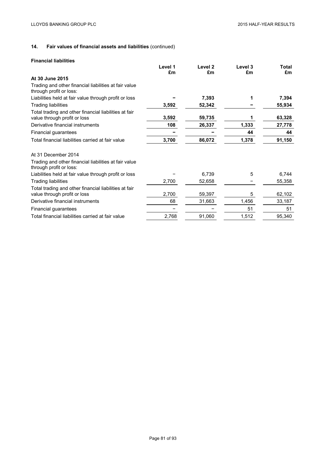## **Financial liabilities**

|                                                                                       | Level 1 | Level <sub>2</sub> | Level 3 | Total  |
|---------------------------------------------------------------------------------------|---------|--------------------|---------|--------|
|                                                                                       | £m      | £m                 | £m      | £m     |
| At 30 June 2015                                                                       |         |                    |         |        |
| Trading and other financial liabilities at fair value<br>through profit or loss:      |         |                    |         |        |
| Liabilities held at fair value through profit or loss                                 |         | 7,393              |         | 7,394  |
| <b>Trading liabilities</b>                                                            | 3,592   | 52,342             |         | 55,934 |
| Total trading and other financial liabilities at fair<br>value through profit or loss | 3,592   | 59,735             |         | 63,328 |
| Derivative financial instruments                                                      | 108     | 26,337             | 1,333   | 27,778 |
| Financial guarantees                                                                  |         |                    | 44      | 44     |
| Total financial liabilities carried at fair value                                     | 3,700   | 86,072             | 1,378   | 91,150 |
| At 31 December 2014                                                                   |         |                    |         |        |
| Trading and other financial liabilities at fair value<br>through profit or loss:      |         |                    |         |        |
| Liabilities held at fair value through profit or loss                                 |         | 6,739              | 5       | 6,744  |
| <b>Trading liabilities</b>                                                            | 2,700   | 52,658             |         | 55,358 |
| Total trading and other financial liabilities at fair                                 |         |                    |         |        |
| value through profit or loss                                                          | 2,700   | 59,397             | 5       | 62,102 |
| Derivative financial instruments                                                      | 68      | 31,663             | 1,456   | 33,187 |
| Financial guarantees                                                                  |         |                    | 51      | 51     |
| Total financial liabilities carried at fair value                                     | 2,768   | 91,060             | 1,512   | 95,340 |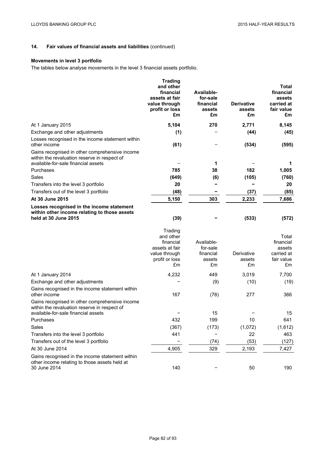# **Movements in level 3 portfolio**

The tables below analyse movements in the level 3 financial assets portfolio.

|                                                                                                                                       | <b>Trading</b><br>and other<br>financial<br>assets at fair<br>value through<br>profit or loss<br>£m | Available-<br>for-sale<br>financial<br>assets<br>£m | <b>Derivative</b><br>assets<br>£m | Total<br>financial<br>assets<br>carried at<br>fair value<br>£m |
|---------------------------------------------------------------------------------------------------------------------------------------|-----------------------------------------------------------------------------------------------------|-----------------------------------------------------|-----------------------------------|----------------------------------------------------------------|
| At 1 January 2015                                                                                                                     | 5,104                                                                                               | 270                                                 | 2,771                             | 8,145                                                          |
| Exchange and other adjustments                                                                                                        | (1)                                                                                                 |                                                     | (44)                              | (45)                                                           |
| Losses recognised in the income statement within<br>other income                                                                      | (61)                                                                                                |                                                     | (534)                             | (595)                                                          |
| Gains recognised in other comprehensive income<br>within the revaluation reserve in respect of<br>available-for-sale financial assets |                                                                                                     | 1                                                   |                                   |                                                                |
| Purchases                                                                                                                             | 785                                                                                                 | 38                                                  | 182                               | 1,005                                                          |
| Sales                                                                                                                                 | (649)                                                                                               | (6)                                                 | (105)                             | (760)                                                          |
| Transfers into the level 3 portfolio                                                                                                  | 20                                                                                                  |                                                     |                                   | 20                                                             |
| Transfers out of the level 3 portfolio                                                                                                | (48)                                                                                                |                                                     | (37)                              | (85)                                                           |
| At 30 June 2015                                                                                                                       | 5,150                                                                                               | 303                                                 | 2,233                             | 7,686                                                          |
| Losses recognised in the income statement<br>within other income relating to those assets<br>held at 30 June 2015                     | (39)                                                                                                |                                                     | (533)                             | (572)                                                          |
|                                                                                                                                       | Trading<br>and other<br>financial<br>assets at fair<br>value through<br>profit or loss<br>£m        | Available-<br>for-sale<br>financial<br>assets<br>£m | Derivative<br>assets<br>£m        | Total<br>financial<br>assets<br>carried at<br>fair value<br>£m |
| At 1 January 2014                                                                                                                     | 4,232                                                                                               | 449                                                 | 3,019                             | 7,700                                                          |
| Exchange and other adjustments                                                                                                        |                                                                                                     | (9)                                                 | (10)                              | (19)                                                           |
| Gains recognised in the income statement within<br>other income                                                                       | 167                                                                                                 | (78)                                                | 277                               | 366                                                            |
| Gains recognised in other comprehensive income<br>within the revaluation reserve in respect of<br>available-for-sale financial assets |                                                                                                     | 15                                                  |                                   | 15                                                             |
| Purchases                                                                                                                             | 432                                                                                                 | 199                                                 | 10                                | 641                                                            |
| Sales                                                                                                                                 | (367)                                                                                               | (173)                                               | (1,072)                           | (1,612)                                                        |
| Transfers into the level 3 portfolio                                                                                                  | 441                                                                                                 |                                                     | 22                                | 463                                                            |
| Transfers out of the level 3 portfolio                                                                                                |                                                                                                     | (74)                                                | (53)                              | (127)                                                          |
| At 30 June 2014                                                                                                                       | 4,905                                                                                               | 329                                                 | 2,193                             | 7,427                                                          |
| Gains recognised in the income statement within<br>other income relating to those assets held at<br>30 June 2014                      | 140                                                                                                 |                                                     | 50                                | 190                                                            |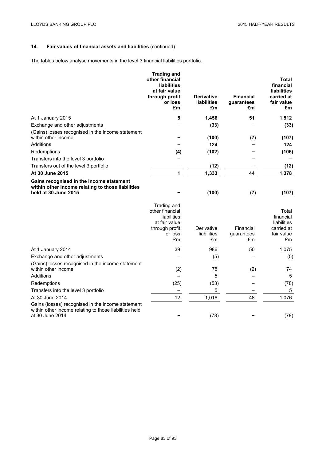The tables below analyse movements in the level 3 financial liabilities portfolio.

|                                                                                                                                | <b>Trading and</b><br>other financial<br>liabilities<br>at fair value<br>through profit<br>or loss<br>£m | <b>Derivative</b><br>liabilities<br>£m | <b>Financial</b><br>guarantees<br>£m | <b>Total</b><br>financial<br><b>liabilities</b><br>carried at<br>fair value<br>£m |
|--------------------------------------------------------------------------------------------------------------------------------|----------------------------------------------------------------------------------------------------------|----------------------------------------|--------------------------------------|-----------------------------------------------------------------------------------|
| At 1 January 2015                                                                                                              | 5                                                                                                        | 1,456                                  | 51                                   | 1,512                                                                             |
| Exchange and other adjustments                                                                                                 |                                                                                                          | (33)                                   |                                      | (33)                                                                              |
| (Gains) losses recognised in the income statement<br>within other income                                                       |                                                                                                          | (100)                                  | (7)                                  | (107)                                                                             |
| Additions                                                                                                                      |                                                                                                          | 124                                    |                                      | 124                                                                               |
| Redemptions                                                                                                                    | (4)                                                                                                      | (102)                                  |                                      | (106)                                                                             |
| Transfers into the level 3 portfolio                                                                                           |                                                                                                          |                                        |                                      |                                                                                   |
| Transfers out of the level 3 portfolio                                                                                         |                                                                                                          | (12)                                   |                                      | (12)                                                                              |
| At 30 June 2015                                                                                                                | 1                                                                                                        | 1,333                                  | 44                                   | 1,378                                                                             |
| Gains recognised in the income statement<br>within other income relating to those liabilities<br>held at 30 June 2015          |                                                                                                          | (100)                                  | (7)                                  | (107)                                                                             |
|                                                                                                                                | Trading and<br>other financial<br>liabilities<br>at fair value<br>through profit<br>or loss<br>£m        | Derivative<br>liabilities<br>£m        | Financial<br>guarantees<br>£m        | Total<br>financial<br>liabilities<br>carried at<br>fair value<br>£m               |
| At 1 January 2014                                                                                                              | 39                                                                                                       | 986                                    | 50                                   | 1,075                                                                             |
| Exchange and other adjustments                                                                                                 |                                                                                                          | (5)                                    |                                      | (5)                                                                               |
| (Gains) losses recognised in the income statement<br>within other income                                                       | (2)                                                                                                      | 78                                     | (2)                                  | 74                                                                                |
| Additions                                                                                                                      |                                                                                                          | 5                                      |                                      | 5                                                                                 |
| Redemptions                                                                                                                    | (25)                                                                                                     | (53)                                   |                                      | (78)                                                                              |
| Transfers into the level 3 portfolio                                                                                           |                                                                                                          | 5                                      |                                      | 5                                                                                 |
| At 30 June 2014                                                                                                                | 12                                                                                                       | 1,016                                  | 48                                   | 1,076                                                                             |
| Gains (losses) recognised in the income statement<br>within other income relating to those liabilities held<br>at 30 June 2014 |                                                                                                          | (78)                                   |                                      | (78)                                                                              |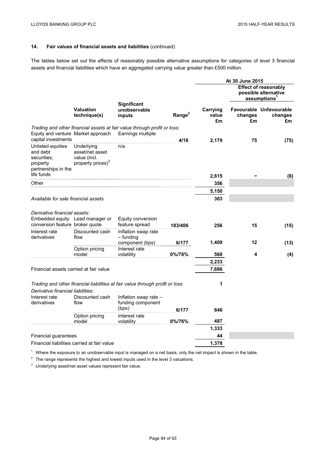The tables below set out the effects of reasonably possible alternative assumptions for categories of level 3 financial assets and financial liabilities which have an aggregated carrying value greater than £500 million.

|                                                                                               |                                                                                |                                                                                                       |                    |                         | At 30 June 2015                                                                 |                                          |  |
|-----------------------------------------------------------------------------------------------|--------------------------------------------------------------------------------|-------------------------------------------------------------------------------------------------------|--------------------|-------------------------|---------------------------------------------------------------------------------|------------------------------------------|--|
|                                                                                               |                                                                                |                                                                                                       |                    |                         | <b>Effect of reasonably</b><br>possible alternative<br>assumptions <sup>1</sup> |                                          |  |
|                                                                                               | <b>Valuation</b><br>technique(s)                                               | <b>Significant</b><br>unobservable<br>inputs                                                          | Range <sup>2</sup> | Carrying<br>value<br>£m | changes<br>£m                                                                   | Favourable Unfavourable<br>changes<br>£m |  |
| Equity and venture Market approach<br>capital investments                                     |                                                                                | Trading and other financial assets at fair value through profit or loss:<br>Earnings multiple         | 4/16               | 2,179                   | 75                                                                              | (75)                                     |  |
| Unlisted equities<br>and debt<br>securities.<br>property<br>partnerships in the<br>life funds | Underlying<br>asset/net asset<br>value (incl.<br>property prices) <sup>3</sup> | n/a                                                                                                   |                    | 2,615                   |                                                                                 |                                          |  |
| Other                                                                                         |                                                                                |                                                                                                       |                    | 356                     |                                                                                 | (6)                                      |  |
|                                                                                               |                                                                                |                                                                                                       |                    | 5,150                   |                                                                                 |                                          |  |
| Available for sale financial assets                                                           |                                                                                |                                                                                                       |                    | 303                     |                                                                                 |                                          |  |
| Derivative financial assets:<br>conversion feature broker quote                               | Embedded equity Lead manager or                                                | Equity conversion<br>feature spread                                                                   | 183/406            | 256                     | 15                                                                              | (15)                                     |  |
| Interest rate<br>derivatives                                                                  | Discounted cash<br>flow                                                        | Inflation swap rate<br>$-$ funding<br>component (bps)                                                 | 6/177              | 1,409                   | 12                                                                              | (13)                                     |  |
|                                                                                               | Option pricing<br>model                                                        | Interest rate<br>volatility                                                                           | 0%/76%             | 568                     | 4                                                                               | (4)                                      |  |
|                                                                                               |                                                                                |                                                                                                       |                    | 2,233                   |                                                                                 |                                          |  |
| Financial assets carried at fair value                                                        |                                                                                |                                                                                                       |                    | 7,686                   |                                                                                 |                                          |  |
| Derivative financial liabilities:<br>Interest rate                                            | Discounted cash                                                                | Trading and other financial liabilities at fair value through profit or loss<br>Inflation swap rate - |                    | 1                       |                                                                                 |                                          |  |
| derivatives                                                                                   | flow                                                                           | funding component<br>(bps)                                                                            | 6/177              | 846                     |                                                                                 |                                          |  |
|                                                                                               | Option pricing<br>model                                                        | Interest rate<br>volatility                                                                           | 0%/76%             | 487                     |                                                                                 |                                          |  |
|                                                                                               |                                                                                |                                                                                                       |                    | 1,333                   |                                                                                 |                                          |  |
| Financial guarantees                                                                          |                                                                                |                                                                                                       |                    | 44                      |                                                                                 |                                          |  |
|                                                                                               | Financial liabilities carried at fair value                                    |                                                                                                       |                    | 1,378                   |                                                                                 |                                          |  |

 $1$  Where the exposure to an unobservable input is managed on a net basis, only the net impact is shown in the table.

 $2\degree$  The range represents the highest and lowest inputs used in the level 3 valuations.

<sup>3</sup> Underlying asset/net asset values represent fair value.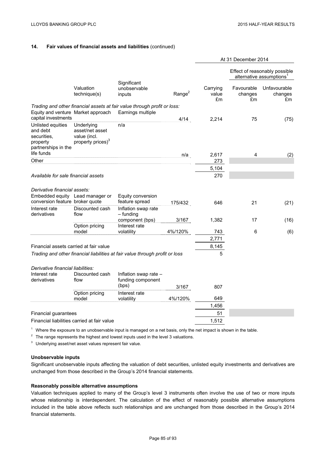|                                                                                                                      |                                                                                |                                                                                               |                    | At 31 December 2014     |                                                                       |                               |
|----------------------------------------------------------------------------------------------------------------------|--------------------------------------------------------------------------------|-----------------------------------------------------------------------------------------------|--------------------|-------------------------|-----------------------------------------------------------------------|-------------------------------|
|                                                                                                                      |                                                                                |                                                                                               |                    |                         | Effect of reasonably possible<br>alternative assumptions <sup>1</sup> |                               |
|                                                                                                                      | Valuation<br>technique(s)                                                      | Significant<br>unobservable<br>inputs                                                         | Range <sup>2</sup> | Carrying<br>value<br>£m | Favourable<br>changes<br>£m                                           | Unfavourable<br>changes<br>£m |
| Equity and venture Market approach                                                                                   |                                                                                | Trading and other financial assets at fair value through profit or loss:<br>Earnings multiple |                    |                         |                                                                       |                               |
| capital investments<br>Unlisted equities<br>and debt<br>securities.<br>property<br>partnerships in the<br>life funds | Underlying<br>asset/net asset<br>value (incl.<br>property prices) <sup>3</sup> | n/a                                                                                           | 4/14               | 2,214                   | 75                                                                    | (75)                          |
| Other                                                                                                                |                                                                                |                                                                                               | n/a                | 2,617                   | 4                                                                     | (2)                           |
|                                                                                                                      |                                                                                |                                                                                               |                    | 273                     |                                                                       |                               |
|                                                                                                                      |                                                                                |                                                                                               |                    | 5,104                   |                                                                       |                               |
| Available for sale financial assets                                                                                  |                                                                                |                                                                                               |                    | 270                     |                                                                       |                               |
|                                                                                                                      |                                                                                |                                                                                               |                    |                         |                                                                       |                               |
| Derivative financial assets:                                                                                         | Embedded equity Lead manager or                                                | Equity conversion                                                                             |                    |                         |                                                                       |                               |
| conversion feature broker quote<br>Interest rate                                                                     | Discounted cash                                                                | feature spread<br>Inflation swap rate                                                         | 175/432            | 646                     | 21                                                                    | (21)                          |
| derivatives                                                                                                          | flow                                                                           | $-$ funding<br>component (bps)                                                                | 3/167              | 1,382                   | 17                                                                    | (16)                          |
|                                                                                                                      | Option pricing                                                                 | Interest rate                                                                                 |                    |                         |                                                                       |                               |
|                                                                                                                      | model                                                                          | volatility                                                                                    | 4%/120%            | 743                     | 6                                                                     | (6)                           |
|                                                                                                                      |                                                                                |                                                                                               |                    | 2,771                   |                                                                       |                               |
| Financial assets carried at fair value                                                                               |                                                                                |                                                                                               |                    | 8,145                   |                                                                       |                               |
|                                                                                                                      |                                                                                | Trading and other financial liabilities at fair value through profit or loss                  |                    | 5                       |                                                                       |                               |
| Derivative financial liabilities:                                                                                    |                                                                                |                                                                                               |                    |                         |                                                                       |                               |
| Interest rate                                                                                                        | Discounted cash                                                                | Inflation swap rate -                                                                         |                    |                         |                                                                       |                               |
| derivatives                                                                                                          | flow                                                                           | funding component<br>(bps)                                                                    | 3/167              | 807                     |                                                                       |                               |
|                                                                                                                      | Option pricing                                                                 | Interest rate                                                                                 |                    | 649                     |                                                                       |                               |
|                                                                                                                      | model                                                                          | volatility                                                                                    | 4%/120%            |                         |                                                                       |                               |
|                                                                                                                      |                                                                                |                                                                                               |                    | 1,456                   |                                                                       |                               |
| <b>Financial guarantees</b>                                                                                          |                                                                                |                                                                                               |                    | 51                      |                                                                       |                               |
|                                                                                                                      | Financial liabilities carried at fair value                                    |                                                                                               |                    | 1,512                   |                                                                       |                               |

 $1$  Where the exposure to an unobservable input is managed on a net basis, only the net impact is shown in the table.

 $2$  The range represents the highest and lowest inputs used in the level 3 valuations.

<sup>3</sup> Underlying asset/net asset values represent fair value.

## **Unobservable inputs**

Significant unobservable inputs affecting the valuation of debt securities, unlisted equity investments and derivatives are unchanged from those described in the Group's 2014 financial statements.

## **Reasonably possible alternative assumptions**

Valuation techniques applied to many of the Group's level 3 instruments often involve the use of two or more inputs whose relationship is interdependent. The calculation of the effect of reasonably possible alternative assumptions included in the table above reflects such relationships and are unchanged from those described in the Group's 2014 financial statements.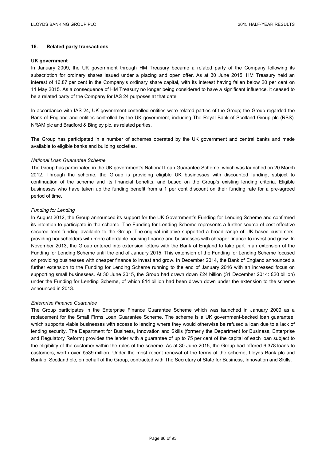## **15. Related party transactions**

### **UK government**

In January 2009, the UK government through HM Treasury became a related party of the Company following its subscription for ordinary shares issued under a placing and open offer. As at 30 June 2015, HM Treasury held an interest of 16.87 per cent in the Company's ordinary share capital, with its interest having fallen below 20 per cent on 11 May 2015. As a consequence of HM Treasury no longer being considered to have a significant influence, it ceased to be a related party of the Company for IAS 24 purposes at that date.

In accordance with IAS 24, UK government-controlled entities were related parties of the Group; the Group regarded the Bank of England and entities controlled by the UK government, including The Royal Bank of Scotland Group plc (RBS), NRAM plc and Bradford & Bingley plc, as related parties.

The Group has participated in a number of schemes operated by the UK government and central banks and made available to eligible banks and building societies.

### *National Loan Guarantee Scheme*

The Group has participated in the UK government's National Loan Guarantee Scheme, which was launched on 20 March 2012. Through the scheme, the Group is providing eligible UK businesses with discounted funding, subject to continuation of the scheme and its financial benefits, and based on the Group's existing lending criteria. Eligible businesses who have taken up the funding benefit from a 1 per cent discount on their funding rate for a pre-agreed period of time.

### *Funding for Lending*

In August 2012, the Group announced its support for the UK Government's Funding for Lending Scheme and confirmed its intention to participate in the scheme. The Funding for Lending Scheme represents a further source of cost effective secured term funding available to the Group. The original initiative supported a broad range of UK based customers, providing householders with more affordable housing finance and businesses with cheaper finance to invest and grow. In November 2013, the Group entered into extension letters with the Bank of England to take part in an extension of the Funding for Lending Scheme until the end of January 2015. This extension of the Funding for Lending Scheme focused on providing businesses with cheaper finance to invest and grow. In December 2014, the Bank of England announced a further extension to the Funding for Lending Scheme running to the end of January 2016 with an increased focus on supporting small businesses. At 30 June 2015, the Group had drawn down £24 billion (31 December 2014: £20 billion) under the Funding for Lending Scheme, of which £14 billion had been drawn down under the extension to the scheme announced in 2013.

### *Enterprise Finance Guarantee*

The Group participates in the Enterprise Finance Guarantee Scheme which was launched in January 2009 as a replacement for the Small Firms Loan Guarantee Scheme. The scheme is a UK government-backed loan guarantee, which supports viable businesses with access to lending where they would otherwise be refused a loan due to a lack of lending security. The Department for Business, Innovation and Skills (formerly the Department for Business, Enterprise and Regulatory Reform) provides the lender with a guarantee of up to 75 per cent of the capital of each loan subject to the eligibility of the customer within the rules of the scheme. As at 30 June 2015, the Group had offered 6,378 loans to customers, worth over £539 million. Under the most recent renewal of the terms of the scheme, Lloyds Bank plc and Bank of Scotland plc, on behalf of the Group, contracted with The Secretary of State for Business, Innovation and Skills.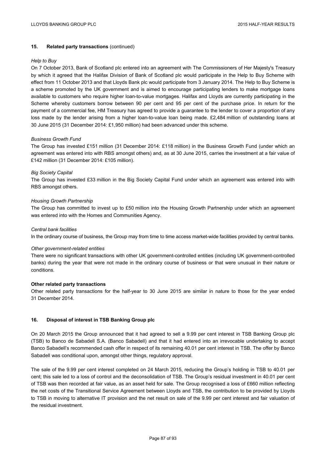## **15. Related party transactions** (continued)

### *Help to Buy*

On 7 October 2013, Bank of Scotland plc entered into an agreement with The Commissioners of Her Majesty's Treasury by which it agreed that the Halifax Division of Bank of Scotland plc would participate in the Help to Buy Scheme with effect from 11 October 2013 and that Lloyds Bank plc would participate from 3 January 2014. The Help to Buy Scheme is a scheme promoted by the UK government and is aimed to encourage participating lenders to make mortgage loans available to customers who require higher loan-to-value mortgages. Halifax and Lloyds are currently participating in the Scheme whereby customers borrow between 90 per cent and 95 per cent of the purchase price. In return for the payment of a commercial fee, HM Treasury has agreed to provide a guarantee to the lender to cover a proportion of any loss made by the lender arising from a higher loan-to-value loan being made. £2,484 million of outstanding loans at 30 June 2015 (31 December 2014: £1,950 million) had been advanced under this scheme.

### *Business Growth Fund*

The Group has invested £151 million (31 December 2014: £118 million) in the Business Growth Fund (under which an agreement was entered into with RBS amongst others) and, as at 30 June 2015, carries the investment at a fair value of £142 million (31 December 2014: £105 million).

### *Big Society Capital*

The Group has invested £33 million in the Big Society Capital Fund under which an agreement was entered into with RBS amongst others.

## *Housing Growth Partnership*

The Group has committed to invest up to £50 million into the Housing Growth Partnership under which an agreement was entered into with the Homes and Communities Agency.

### *Central bank facilities*

In the ordinary course of business, the Group may from time to time access market-wide facilities provided by central banks.

### *Other government-related entities*

There were no significant transactions with other UK government-controlled entities (including UK government-controlled banks) during the year that were not made in the ordinary course of business or that were unusual in their nature or conditions.

## **Other related party transactions**

Other related party transactions for the half-year to 30 June 2015 are similar in nature to those for the year ended 31 December 2014.

## **16. Disposal of interest in TSB Banking Group plc**

On 20 March 2015 the Group announced that it had agreed to sell a 9.99 per cent interest in TSB Banking Group plc (TSB) to Banco de Sabadell S.A. (Banco Sabadell) and that it had entered into an irrevocable undertaking to accept Banco Sabadell's recommended cash offer in respect of its remaining 40.01 per cent interest in TSB. The offer by Banco Sabadell was conditional upon, amongst other things, regulatory approval.

The sale of the 9.99 per cent interest completed on 24 March 2015, reducing the Group's holding in TSB to 40.01 per cent; this sale led to a loss of control and the deconsolidation of TSB. The Group's residual investment in 40.01 per cent of TSB was then recorded at fair value, as an asset held for sale. The Group recognised a loss of £660 million reflecting the net costs of the Transitional Service Agreement between Lloyds and TSB, the contribution to be provided by Lloyds to TSB in moving to alternative IT provision and the net result on sale of the 9.99 per cent interest and fair valuation of the residual investment.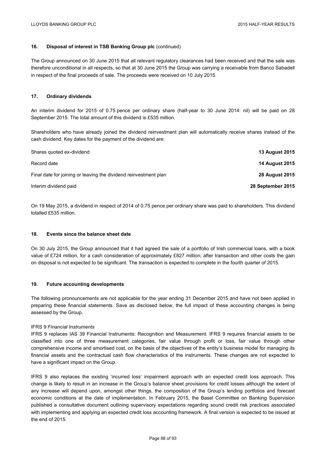## **16. Disposal of interest in TSB Banking Group plc** (continued)

The Group announced on 30 June 2015 that all relevant regulatory clearances had been received and that the sale was therefore unconditional in all respects, so that at 30 June 2015 the Group was carrying a receivable from Banco Sabadell in respect of the final proceeds of sale. The proceeds were received on 10 July 2015.

### **17. Ordinary dividends**

An interim dividend for 2015 of 0.75 pence per ordinary share (half-year to 30 June 2014: nil) will be paid on 28 September 2015. The total amount of this dividend is £535 million.

Shareholders who have already joined the dividend reinvestment plan will automatically receive shares instead of the cash dividend. Key dates for the payment of the dividend are:

| Shares guoted ex-dividend                                        | <b>13 August 2015</b> |
|------------------------------------------------------------------|-----------------------|
| Record date                                                      | <b>14 August 2015</b> |
| Final date for joining or leaving the dividend reinvestment plan | <b>28 August 2015</b> |
| Interim dividend paid                                            | 28 September 2015     |

On 19 May 2015, a dividend in respect of 2014 of 0.75 pence per ordinary share was paid to shareholders. This dividend totalled £535 million.

### **18. Events since the balance sheet date**

On 30 July 2015, the Group announced that it had agreed the sale of a portfolio of Irish commercial loans, with a book value of £724 million, for a cash consideration of approximately £827 million; after transaction and other costs the gain on disposal is not expected to be significant. The transaction is expected to complete in the fourth quarter of 2015.

### **19. Future accounting developments**

The following pronouncements are not applicable for the year ending 31 December 2015 and have not been applied in preparing these financial statements. Save as disclosed below, the full impact of these accounting changes is being assessed by the Group.

### IFRS 9 *Financial Instruments*

IFRS 9 replaces IAS 39 Financial Instruments: Recognition and Measurement. IFRS 9 requires financial assets to be classified into one of three measurement categories, fair value through profit or loss, fair value through other comprehensive income and amortised cost, on the basis of the objectives of the entity's business model for managing its financial assets and the contractual cash flow characteristics of the instruments. These changes are not expected to have a significant impact on the Group.

IFRS 9 also replaces the existing 'incurred loss' impairment approach with an expected credit loss approach. This change is likely to result in an increase in the Group's balance sheet provisions for credit losses although the extent of any increase will depend upon, amongst other things, the composition of the Group's lending portfolios and forecast economic conditions at the date of implementation. In February 2015, the Basel Committee on Banking Supervision published a consultative document outlining supervisory expectations regarding sound credit risk practices associated with implementing and applying an expected credit loss accounting framework. A final version is expected to be issued at the end of 2015.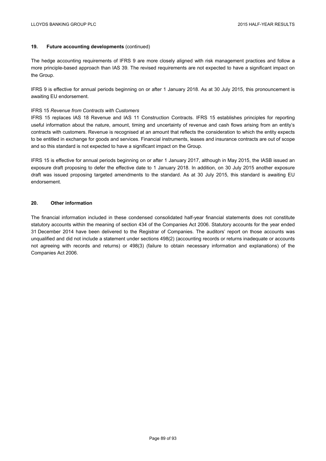## **19. Future accounting developments** (continued)

The hedge accounting requirements of IFRS 9 are more closely aligned with risk management practices and follow a more principle-based approach than IAS 39. The revised requirements are not expected to have a significant impact on the Group.

IFRS 9 is effective for annual periods beginning on or after 1 January 2018. As at 30 July 2015, this pronouncement is awaiting EU endorsement.

### IFRS 15 *Revenue from Contracts with Customers*

IFRS 15 replaces IAS 18 Revenue and IAS 11 Construction Contracts. IFRS 15 establishes principles for reporting useful information about the nature, amount, timing and uncertainty of revenue and cash flows arising from an entity's contracts with customers. Revenue is recognised at an amount that reflects the consideration to which the entity expects to be entitled in exchange for goods and services. Financial instruments, leases and insurance contracts are out of scope and so this standard is not expected to have a significant impact on the Group.

IFRS 15 is effective for annual periods beginning on or after 1 January 2017, although in May 2015, the IASB issued an exposure draft proposing to defer the effective date to 1 January 2018. In addition, on 30 July 2015 another exposure draft was issued proposing targeted amendments to the standard. As at 30 July 2015, this standard is awaiting EU endorsement.

## **20. Other information**

The financial information included in these condensed consolidated half-year financial statements does not constitute statutory accounts within the meaning of section 434 of the Companies Act 2006. Statutory accounts for the year ended 31 December 2014 have been delivered to the Registrar of Companies. The auditors' report on those accounts was unqualified and did not include a statement under sections 498(2) (accounting records or returns inadequate or accounts not agreeing with records and returns) or 498(3) (failure to obtain necessary information and explanations) of the Companies Act 2006.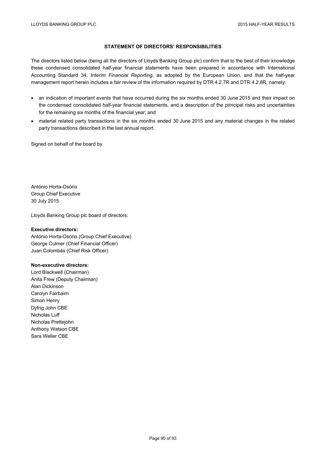# **STATEMENT OF DIRECTORS' RESPONSIBILITIES**

The directors listed below (being all the directors of Lloyds Banking Group plc) confirm that to the best of their knowledge these condensed consolidated half-year financial statements have been prepared in accordance with International Accounting Standard 34, *Interim Financial Reporting*, as adopted by the European Union, and that the half-year management report herein includes a fair review of the information required by DTR 4.2.7R and DTR 4.2.8R, namely:

- an indication of important events that have occurred during the six months ended 30 June 2015 and their impact on the condensed consolidated half-year financial statements, and a description of the principal risks and uncertainties for the remaining six months of the financial year; and
- material related party transactions in the six months ended 30 June 2015 and any material changes in the related party transactions described in the last annual report.

Signed on behalf of the board by

António Horta-Osório Group Chief Executive 30 July 2015

Lloyds Banking Group plc board of directors:

### **Executive directors:**

António Horta-Osório (Group Chief Executive) George Culmer (Chief Financial Officer) Juan Colombás (Chief Risk Officer)

### **Non-executive directors:**

Lord Blackwell (Chairman) Anita Frew (Deputy Chairman) Alan Dickinson Carolyn Fairbairn Simon Henry Dyfrig John CBE Nicholas Luff Nicholas Prettejohn Anthony Watson CBE Sara Weller CBE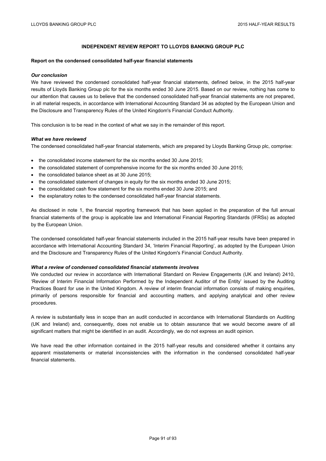## **INDEPENDENT REVIEW REPORT TO LLOYDS BANKING GROUP PLC**

#### **Report on the condensed consolidated half-year financial statements**

#### *Our conclusion*

We have reviewed the condensed consolidated half-year financial statements, defined below, in the 2015 half-year results of Lloyds Banking Group plc for the six months ended 30 June 2015. Based on our review, nothing has come to our attention that causes us to believe that the condensed consolidated half-year financial statements are not prepared, in all material respects, in accordance with International Accounting Standard 34 as adopted by the European Union and the Disclosure and Transparency Rules of the United Kingdom's Financial Conduct Authority.

This conclusion is to be read in the context of what we say in the remainder of this report.

#### *What we have reviewed*

The condensed consolidated half-year financial statements, which are prepared by Lloyds Banking Group plc, comprise:

- the consolidated income statement for the six months ended 30 June 2015;
- the consolidated statement of comprehensive income for the six months ended 30 June 2015;
- the consolidated balance sheet as at 30 June 2015;
- the consolidated statement of changes in equity for the six months ended 30 June 2015;
- the consolidated cash flow statement for the six months ended 30 June 2015; and
- the explanatory notes to the condensed consolidated half-year financial statements.

As disclosed in note 1, the financial reporting framework that has been applied in the preparation of the full annual financial statements of the group is applicable law and International Financial Reporting Standards (IFRSs) as adopted by the European Union.

The condensed consolidated half-year financial statements included in the 2015 half-year results have been prepared in accordance with International Accounting Standard 34, 'Interim Financial Reporting', as adopted by the European Union and the Disclosure and Transparency Rules of the United Kingdom's Financial Conduct Authority.

#### *What a review of condensed consolidated financial statements involves*

We conducted our review in accordance with International Standard on Review Engagements (UK and Ireland) 2410, 'Review of Interim Financial Information Performed by the Independent Auditor of the Entity' issued by the Auditing Practices Board for use in the United Kingdom. A review of interim financial information consists of making enquiries, primarily of persons responsible for financial and accounting matters, and applying analytical and other review procedures.

A review is substantially less in scope than an audit conducted in accordance with International Standards on Auditing (UK and Ireland) and, consequently, does not enable us to obtain assurance that we would become aware of all significant matters that might be identified in an audit. Accordingly, we do not express an audit opinion.

We have read the other information contained in the 2015 half-year results and considered whether it contains any apparent misstatements or material inconsistencies with the information in the condensed consolidated half-year financial statements.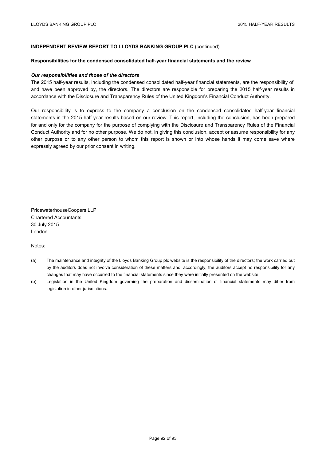## **INDEPENDENT REVIEW REPORT TO LLOYDS BANKING GROUP PLC** (continued)

#### **Responsibilities for the condensed consolidated half-year financial statements and the review**

#### *Our responsibilities and those of the directors*

The 2015 half-year results, including the condensed consolidated half-year financial statements, are the responsibility of, and have been approved by, the directors. The directors are responsible for preparing the 2015 half-year results in accordance with the Disclosure and Transparency Rules of the United Kingdom's Financial Conduct Authority.

Our responsibility is to express to the company a conclusion on the condensed consolidated half-year financial statements in the 2015 half-year results based on our review. This report, including the conclusion, has been prepared for and only for the company for the purpose of complying with the Disclosure and Transparency Rules of the Financial Conduct Authority and for no other purpose. We do not, in giving this conclusion, accept or assume responsibility for any other purpose or to any other person to whom this report is shown or into whose hands it may come save where expressly agreed by our prior consent in writing.

PricewaterhouseCoopers LLP Chartered Accountants 30 July 2015 London

Notes:

- (a) The maintenance and integrity of the Lloyds Banking Group plc website is the responsibility of the directors; the work carried out by the auditors does not involve consideration of these matters and, accordingly, the auditors accept no responsibility for any changes that may have occurred to the financial statements since they were initially presented on the website.
- (b) Legislation in the United Kingdom governing the preparation and dissemination of financial statements may differ from legislation in other jurisdictions.